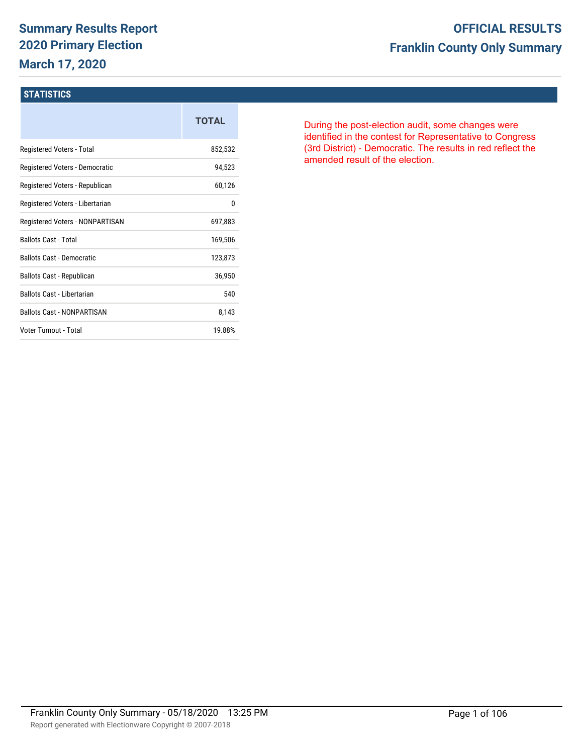# **Summary Results Report 2020 Primary Election March 17, 2020**

# **OFFICIAL RESULTS Franklin County Only Summary**

#### **STATISTICS**

|                                   | <b>TOTAL</b> |
|-----------------------------------|--------------|
| Registered Voters - Total         | 852,532      |
| Registered Voters - Democratic    | 94,523       |
| Registered Voters - Republican    | 60,126       |
| Registered Voters - Libertarian   | 0            |
| Registered Voters - NONPARTISAN   | 697,883      |
| <b>Ballots Cast - Total</b>       | 169,506      |
| <b>Ballots Cast - Democratic</b>  | 123,873      |
| Ballots Cast - Republican         | 36,950       |
| Ballots Cast - Libertarian        | 540          |
| <b>Ballots Cast - NONPARTISAN</b> | 8,143        |
| Voter Turnout - Total             | 19.88%       |

During the post-election audit, some changes were identified in the contest for Representative to Congress (3rd District) - Democratic. The results in red reflect the amended result of the election.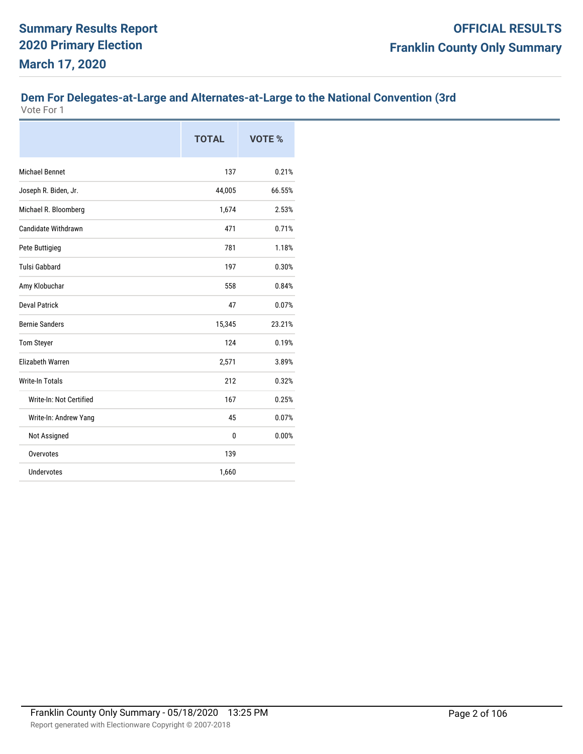### **Dem For Delegates-at-Large and Alternates-at-Large to the National Convention (3rd**

|                            | <b>TOTAL</b> | <b>VOTE %</b> |
|----------------------------|--------------|---------------|
| <b>Michael Bennet</b>      | 137          | 0.21%         |
| Joseph R. Biden, Jr.       | 44,005       | 66.55%        |
| Michael R. Bloomberg       | 1,674        | 2.53%         |
| <b>Candidate Withdrawn</b> | 471          | 0.71%         |
| Pete Buttigieg             | 781          | 1.18%         |
| <b>Tulsi Gabbard</b>       | 197          | 0.30%         |
| Amy Klobuchar              | 558          | 0.84%         |
| <b>Deval Patrick</b>       | 47           | 0.07%         |
| <b>Bernie Sanders</b>      | 15,345       | 23.21%        |
| <b>Tom Steyer</b>          | 124          | 0.19%         |
| <b>Elizabeth Warren</b>    | 2,571        | 3.89%         |
| <b>Write-In Totals</b>     | 212          | 0.32%         |
| Write-In: Not Certified    | 167          | 0.25%         |
| Write-In: Andrew Yang      | 45           | 0.07%         |
| Not Assigned               | $\mathbf{0}$ | 0.00%         |
| Overvotes                  | 139          |               |
| <b>Undervotes</b>          | 1,660        |               |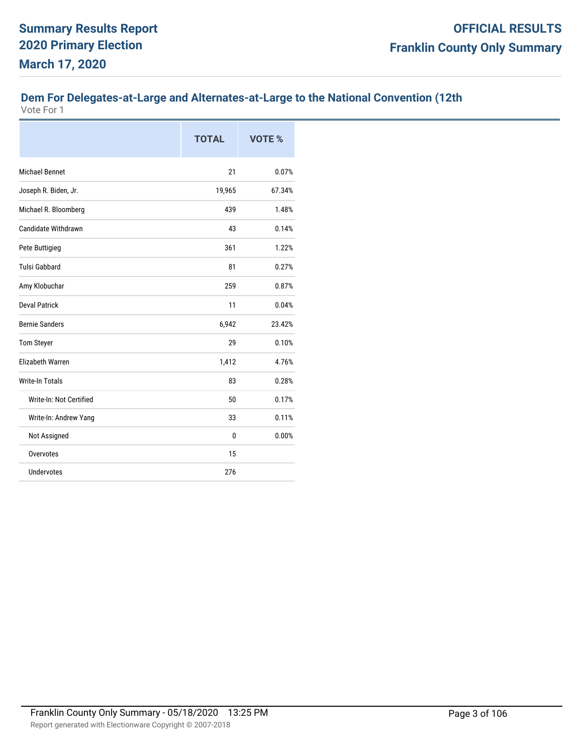# **Dem For Delegates-at-Large and Alternates-at-Large to the National Convention (12th**

|                         | <b>TOTAL</b> | <b>VOTE %</b> |
|-------------------------|--------------|---------------|
| <b>Michael Bennet</b>   | 21           | 0.07%         |
| Joseph R. Biden, Jr.    | 19,965       | 67.34%        |
| Michael R. Bloomberg    | 439          | 1.48%         |
| Candidate Withdrawn     | 43           | 0.14%         |
| Pete Buttigieg          | 361          | 1.22%         |
| <b>Tulsi Gabbard</b>    | 81           | 0.27%         |
| Amy Klobuchar           | 259          | 0.87%         |
| <b>Deval Patrick</b>    | 11           | 0.04%         |
| <b>Bernie Sanders</b>   | 6,942        | 23.42%        |
| <b>Tom Steyer</b>       | 29           | 0.10%         |
| <b>Elizabeth Warren</b> | 1,412        | 4.76%         |
| <b>Write-In Totals</b>  | 83           | 0.28%         |
| Write-In: Not Certified | 50           | 0.17%         |
| Write-In: Andrew Yang   | 33           | 0.11%         |
| Not Assigned            | $\mathbf{0}$ | 0.00%         |
| Overvotes               | 15           |               |
| <b>Undervotes</b>       | 276          |               |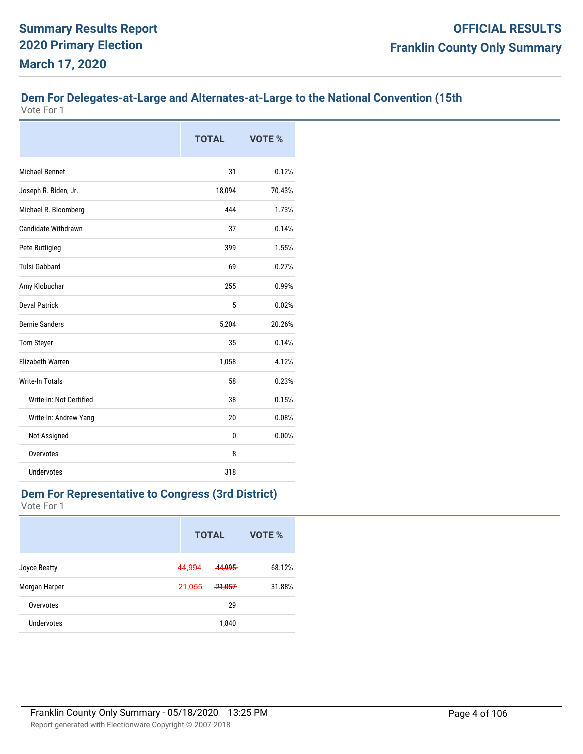### **Dem For Delegates-at-Large and Alternates-at-Large to the National Convention (15th**

Vote For 1

|                         | <b>TOTAL</b> | VOTE % |
|-------------------------|--------------|--------|
| <b>Michael Bennet</b>   | 31           | 0.12%  |
| Joseph R. Biden, Jr.    | 18,094       | 70.43% |
| Michael R. Bloomberg    | 444          | 1.73%  |
| Candidate Withdrawn     | 37           | 0.14%  |
| Pete Buttigieg          | 399          | 1.55%  |
| <b>Tulsi Gabbard</b>    | 69           | 0.27%  |
| Amy Klobuchar           | 255          | 0.99%  |
| <b>Deval Patrick</b>    | 5            | 0.02%  |
| <b>Bernie Sanders</b>   | 5,204        | 20.26% |
| <b>Tom Steyer</b>       | 35           | 0.14%  |
| <b>Elizabeth Warren</b> | 1,058        | 4.12%  |
| <b>Write-In Totals</b>  | 58           | 0.23%  |
| Write-In: Not Certified | 38           | 0.15%  |
| Write-In: Andrew Yang   | 20           | 0.08%  |
| Not Assigned            | 0            | 0.00%  |
| Overvotes               | 8            |        |
| Undervotes              | 318          |        |

#### **Dem For Representative to Congress (3rd District)**

|               | <b>TOTAL</b> |                   | VOTE % |
|---------------|--------------|-------------------|--------|
| Joyce Beatty  | 44,994       | 44.995            | 68.12% |
| Morgan Harper | 21,055       | <del>21,057</del> | 31.88% |
| Overvotes     |              | 29                |        |
| Undervotes    |              | 1,840             |        |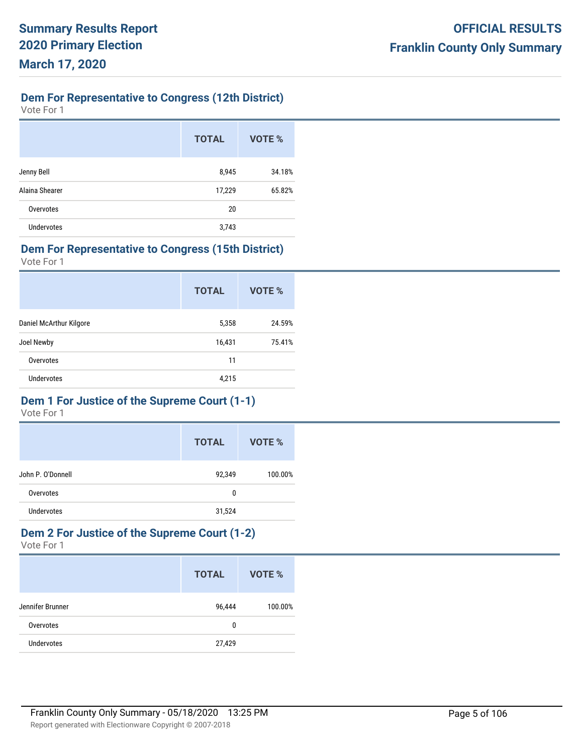# **Dem For Representative to Congress (12th District)**

Vote For 1

|                   | <b>TOTAL</b> | <b>VOTE %</b> |
|-------------------|--------------|---------------|
| Jenny Bell        | 8,945        | 34.18%        |
| Alaina Shearer    | 17,229       | 65.82%        |
| Overvotes         | 20           |               |
| <b>Undervotes</b> | 3,743        |               |

#### **Dem For Representative to Congress (15th District)**

Vote For 1

| <b>TOTAL</b> | VOTE % |
|--------------|--------|
| 5,358        | 24.59% |
| 16,431       | 75.41% |
| 11           |        |
| 4,215        |        |
|              |        |

### **Dem 1 For Justice of the Supreme Court (1-1)**

Vote For 1

|                   | <b>TOTAL</b> | VOTE %  |
|-------------------|--------------|---------|
| John P. O'Donnell | 92,349       | 100.00% |
| Overvotes         | 0            |         |
| <b>Undervotes</b> | 31,524       |         |

#### **Dem 2 For Justice of the Supreme Court (1-2)** Vote For 1

|                   | <b>TOTAL</b> | VOTE %  |
|-------------------|--------------|---------|
| Jennifer Brunner  | 96,444       | 100.00% |
| Overvotes         | 0            |         |
| <b>Undervotes</b> | 27,429       |         |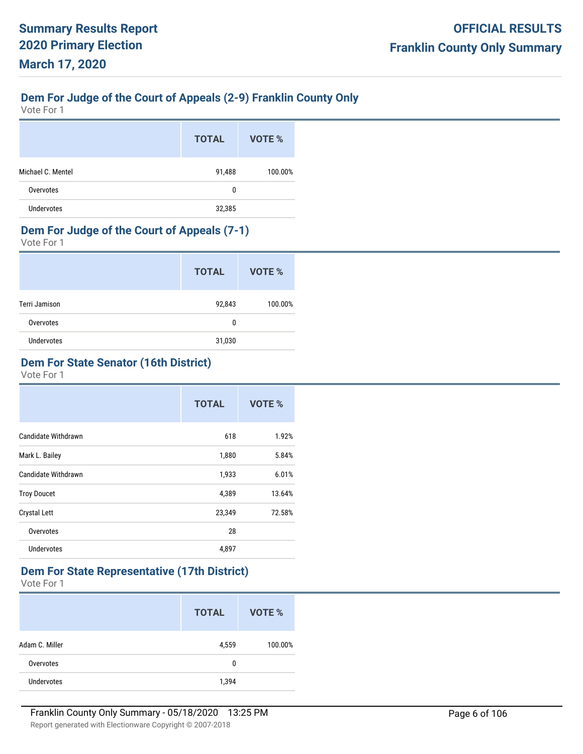### **Dem For Judge of the Court of Appeals (2-9) Franklin County Only**

Vote For 1

|                   | <b>TOTAL</b> | VOTE %  |
|-------------------|--------------|---------|
| Michael C. Mentel | 91,488       | 100.00% |
| Overvotes         | 0            |         |
| Undervotes        | 32,385       |         |

#### **Dem For Judge of the Court of Appeals (7-1)**

Vote For 1

|                   | <b>TOTAL</b> | VOTE %  |
|-------------------|--------------|---------|
| Terri Jamison     | 92,843       | 100.00% |
| Overvotes         | 0            |         |
| <b>Undervotes</b> | 31,030       |         |

### **Dem For State Senator (16th District)**

Vote For 1

|                     | <b>TOTAL</b> | VOTE % |
|---------------------|--------------|--------|
| Candidate Withdrawn | 618          | 1.92%  |
| Mark L. Bailey      | 1,880        | 5.84%  |
| Candidate Withdrawn | 1,933        | 6.01%  |
| <b>Troy Doucet</b>  | 4,389        | 13.64% |
| Crystal Lett        | 23,349       | 72.58% |
| Overvotes           | 28           |        |
| <b>Undervotes</b>   | 4,897        |        |

#### **Dem For State Representative (17th District)**

|                   | <b>TOTAL</b> | VOTE %  |
|-------------------|--------------|---------|
| Adam C. Miller    | 4,559        | 100.00% |
| Overvotes         | 0            |         |
| <b>Undervotes</b> | 1,394        |         |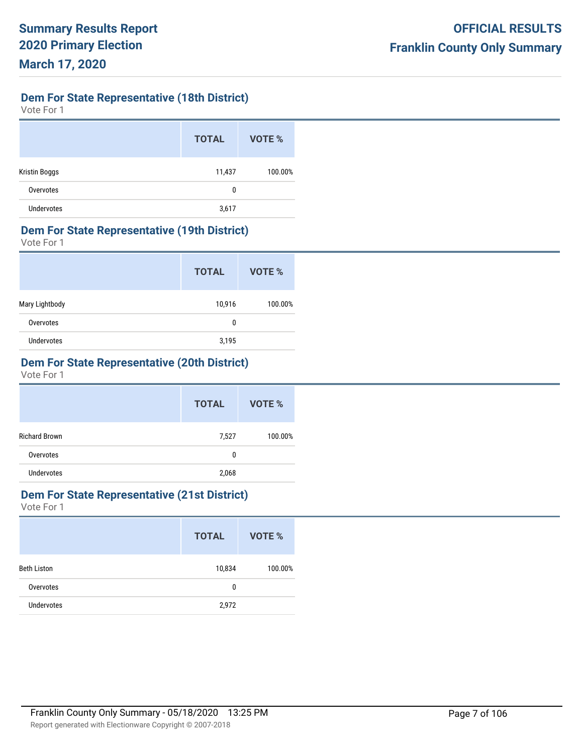**Dem For State Representative (18th District)**

Vote For 1

|                      | <b>TOTAL</b> | VOTE %  |
|----------------------|--------------|---------|
| <b>Kristin Boggs</b> | 11,437       | 100.00% |
| Overvotes            | 0            |         |
| <b>Undervotes</b>    | 3,617        |         |

#### **Dem For State Representative (19th District)**

Vote For 1

|                   | <b>TOTAL</b> | VOTE %  |
|-------------------|--------------|---------|
| Mary Lightbody    | 10,916       | 100.00% |
| Overvotes         | 0            |         |
| <b>Undervotes</b> | 3,195        |         |

### **Dem For State Representative (20th District)**

Vote For 1

|                      | <b>TOTAL</b> | VOTE %  |
|----------------------|--------------|---------|
| <b>Richard Brown</b> | 7,527        | 100.00% |
| Overvotes            | 0            |         |
| <b>Undervotes</b>    | 2,068        |         |

### **Dem For State Representative (21st District)**

|                    | <b>TOTAL</b> | VOTE %  |
|--------------------|--------------|---------|
| <b>Beth Liston</b> | 10,834       | 100.00% |
| Overvotes          | 0            |         |
| <b>Undervotes</b>  | 2,972        |         |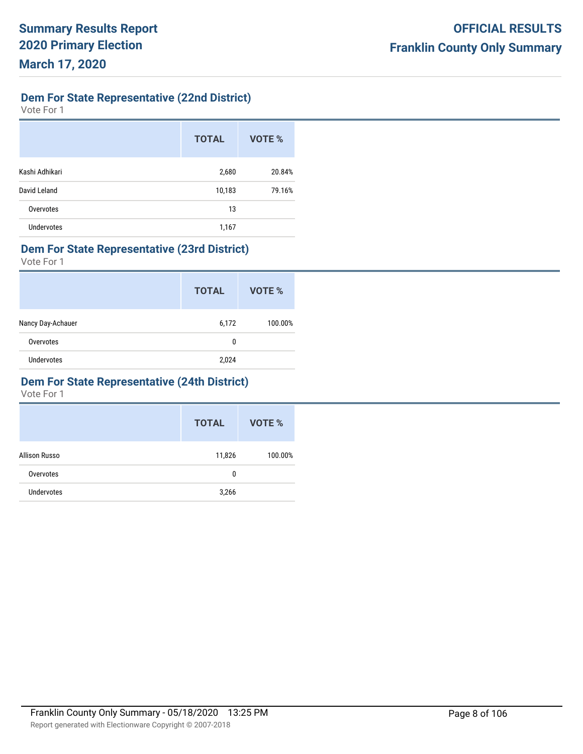**Dem For State Representative (22nd District)**

Vote For 1

|                   | <b>TOTAL</b> | VOTE % |
|-------------------|--------------|--------|
| Kashi Adhikari    | 2,680        | 20.84% |
| David Leland      | 10,183       | 79.16% |
| Overvotes         | 13           |        |
| <b>Undervotes</b> | 1,167        |        |

#### **Dem For State Representative (23rd District)**

Vote For 1

|                   | <b>TOTAL</b> | VOTE %  |
|-------------------|--------------|---------|
| Nancy Day-Achauer | 6,172        | 100.00% |
| Overvotes         | 0            |         |
| <b>Undervotes</b> | 2,024        |         |

#### **Dem For State Representative (24th District)**

|                   | <b>TOTAL</b> | VOTE %  |
|-------------------|--------------|---------|
| Allison Russo     | 11,826       | 100.00% |
| Overvotes         | 0            |         |
| <b>Undervotes</b> | 3,266        |         |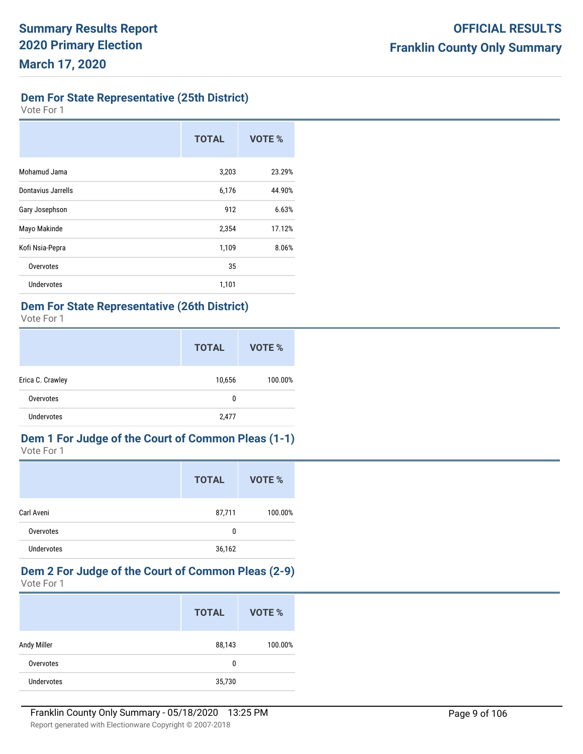### **Dem For State Representative (25th District)**

Vote For 1

|                    | <b>TOTAL</b> | VOTE % |
|--------------------|--------------|--------|
| Mohamud Jama       | 3,203        | 23.29% |
| Dontavius Jarrells | 6,176        | 44.90% |
| Gary Josephson     | 912          | 6.63%  |
| Mayo Makinde       | 2,354        | 17.12% |
| Kofi Nsia-Pepra    | 1,109        | 8.06%  |
| Overvotes          | 35           |        |
| <b>Undervotes</b>  | 1,101        |        |

## **Dem For State Representative (26th District)**

Vote For 1

|                   | <b>TOTAL</b> | VOTE %  |
|-------------------|--------------|---------|
| Erica C. Crawley  | 10,656       | 100.00% |
| Overvotes         | 0            |         |
| <b>Undervotes</b> | 2,477        |         |

#### **Dem 1 For Judge of the Court of Common Pleas (1-1)** Vote For 1

|                   | <b>TOTAL</b> | VOTE %  |
|-------------------|--------------|---------|
| Carl Aveni        | 87,711       | 100.00% |
| Overvotes         | 0            |         |
| <b>Undervotes</b> | 36,162       |         |

#### **Dem 2 For Judge of the Court of Common Pleas (2-9)** Vote For 1

|             | <b>TOTAL</b> | VOTE %  |
|-------------|--------------|---------|
| Andy Miller | 88,143       | 100.00% |
| Overvotes   | 0            |         |
| Undervotes  | 35,730       |         |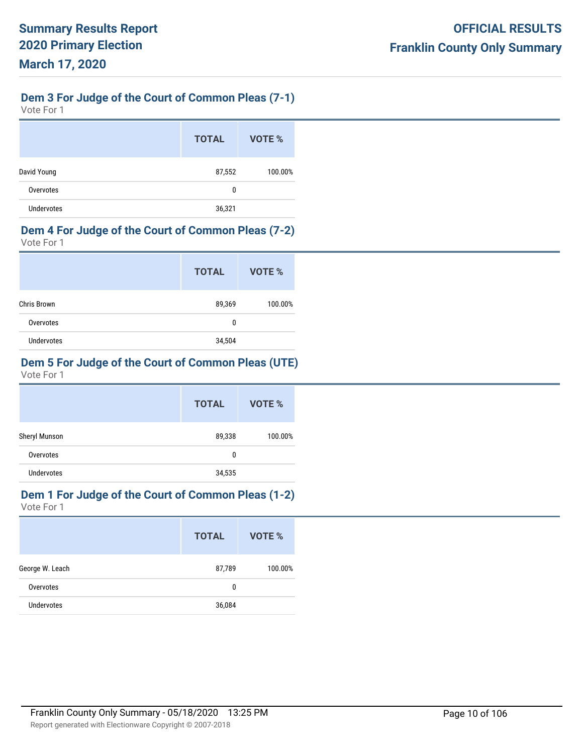### **Dem 3 For Judge of the Court of Common Pleas (7-1)**

Vote For 1

|                   | <b>TOTAL</b> | VOTE %  |
|-------------------|--------------|---------|
| David Young       | 87,552       | 100.00% |
| Overvotes         | 0            |         |
| <b>Undervotes</b> | 36,321       |         |

### **Dem 4 For Judge of the Court of Common Pleas (7-2)**

Vote For 1

|                   | <b>TOTAL</b> | VOTE %  |
|-------------------|--------------|---------|
| Chris Brown       | 89,369       | 100.00% |
| Overvotes         | 0            |         |
| <b>Undervotes</b> | 34,504       |         |

### **Dem 5 For Judge of the Court of Common Pleas (UTE)**

Vote For 1

|                   | <b>TOTAL</b> | VOTE %  |
|-------------------|--------------|---------|
| Sheryl Munson     | 89,338       | 100.00% |
| Overvotes         | 0            |         |
| <b>Undervotes</b> | 34,535       |         |

# **Dem 1 For Judge of the Court of Common Pleas (1-2)**

|                   | <b>TOTAL</b> | VOTE %  |
|-------------------|--------------|---------|
| George W. Leach   | 87,789       | 100.00% |
| Overvotes         | 0            |         |
| <b>Undervotes</b> | 36,084       |         |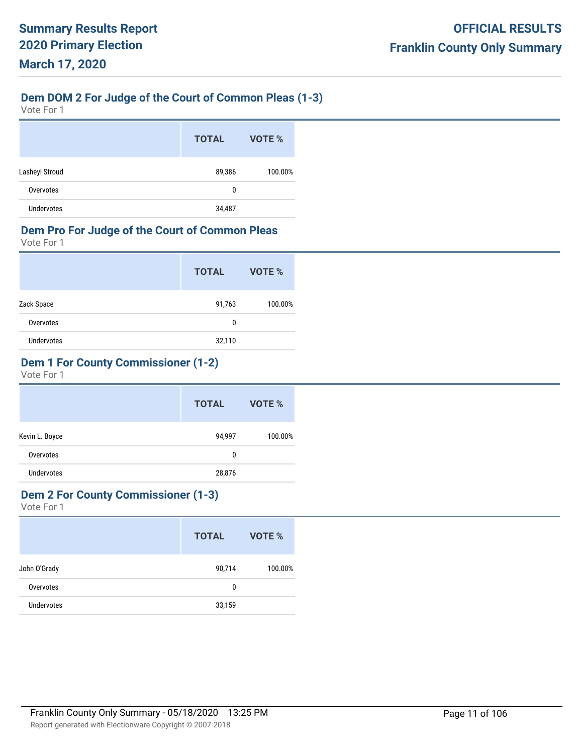# **Dem DOM 2 For Judge of the Court of Common Pleas (1-3)**

Vote For 1

|                | <b>TOTAL</b> | VOTE %  |
|----------------|--------------|---------|
| Lasheyl Stroud | 89,386       | 100.00% |
| Overvotes      | 0            |         |
| Undervotes     | 34,487       |         |

### **Dem Pro For Judge of the Court of Common Pleas**

Vote For 1

|                   | <b>TOTAL</b> | VOTE %  |
|-------------------|--------------|---------|
| Zack Space        | 91,763       | 100.00% |
| Overvotes         | 0            |         |
| <b>Undervotes</b> | 32,110       |         |

### **Dem 1 For County Commissioner (1-2)**

Vote For 1

|                   | <b>TOTAL</b> | VOTE %  |
|-------------------|--------------|---------|
| Kevin L. Boyce    | 94,997       | 100.00% |
| Overvotes         | 0            |         |
| <b>Undervotes</b> | 28,876       |         |

### **Dem 2 For County Commissioner (1-3)**

|              | <b>TOTAL</b> | VOTE %  |
|--------------|--------------|---------|
| John O'Grady | 90,714       | 100.00% |
| Overvotes    | 0            |         |
| Undervotes   | 33,159       |         |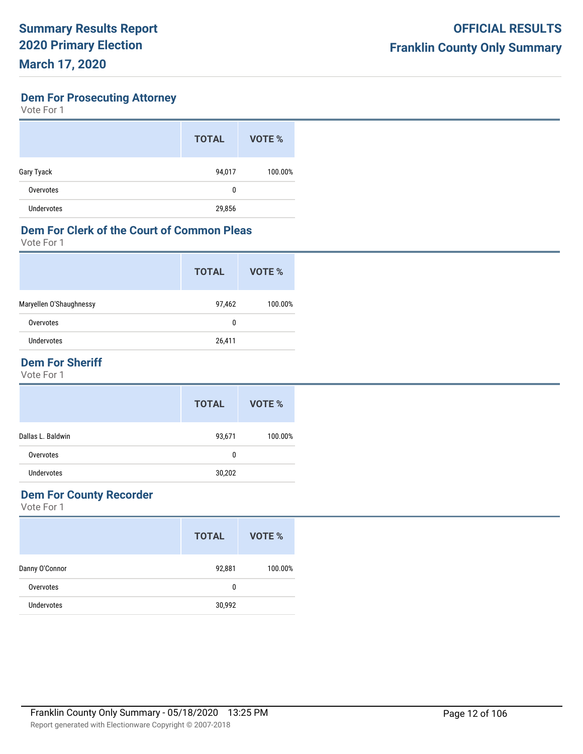**Dem For Prosecuting Attorney**

Vote For 1

|                   | <b>TOTAL</b> | VOTE %  |
|-------------------|--------------|---------|
| Gary Tyack        | 94,017       | 100.00% |
| Overvotes         | 0            |         |
| <b>Undervotes</b> | 29,856       |         |

### **Dem For Clerk of the Court of Common Pleas**

Vote For 1

|                         | <b>TOTAL</b> | VOTE %  |
|-------------------------|--------------|---------|
| Maryellen O'Shaughnessy | 97,462       | 100.00% |
| Overvotes               | 0            |         |
| Undervotes              | 26,411       |         |
|                         |              |         |

### **Dem For Sheriff**

Vote For 1

|                   | <b>TOTAL</b> | VOTE %  |
|-------------------|--------------|---------|
| Dallas L. Baldwin | 93,671       | 100.00% |
| Overvotes         | 0            |         |
| <b>Undervotes</b> | 30,202       |         |

### **Dem For County Recorder**

|                   | <b>TOTAL</b> | VOTE %  |
|-------------------|--------------|---------|
| Danny O'Connor    | 92,881       | 100.00% |
| Overvotes         | 0            |         |
| <b>Undervotes</b> | 30,992       |         |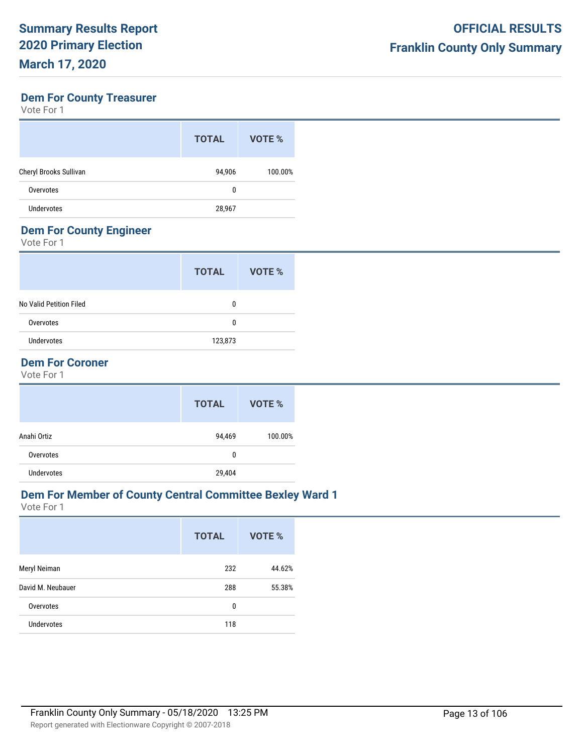#### **Dem For County Treasurer**

Vote For 1

| <b>TOTAL</b> | VOTE %  |
|--------------|---------|
| 94,906       | 100.00% |
| 0            |         |
| 28,967       |         |
|              |         |

### **Dem For County Engineer**

Vote For 1

|                         | <b>TOTAL</b> | VOTE % |
|-------------------------|--------------|--------|
| No Valid Petition Filed | 0            |        |
| Overvotes               | 0            |        |
| <b>Undervotes</b>       | 123,873      |        |
|                         |              |        |

### **Dem For Coroner**

Vote For 1

|                   | <b>TOTAL</b> | VOTE %  |
|-------------------|--------------|---------|
| Anahi Ortiz       | 94,469       | 100.00% |
| Overvotes         | 0            |         |
| <b>Undervotes</b> | 29,404       |         |

### **Dem For Member of County Central Committee Bexley Ward 1**

|                   | <b>TOTAL</b> | <b>VOTE %</b> |
|-------------------|--------------|---------------|
| Meryl Neiman      | 232          | 44.62%        |
| David M. Neubauer | 288          | 55.38%        |
| Overvotes         | 0            |               |
| <b>Undervotes</b> | 118          |               |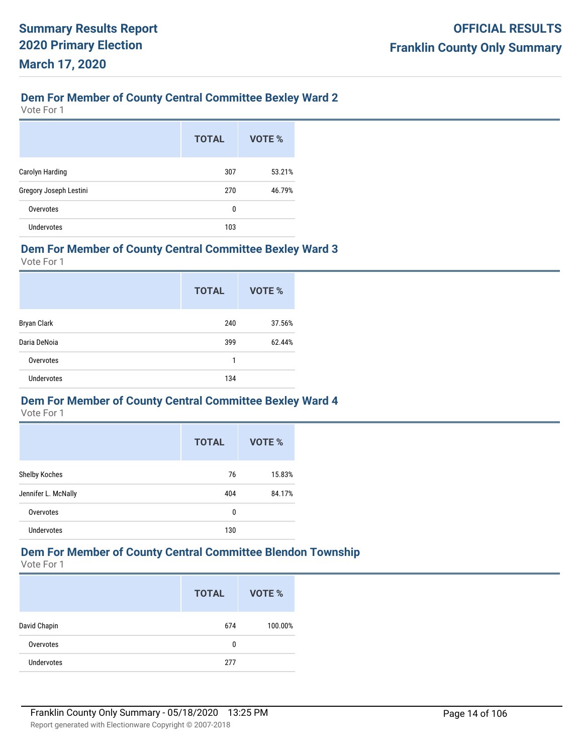# **Dem For Member of County Central Committee Bexley Ward 2**

Vote For 1

|                        | <b>TOTAL</b> | VOTE % |
|------------------------|--------------|--------|
| Carolyn Harding        | 307          | 53.21% |
| Gregory Joseph Lestini | 270          | 46.79% |
| Overvotes              | 0            |        |
| <b>Undervotes</b>      | 103          |        |

#### **Dem For Member of County Central Committee Bexley Ward 3**

Vote For 1

|                    | <b>TOTAL</b> | <b>VOTE %</b> |
|--------------------|--------------|---------------|
| <b>Bryan Clark</b> | 240          | 37.56%        |
| Daria DeNoia       | 399          | 62.44%        |
| Overvotes          | 1            |               |
| <b>Undervotes</b>  | 134          |               |

#### **Dem For Member of County Central Committee Bexley Ward 4**

Vote For 1

|                     | <b>TOTAL</b> | VOTE % |
|---------------------|--------------|--------|
| Shelby Koches       | 76           | 15.83% |
| Jennifer L. McNally | 404          | 84.17% |
| Overvotes           | 0            |        |
| <b>Undervotes</b>   | 130          |        |

# **Dem For Member of County Central Committee Blendon Township**

|                   | <b>TOTAL</b> | VOTE %  |
|-------------------|--------------|---------|
| David Chapin      | 674          | 100.00% |
| Overvotes         | 0            |         |
| <b>Undervotes</b> | 277          |         |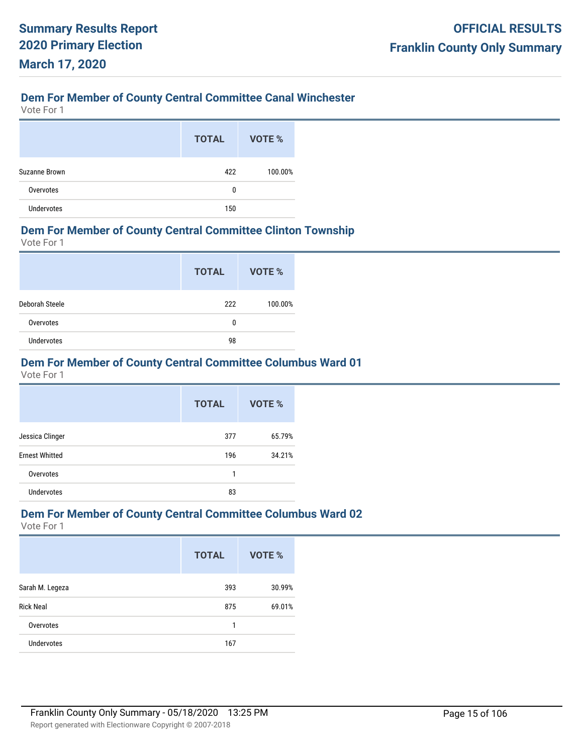## **Dem For Member of County Central Committee Canal Winchester**

Vote For 1

|               | <b>TOTAL</b> | VOTE %  |
|---------------|--------------|---------|
| Suzanne Brown | 422          | 100.00% |
| Overvotes     | 0            |         |
| Undervotes    | 150          |         |

#### **Dem For Member of County Central Committee Clinton Township**

Vote For 1

|                   | <b>TOTAL</b> | VOTE %  |
|-------------------|--------------|---------|
| Deborah Steele    | 222          | 100.00% |
| Overvotes         | 0            |         |
| <b>Undervotes</b> | 98           |         |

### **Dem For Member of County Central Committee Columbus Ward 01**

Vote For 1

|                       | <b>TOTAL</b> | VOTE % |
|-----------------------|--------------|--------|
| Jessica Clinger       | 377          | 65.79% |
| <b>Ernest Whitted</b> | 196          | 34.21% |
| Overvotes             | 1            |        |
| <b>Undervotes</b>     | 83           |        |

#### **Dem For Member of County Central Committee Columbus Ward 02**

|                   | <b>TOTAL</b> | <b>VOTE %</b> |
|-------------------|--------------|---------------|
| Sarah M. Legeza   | 393          | 30.99%        |
| <b>Rick Neal</b>  | 875          | 69.01%        |
| Overvotes         | 1            |               |
| <b>Undervotes</b> | 167          |               |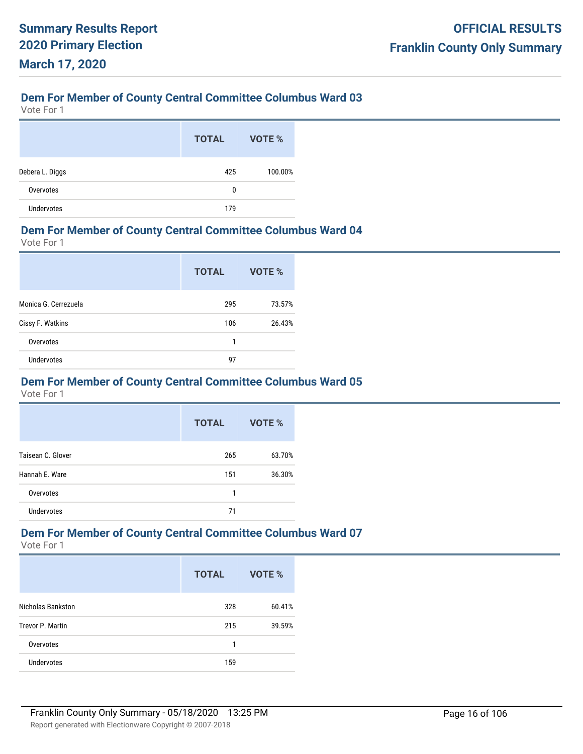Vote For 1

|                   | <b>TOTAL</b> | VOTE %  |
|-------------------|--------------|---------|
| Debera L. Diggs   | 425          | 100.00% |
| Overvotes         | 0            |         |
| <b>Undervotes</b> | 179          |         |

#### **Dem For Member of County Central Committee Columbus Ward 04**

Vote For 1

|                      | <b>TOTAL</b> | VOTE % |
|----------------------|--------------|--------|
| Monica G. Cerrezuela | 295          | 73.57% |
| Cissy F. Watkins     | 106          | 26.43% |
| Overvotes            | 1            |        |
| <b>Undervotes</b>    | 97           |        |

#### **Dem For Member of County Central Committee Columbus Ward 05**

Vote For 1

|                   | <b>TOTAL</b> | <b>VOTE %</b> |
|-------------------|--------------|---------------|
| Taisean C. Glover | 265          | 63.70%        |
| Hannah E. Ware    | 151          | 36.30%        |
| Overvotes         | 1            |               |
| <b>Undervotes</b> | 71           |               |

### **Dem For Member of County Central Committee Columbus Ward 07**

|                   | <b>TOTAL</b> | VOTE % |
|-------------------|--------------|--------|
| Nicholas Bankston | 328          | 60.41% |
| Trevor P. Martin  | 215          | 39.59% |
| Overvotes         | 1            |        |
| <b>Undervotes</b> | 159          |        |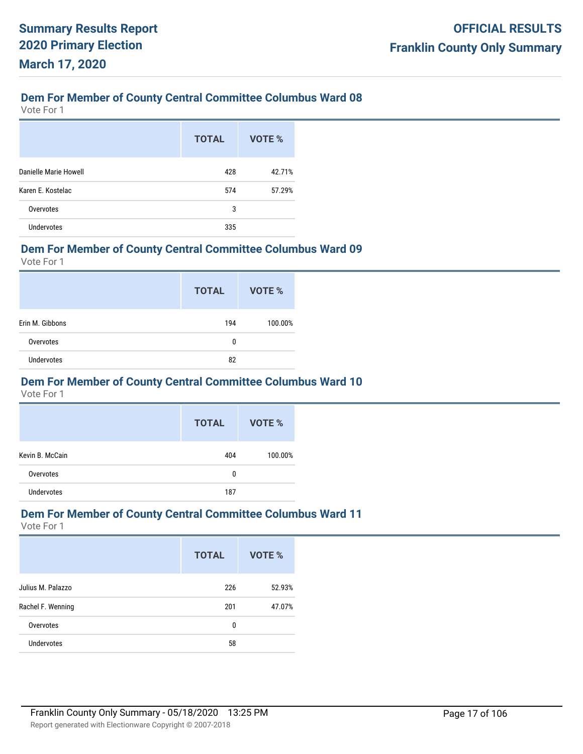Vote For 1

|                       | <b>TOTAL</b> | VOTE % |
|-----------------------|--------------|--------|
| Danielle Marie Howell | 428          | 42.71% |
| Karen E. Kostelac     | 574          | 57.29% |
| Overvotes             | 3            |        |
| <b>Undervotes</b>     | 335          |        |

#### **Dem For Member of County Central Committee Columbus Ward 09**

Vote For 1

|                   | <b>TOTAL</b> | VOTE %  |
|-------------------|--------------|---------|
| Erin M. Gibbons   | 194          | 100.00% |
| Overvotes         | 0            |         |
| <b>Undervotes</b> | 82           |         |

#### **Dem For Member of County Central Committee Columbus Ward 10**

Vote For 1

|                 | <b>TOTAL</b> | VOTE %  |
|-----------------|--------------|---------|
| Kevin B. McCain | 404          | 100.00% |
| Overvotes       | 0            |         |
| Undervotes      | 187          |         |

#### **Dem For Member of County Central Committee Columbus Ward 11**

|                   | <b>TOTAL</b> | VOTE % |
|-------------------|--------------|--------|
| Julius M. Palazzo | 226          | 52.93% |
| Rachel F. Wenning | 201          | 47.07% |
| Overvotes         | 0            |        |
| <b>Undervotes</b> | 58           |        |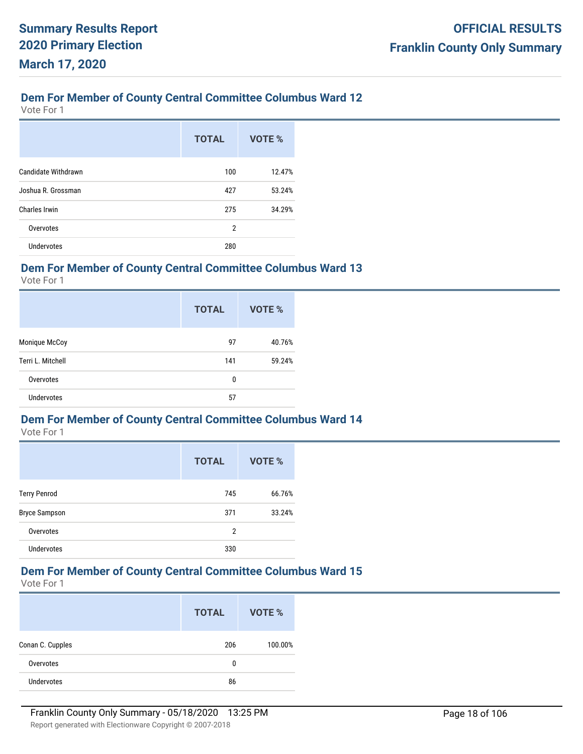Vote For 1

|                            | <b>TOTAL</b>   | VOTE % |
|----------------------------|----------------|--------|
| <b>Candidate Withdrawn</b> | 100            | 12.47% |
| Joshua R. Grossman         | 427            | 53.24% |
| Charles Irwin              | 275            | 34.29% |
| Overvotes                  | $\overline{2}$ |        |
| <b>Undervotes</b>          | 280            |        |

### **Dem For Member of County Central Committee Columbus Ward 13**

Vote For 1

|                   | <b>TOTAL</b> | VOTE % |
|-------------------|--------------|--------|
| Monique McCoy     | 97           | 40.76% |
| Terri L. Mitchell | 141          | 59.24% |
| Overvotes         | 0            |        |
| <b>Undervotes</b> | 57           |        |

#### **Dem For Member of County Central Committee Columbus Ward 14**

Vote For 1

|                      | <b>TOTAL</b> | VOTE % |
|----------------------|--------------|--------|
| <b>Terry Penrod</b>  | 745          | 66.76% |
| <b>Bryce Sampson</b> | 371          | 33.24% |
| Overvotes            | 2            |        |
| <b>Undervotes</b>    | 330          |        |

#### **Dem For Member of County Central Committee Columbus Ward 15**

|                  | <b>TOTAL</b> | VOTE %  |
|------------------|--------------|---------|
| Conan C. Cupples | 206          | 100.00% |
| Overvotes        | 0            |         |
| Undervotes       | 86           |         |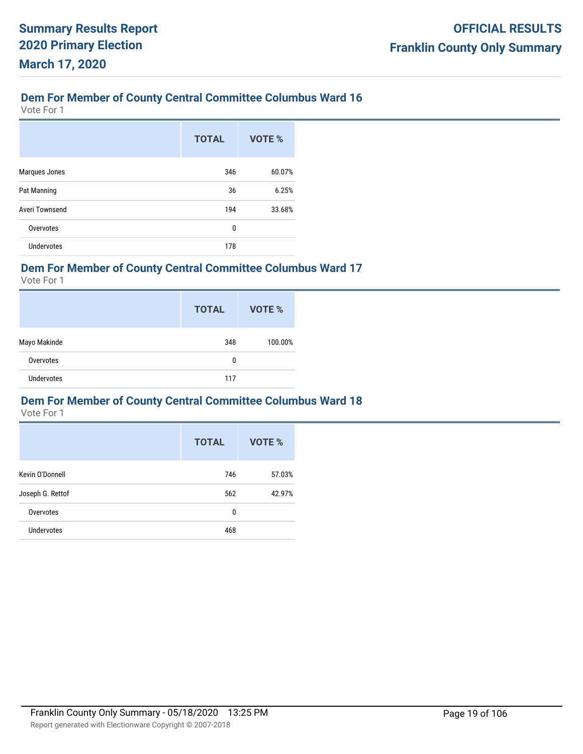Vote For 1

|                   | <b>TOTAL</b> | VOTE % |
|-------------------|--------------|--------|
| Marques Jones     | 346          | 60.07% |
| Pat Manning       | 36           | 6.25%  |
| Averi Townsend    | 194          | 33.68% |
| Overvotes         | 0            |        |
| <b>Undervotes</b> | 178          |        |

### **Dem For Member of County Central Committee Columbus Ward 17**

Vote For 1

|                   | <b>TOTAL</b> | VOTE %  |
|-------------------|--------------|---------|
| Mayo Makinde      | 348          | 100.00% |
| Overvotes         | 0            |         |
| <b>Undervotes</b> | 117          |         |

### **Dem For Member of County Central Committee Columbus Ward 18**

|                   | <b>TOTAL</b> | <b>VOTE %</b> |
|-------------------|--------------|---------------|
| Kevin O'Donnell   | 746          | 57.03%        |
| Joseph G. Rettof  | 562          | 42.97%        |
| Overvotes         | 0            |               |
| <b>Undervotes</b> | 468          |               |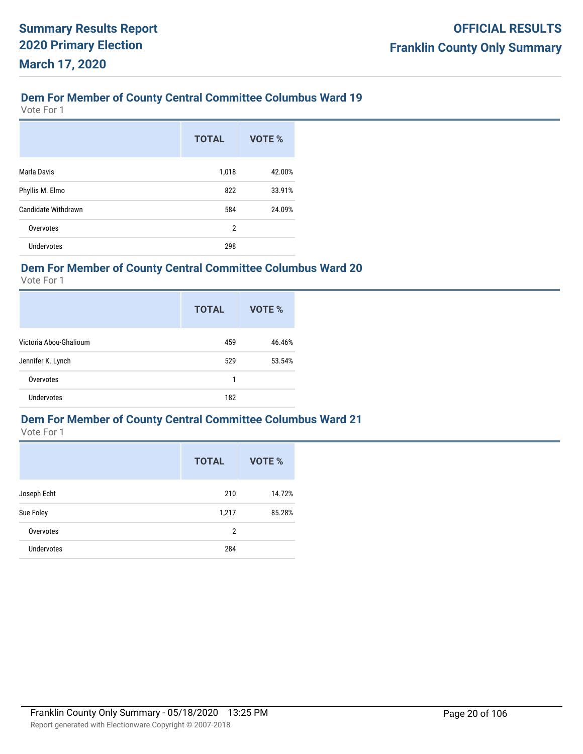Vote For 1

|                     | <b>TOTAL</b>   | <b>VOTE %</b> |
|---------------------|----------------|---------------|
| Marla Davis         | 1,018          | 42.00%        |
| Phyllis M. Elmo     | 822            | 33.91%        |
| Candidate Withdrawn | 584            | 24.09%        |
| Overvotes           | $\overline{2}$ |               |
| <b>Undervotes</b>   | 298            |               |

#### **Dem For Member of County Central Committee Columbus Ward 20**

Vote For 1

|                        | <b>TOTAL</b> | VOTE % |
|------------------------|--------------|--------|
| Victoria Abou-Ghalioum | 459          | 46.46% |
| Jennifer K. Lynch      | 529          | 53.54% |
| Overvotes              | 1            |        |
| <b>Undervotes</b>      | 182          |        |

#### **Dem For Member of County Central Committee Columbus Ward 21**

|                   | <b>TOTAL</b>   | VOTE % |
|-------------------|----------------|--------|
| Joseph Echt       | 210            | 14.72% |
| Sue Foley         | 1,217          | 85.28% |
| Overvotes         | $\overline{2}$ |        |
| <b>Undervotes</b> | 284            |        |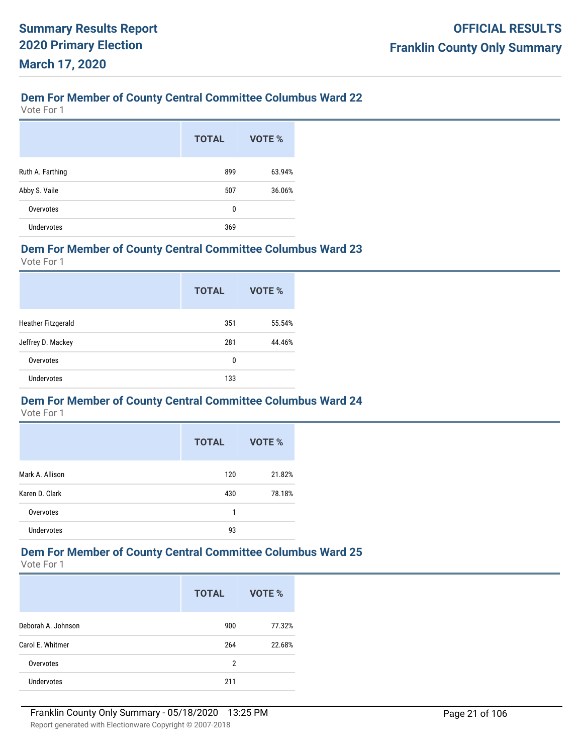Vote For 1

|                   | <b>TOTAL</b> | VOTE % |
|-------------------|--------------|--------|
| Ruth A. Farthing  | 899          | 63.94% |
| Abby S. Vaile     | 507          | 36.06% |
| Overvotes         | 0            |        |
| <b>Undervotes</b> | 369          |        |

#### **Dem For Member of County Central Committee Columbus Ward 23**

Vote For 1

|                           | <b>TOTAL</b> | VOTE % |
|---------------------------|--------------|--------|
| <b>Heather Fitzgerald</b> | 351          | 55.54% |
| Jeffrey D. Mackey         | 281          | 44.46% |
| Overvotes                 | 0            |        |
| <b>Undervotes</b>         | 133          |        |

#### **Dem For Member of County Central Committee Columbus Ward 24**

Vote For 1

|                   | <b>TOTAL</b> | <b>VOTE %</b> |
|-------------------|--------------|---------------|
| Mark A. Allison   | 120          | 21.82%        |
| Karen D. Clark    | 430          | 78.18%        |
| Overvotes         | 1            |               |
| <b>Undervotes</b> | 93           |               |

# **Dem For Member of County Central Committee Columbus Ward 25**

|                    | <b>TOTAL</b> | VOTE % |
|--------------------|--------------|--------|
| Deborah A. Johnson | 900          | 77.32% |
| Carol E. Whitmer   | 264          | 22.68% |
| Overvotes          | 2            |        |
| <b>Undervotes</b>  | 211          |        |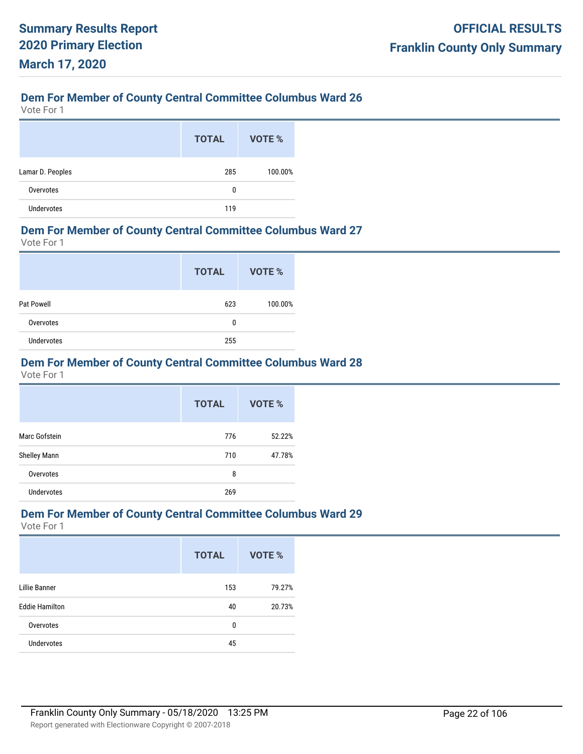Vote For 1

|                   | <b>TOTAL</b> | VOTE %  |
|-------------------|--------------|---------|
| Lamar D. Peoples  | 285          | 100.00% |
| Overvotes         | 0            |         |
| <b>Undervotes</b> | 119          |         |

#### **Dem For Member of County Central Committee Columbus Ward 27**

Vote For 1

|                   | <b>TOTAL</b> | VOTE %  |
|-------------------|--------------|---------|
| Pat Powell        | 623          | 100.00% |
| Overvotes         | 0            |         |
| <b>Undervotes</b> | 255          |         |

### **Dem For Member of County Central Committee Columbus Ward 28**

Vote For 1

|                     | <b>TOTAL</b> | VOTE % |
|---------------------|--------------|--------|
| Marc Gofstein       | 776          | 52.22% |
| <b>Shelley Mann</b> | 710          | 47.78% |
| Overvotes           | 8            |        |
| <b>Undervotes</b>   | 269          |        |

#### **Dem For Member of County Central Committee Columbus Ward 29**

|                       | <b>TOTAL</b> | <b>VOTE %</b> |
|-----------------------|--------------|---------------|
| <b>Lillie Banner</b>  | 153          | 79.27%        |
| <b>Eddie Hamilton</b> | 40           | 20.73%        |
| Overvotes             | 0            |               |
| <b>Undervotes</b>     | 45           |               |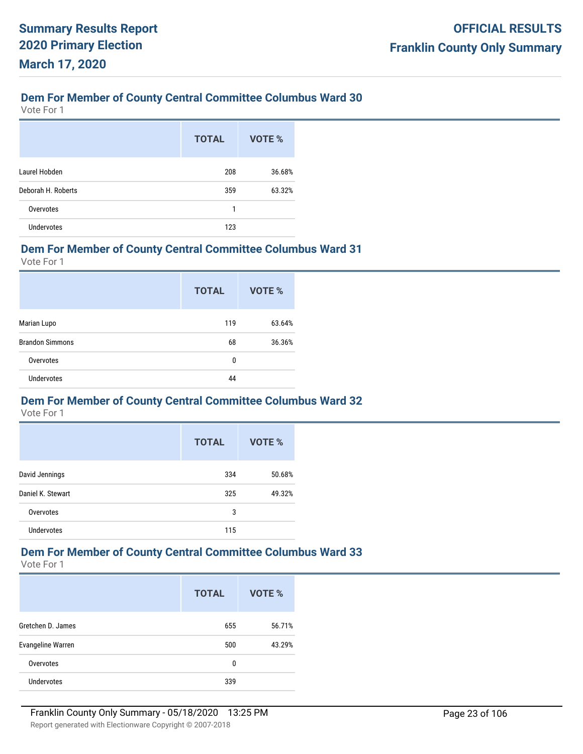Vote For 1

|                    | <b>TOTAL</b> | VOTE % |
|--------------------|--------------|--------|
| Laurel Hobden      | 208          | 36.68% |
| Deborah H. Roberts | 359          | 63.32% |
| Overvotes          | 1            |        |
| <b>Undervotes</b>  | 123          |        |

#### **Dem For Member of County Central Committee Columbus Ward 31**

Vote For 1

|                        | <b>TOTAL</b> | <b>VOTE %</b> |
|------------------------|--------------|---------------|
| Marian Lupo            | 119          | 63.64%        |
| <b>Brandon Simmons</b> | 68           | 36.36%        |
| Overvotes              | 0            |               |
| <b>Undervotes</b>      | 44           |               |

#### **Dem For Member of County Central Committee Columbus Ward 32**

Vote For 1

|                   | <b>TOTAL</b> | <b>VOTE %</b> |
|-------------------|--------------|---------------|
| David Jennings    | 334          | 50.68%        |
| Daniel K. Stewart | 325          | 49.32%        |
| Overvotes         | 3            |               |
| <b>Undervotes</b> | 115          |               |

# **Dem For Member of County Central Committee Columbus Ward 33**

|                          | <b>TOTAL</b> | VOTE % |
|--------------------------|--------------|--------|
| Gretchen D. James        | 655          | 56.71% |
| <b>Evangeline Warren</b> | 500          | 43.29% |
| Overvotes                | 0            |        |
| <b>Undervotes</b>        | 339          |        |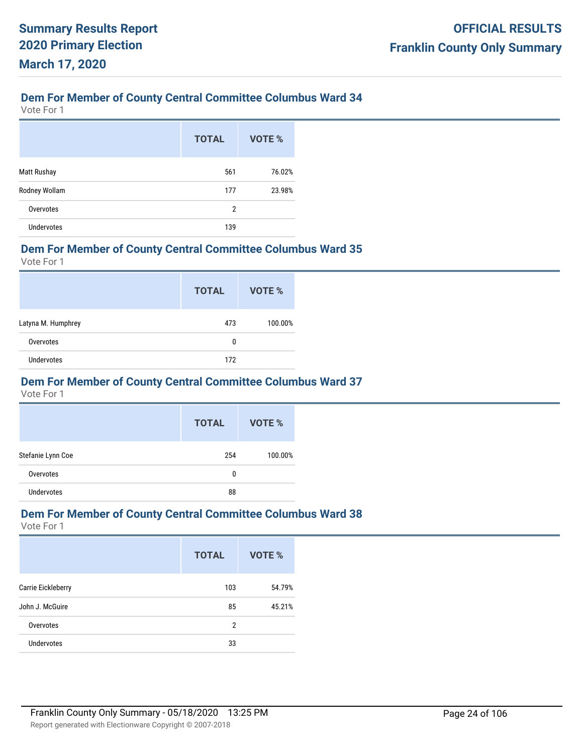Vote For 1

|                    | <b>TOTAL</b>   | VOTE % |
|--------------------|----------------|--------|
| <b>Matt Rushay</b> | 561            | 76.02% |
| Rodney Wollam      | 177            | 23.98% |
| Overvotes          | $\overline{2}$ |        |
| <b>Undervotes</b>  | 139            |        |

#### **Dem For Member of County Central Committee Columbus Ward 35**

Vote For 1

|                    | <b>TOTAL</b> | VOTE %  |
|--------------------|--------------|---------|
| Latyna M. Humphrey | 473          | 100.00% |
| Overvotes          | 0            |         |
| <b>Undervotes</b>  | 172          |         |

#### **Dem For Member of County Central Committee Columbus Ward 37**

Vote For 1

|                   | <b>TOTAL</b> | VOTE %  |
|-------------------|--------------|---------|
| Stefanie Lynn Coe | 254          | 100.00% |
| Overvotes         | 0            |         |
| <b>Undervotes</b> | 88           |         |

#### **Dem For Member of County Central Committee Columbus Ward 38**

|                    | <b>TOTAL</b> | <b>VOTE %</b> |
|--------------------|--------------|---------------|
| Carrie Eickleberry | 103          | 54.79%        |
| John J. McGuire    | 85           | 45.21%        |
| Overvotes          | 2            |               |
| <b>Undervotes</b>  | 33           |               |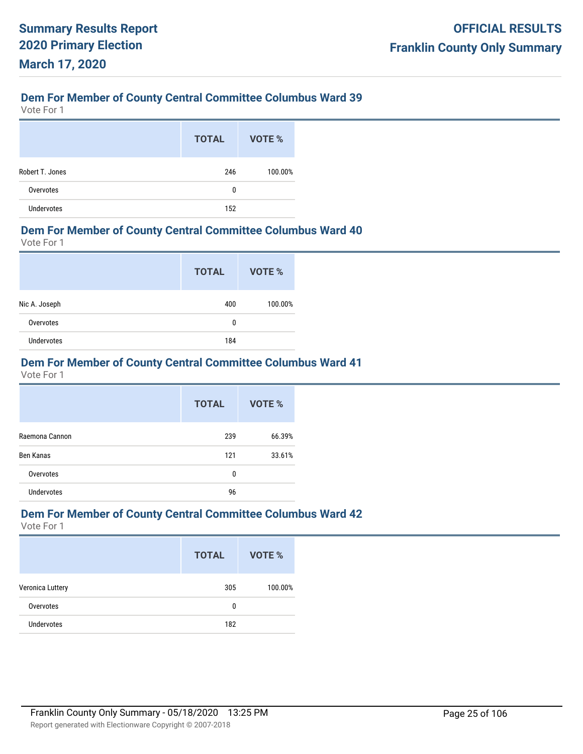Vote For 1

|                   | <b>TOTAL</b> | VOTE %  |
|-------------------|--------------|---------|
| Robert T. Jones   | 246          | 100.00% |
| Overvotes         | 0            |         |
| <b>Undervotes</b> | 152          |         |

#### **Dem For Member of County Central Committee Columbus Ward 40**

Vote For 1

|                   | <b>TOTAL</b> | VOTE %  |
|-------------------|--------------|---------|
| Nic A. Joseph     | 400          | 100.00% |
| Overvotes         | 0            |         |
| <b>Undervotes</b> | 184          |         |

### **Dem For Member of County Central Committee Columbus Ward 41**

Vote For 1

|                   | <b>TOTAL</b> | VOTE % |
|-------------------|--------------|--------|
| Raemona Cannon    | 239          | 66.39% |
| <b>Ben Kanas</b>  | 121          | 33.61% |
| Overvotes         | 0            |        |
| <b>Undervotes</b> | 96           |        |

#### **Dem For Member of County Central Committee Columbus Ward 42**

|                   | <b>TOTAL</b> | VOTE %  |
|-------------------|--------------|---------|
| Veronica Luttery  | 305          | 100.00% |
| Overvotes         | 0            |         |
| <b>Undervotes</b> | 182          |         |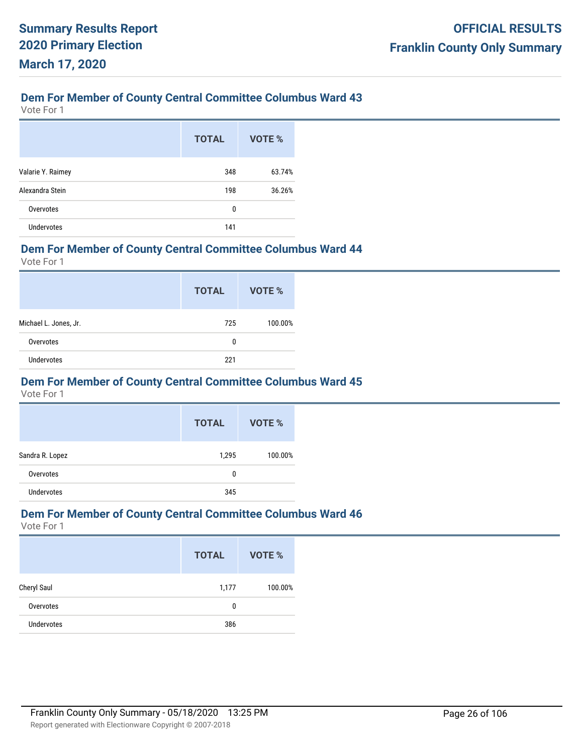Vote For 1

|                   | <b>TOTAL</b> | VOTE % |
|-------------------|--------------|--------|
| Valarie Y. Raimey | 348          | 63.74% |
| Alexandra Stein   | 198          | 36.26% |
| Overvotes         | 0            |        |
| <b>Undervotes</b> | 141          |        |

#### **Dem For Member of County Central Committee Columbus Ward 44**

Vote For 1

|                       | <b>TOTAL</b> | VOTE %  |
|-----------------------|--------------|---------|
| Michael L. Jones, Jr. | 725          | 100.00% |
| Overvotes             | 0            |         |
| <b>Undervotes</b>     | 221          |         |

#### **Dem For Member of County Central Committee Columbus Ward 45**

Vote For 1

|                   | <b>TOTAL</b> | VOTE %  |
|-------------------|--------------|---------|
| Sandra R. Lopez   | 1,295        | 100.00% |
| Overvotes         | 0            |         |
| <b>Undervotes</b> | 345          |         |

#### **Dem For Member of County Central Committee Columbus Ward 46**

|                   | <b>TOTAL</b> | <b>VOTE %</b> |
|-------------------|--------------|---------------|
| Cheryl Saul       | 1,177        | 100.00%       |
| Overvotes         | 0            |               |
| <b>Undervotes</b> | 386          |               |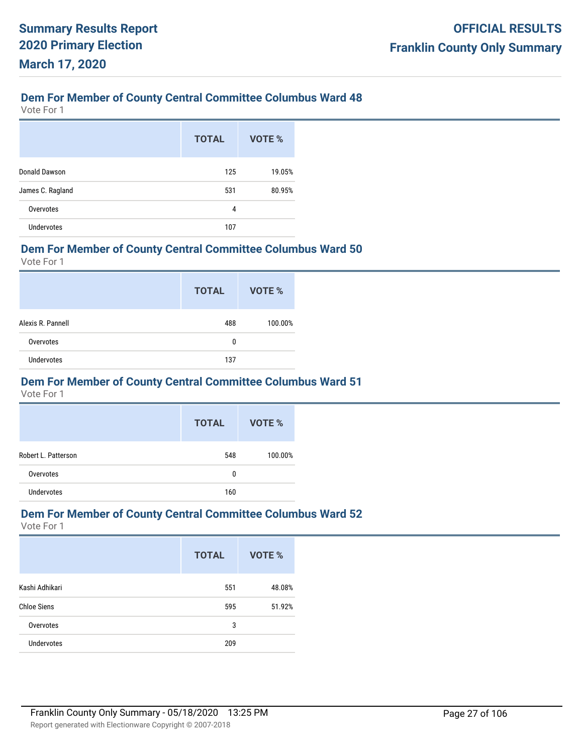Vote For 1

|                   | <b>TOTAL</b> | VOTE % |
|-------------------|--------------|--------|
| Donald Dawson     | 125          | 19.05% |
| James C. Ragland  | 531          | 80.95% |
| Overvotes         | 4            |        |
| <b>Undervotes</b> | 107          |        |

#### **Dem For Member of County Central Committee Columbus Ward 50**

Vote For 1

|                   | <b>TOTAL</b> | VOTE %  |
|-------------------|--------------|---------|
| Alexis R. Pannell | 488          | 100.00% |
| Overvotes         | 0            |         |
| <b>Undervotes</b> | 137          |         |

#### **Dem For Member of County Central Committee Columbus Ward 51**

Vote For 1

|                     | <b>TOTAL</b> | VOTE %  |
|---------------------|--------------|---------|
| Robert L. Patterson | 548          | 100.00% |
| Overvotes           | 0            |         |
| Undervotes          | 160          |         |

#### **Dem For Member of County Central Committee Columbus Ward 52**

|                    | <b>TOTAL</b> | <b>VOTE %</b> |
|--------------------|--------------|---------------|
| Kashi Adhikari     | 551          | 48.08%        |
| <b>Chloe Siens</b> | 595          | 51.92%        |
| Overvotes          | 3            |               |
| <b>Undervotes</b>  | 209          |               |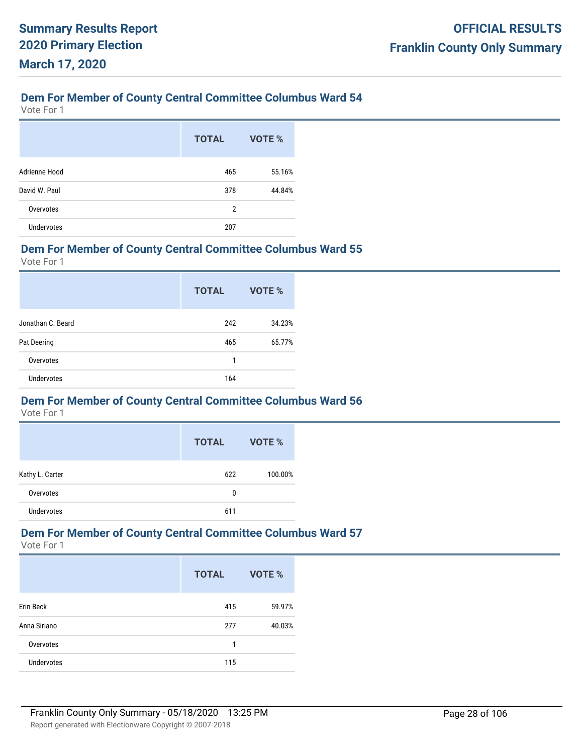Vote For 1

|                   | <b>TOTAL</b>   | VOTE % |
|-------------------|----------------|--------|
| Adrienne Hood     | 465            | 55.16% |
| David W. Paul     | 378            | 44.84% |
| Overvotes         | $\overline{2}$ |        |
| <b>Undervotes</b> | 207            |        |

#### **Dem For Member of County Central Committee Columbus Ward 55**

Vote For 1

|                   | <b>TOTAL</b> | VOTE % |
|-------------------|--------------|--------|
| Jonathan C. Beard | 242          | 34.23% |
| Pat Deering       | 465          | 65.77% |
| Overvotes         | 1            |        |
| <b>Undervotes</b> | 164          |        |

#### **Dem For Member of County Central Committee Columbus Ward 56**

Vote For 1

|                 | <b>TOTAL</b> | VOTE %  |
|-----------------|--------------|---------|
| Kathy L. Carter | 622          | 100.00% |
| Overvotes       | 0            |         |
| Undervotes      | 611          |         |

## **Dem For Member of County Central Committee Columbus Ward 57**

|                   | <b>TOTAL</b> | VOTE % |
|-------------------|--------------|--------|
| Erin Beck         | 415          | 59.97% |
| Anna Siriano      | 277          | 40.03% |
| Overvotes         | 1            |        |
| <b>Undervotes</b> | 115          |        |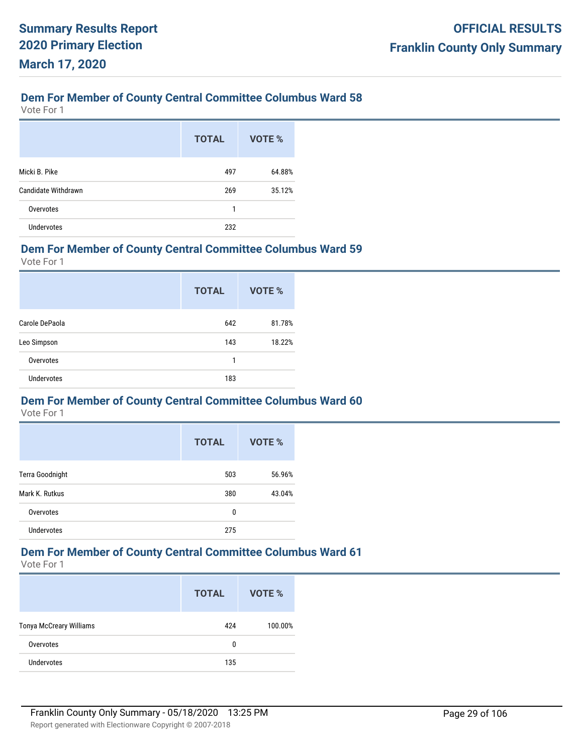Vote For 1

|                     | <b>TOTAL</b> | VOTE % |
|---------------------|--------------|--------|
| Micki B. Pike       | 497          | 64.88% |
| Candidate Withdrawn | 269          | 35.12% |
| Overvotes           | 1            |        |
| <b>Undervotes</b>   | 232          |        |

#### **Dem For Member of County Central Committee Columbus Ward 59**

Vote For 1

|                   | <b>TOTAL</b> | <b>VOTE %</b> |
|-------------------|--------------|---------------|
| Carole DePaola    | 642          | 81.78%        |
| Leo Simpson       | 143          | 18.22%        |
| Overvotes         | 1            |               |
| <b>Undervotes</b> | 183          |               |

#### **Dem For Member of County Central Committee Columbus Ward 60**

Vote For 1

|                   | <b>TOTAL</b> | <b>VOTE %</b> |
|-------------------|--------------|---------------|
| Terra Goodnight   | 503          | 56.96%        |
| Mark K. Rutkus    | 380          | 43.04%        |
| Overvotes         | 0            |               |
| <b>Undervotes</b> | 275          |               |

# **Dem For Member of County Central Committee Columbus Ward 61**

|                                | <b>TOTAL</b> | VOTE %  |
|--------------------------------|--------------|---------|
| <b>Tonya McCreary Williams</b> | 424          | 100.00% |
| Overvotes                      | 0            |         |
| <b>Undervotes</b>              | 135          |         |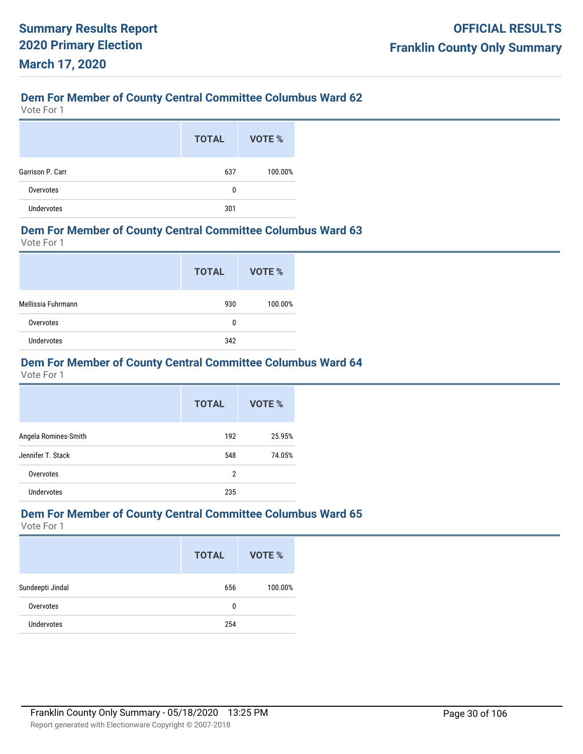Vote For 1

|                   | <b>TOTAL</b> | VOTE %  |
|-------------------|--------------|---------|
| Garrison P. Carr  | 637          | 100.00% |
| Overvotes         | 0            |         |
| <b>Undervotes</b> | 301          |         |

#### **Dem For Member of County Central Committee Columbus Ward 63**

Vote For 1

|                    | <b>TOTAL</b> | VOTE %  |
|--------------------|--------------|---------|
| Mellissia Fuhrmann | 930          | 100.00% |
| Overvotes          | 0            |         |
| <b>Undervotes</b>  | 342          |         |

### **Dem For Member of County Central Committee Columbus Ward 64**

Vote For 1

|                      | <b>TOTAL</b> | VOTE % |
|----------------------|--------------|--------|
| Angela Romines-Smith | 192          | 25.95% |
| Jennifer T. Stack    | 548          | 74.05% |
| Overvotes            | 2            |        |
| Undervotes           | 235          |        |

#### **Dem For Member of County Central Committee Columbus Ward 65**

|                   | <b>TOTAL</b> | VOTE %  |
|-------------------|--------------|---------|
| Sundeepti Jindal  | 656          | 100.00% |
| Overvotes         | 0            |         |
| <b>Undervotes</b> | 254          |         |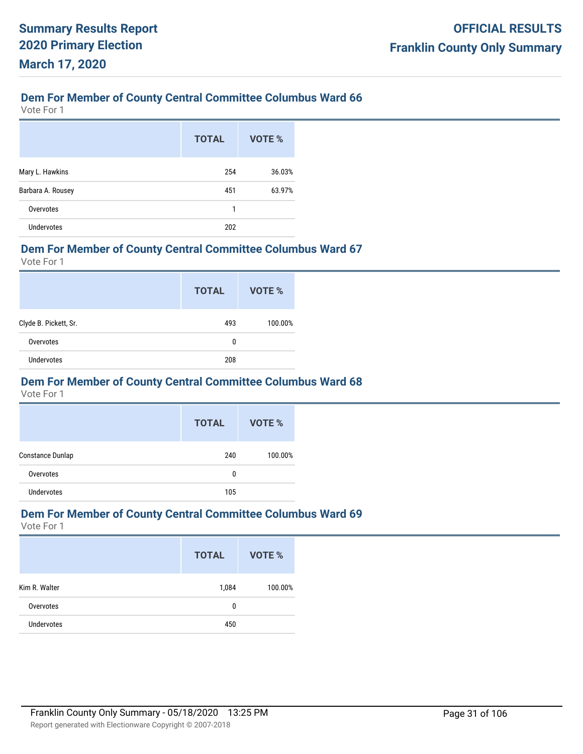Vote For 1

|                   | <b>TOTAL</b> | VOTE % |
|-------------------|--------------|--------|
| Mary L. Hawkins   | 254          | 36.03% |
| Barbara A. Rousey | 451          | 63.97% |
| Overvotes         | 1            |        |
| <b>Undervotes</b> | 202          |        |

#### **Dem For Member of County Central Committee Columbus Ward 67**

Vote For 1

|                       | <b>TOTAL</b> | VOTE %  |
|-----------------------|--------------|---------|
| Clyde B. Pickett, Sr. | 493          | 100.00% |
| Overvotes             | 0            |         |
| <b>Undervotes</b>     | 208          |         |

#### **Dem For Member of County Central Committee Columbus Ward 68**

Vote For 1

|                  | <b>TOTAL</b> | VOTE %  |
|------------------|--------------|---------|
| Constance Dunlap | 240          | 100.00% |
| Overvotes        | 0            |         |
| Undervotes       | 105          |         |

#### **Dem For Member of County Central Committee Columbus Ward 69**

|                   | <b>TOTAL</b> | VOTE %  |
|-------------------|--------------|---------|
| Kim R. Walter     | 1,084        | 100.00% |
| Overvotes         | 0            |         |
| <b>Undervotes</b> | 450          |         |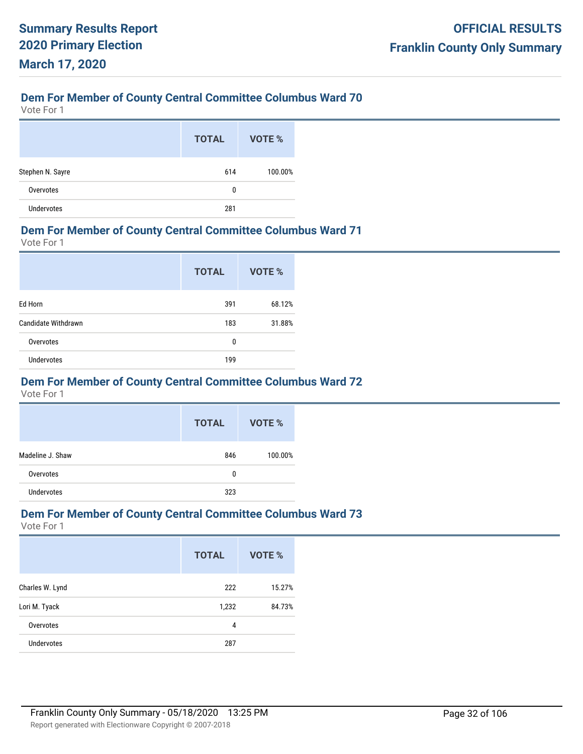Vote For 1

|                  | <b>TOTAL</b> | VOTE %  |
|------------------|--------------|---------|
| Stephen N. Sayre | 614          | 100.00% |
| Overvotes        | 0            |         |
| Undervotes       | 281          |         |

#### **Dem For Member of County Central Committee Columbus Ward 71**

Vote For 1

|                     | <b>TOTAL</b> | VOTE % |
|---------------------|--------------|--------|
| Ed Horn             | 391          | 68.12% |
| Candidate Withdrawn | 183          | 31.88% |
| Overvotes           | 0            |        |
| <b>Undervotes</b>   | 199          |        |

#### **Dem For Member of County Central Committee Columbus Ward 72**

Vote For 1

|                  | <b>TOTAL</b> | VOTE %  |
|------------------|--------------|---------|
| Madeline J. Shaw | 846          | 100.00% |
| Overvotes        | 0            |         |
| Undervotes       | 323          |         |

#### **Dem For Member of County Central Committee Columbus Ward 73**

|                   | <b>TOTAL</b> | VOTE % |
|-------------------|--------------|--------|
| Charles W. Lynd   | 222          | 15.27% |
| Lori M. Tyack     | 1,232        | 84.73% |
| Overvotes         | 4            |        |
| <b>Undervotes</b> | 287          |        |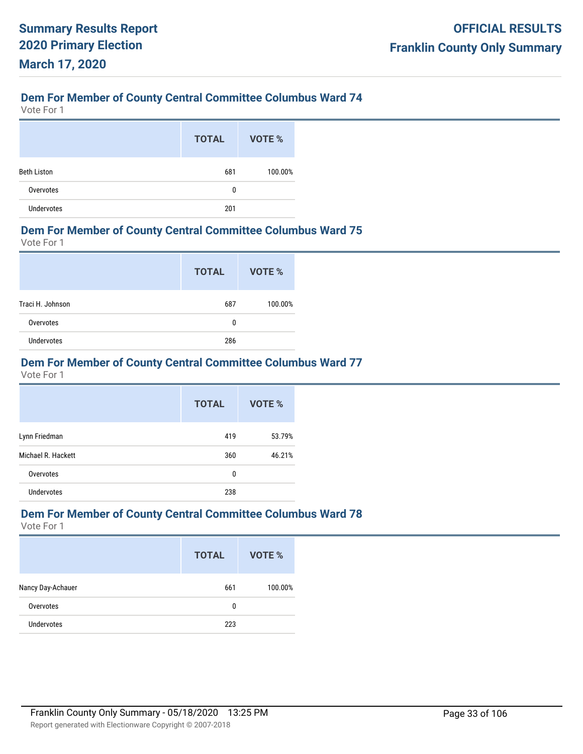Vote For 1

|                    | <b>TOTAL</b> | VOTE %  |
|--------------------|--------------|---------|
| <b>Beth Liston</b> | 681          | 100.00% |
| Overvotes          | 0            |         |
| <b>Undervotes</b>  | 201          |         |

#### **Dem For Member of County Central Committee Columbus Ward 75**

Vote For 1

|                   | <b>TOTAL</b> | VOTE %  |
|-------------------|--------------|---------|
| Traci H. Johnson  | 687          | 100.00% |
| Overvotes         | 0            |         |
| <b>Undervotes</b> | 286          |         |

### **Dem For Member of County Central Committee Columbus Ward 77**

Vote For 1

|                    | <b>TOTAL</b> | <b>VOTE %</b> |
|--------------------|--------------|---------------|
| Lynn Friedman      | 419          | 53.79%        |
| Michael R. Hackett | 360          | 46.21%        |
| Overvotes          | 0            |               |
| <b>Undervotes</b>  | 238          |               |

#### **Dem For Member of County Central Committee Columbus Ward 78**

|                   | <b>TOTAL</b> | VOTE %  |
|-------------------|--------------|---------|
| Nancy Day-Achauer | 661          | 100.00% |
| Overvotes         | 0            |         |
| <b>Undervotes</b> | 223          |         |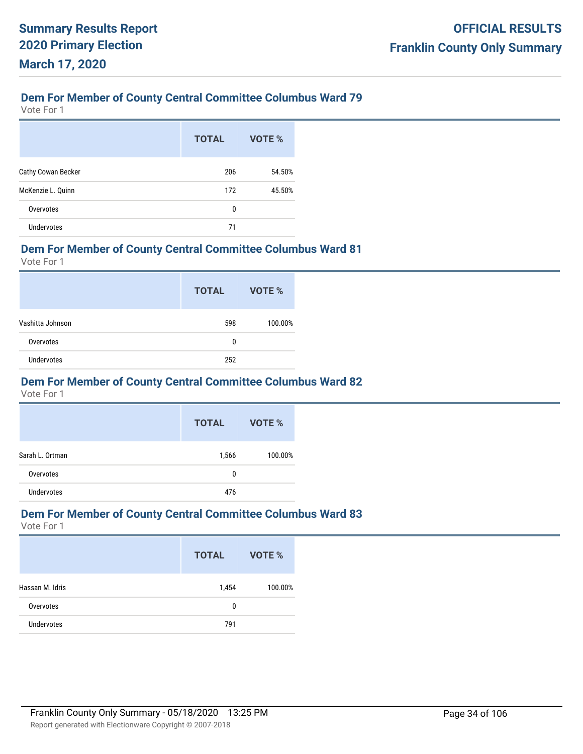Vote For 1

|                    | <b>TOTAL</b> | VOTE % |
|--------------------|--------------|--------|
| Cathy Cowan Becker | 206          | 54.50% |
| McKenzie L. Quinn  | 172          | 45.50% |
| Overvotes          | 0            |        |
| <b>Undervotes</b>  | 71           |        |

#### **Dem For Member of County Central Committee Columbus Ward 81**

Vote For 1

|                   | <b>TOTAL</b> | VOTE %  |
|-------------------|--------------|---------|
| Vashitta Johnson  | 598          | 100.00% |
| Overvotes         | 0            |         |
| <b>Undervotes</b> | 252          |         |

#### **Dem For Member of County Central Committee Columbus Ward 82**

Vote For 1

|                 | <b>TOTAL</b> | VOTE %  |
|-----------------|--------------|---------|
| Sarah L. Ortman | 1,566        | 100.00% |
| Overvotes       | 0            |         |
| Undervotes      | 476          |         |

#### **Dem For Member of County Central Committee Columbus Ward 83**

|                   | <b>TOTAL</b> | <b>VOTE %</b> |
|-------------------|--------------|---------------|
| Hassan M. Idris   | 1,454        | 100.00%       |
| Overvotes         | 0            |               |
| <b>Undervotes</b> | 791          |               |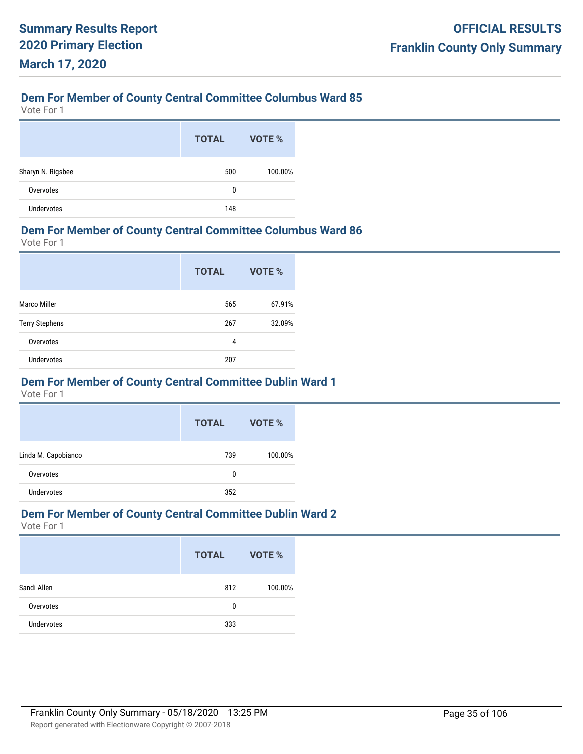Vote For 1

|                   | <b>TOTAL</b> | VOTE %  |
|-------------------|--------------|---------|
| Sharyn N. Rigsbee | 500          | 100.00% |
| Overvotes         | 0            |         |
| Undervotes        | 148          |         |

#### **Dem For Member of County Central Committee Columbus Ward 86**

Vote For 1

|                       | <b>TOTAL</b> | VOTE % |
|-----------------------|--------------|--------|
| <b>Marco Miller</b>   | 565          | 67.91% |
| <b>Terry Stephens</b> | 267          | 32.09% |
| Overvotes             | 4            |        |
| <b>Undervotes</b>     | 207          |        |

#### **Dem For Member of County Central Committee Dublin Ward 1**

Vote For 1

|                     | <b>TOTAL</b> | VOTE %  |
|---------------------|--------------|---------|
| Linda M. Capobianco | 739          | 100.00% |
| Overvotes           | 0            |         |
| Undervotes          | 352          |         |

#### **Dem For Member of County Central Committee Dublin Ward 2**

|                   | <b>TOTAL</b> | VOTE %  |
|-------------------|--------------|---------|
| Sandi Allen       | 812          | 100.00% |
| Overvotes         | 0            |         |
| <b>Undervotes</b> | 333          |         |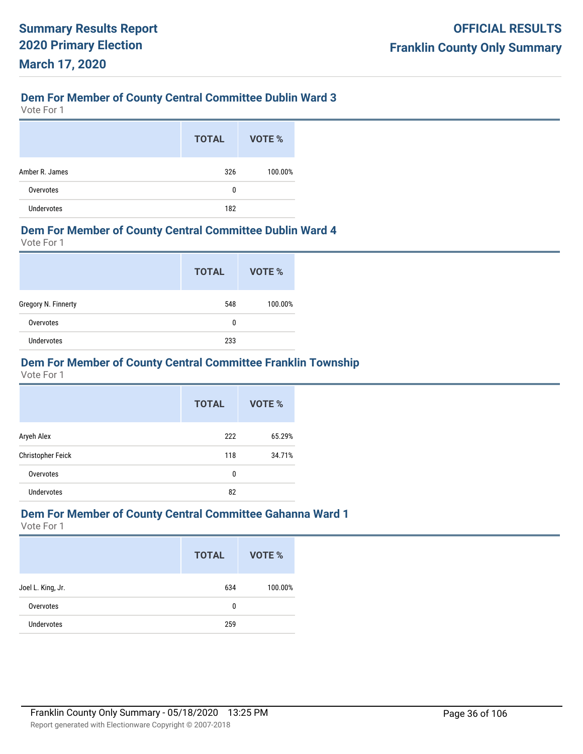Vote For 1

|                   | <b>TOTAL</b> | <b>VOTE %</b> |
|-------------------|--------------|---------------|
| Amber R. James    | 326          | 100.00%       |
| Overvotes         | 0            |               |
| <b>Undervotes</b> | 182          |               |

#### **Dem For Member of County Central Committee Dublin Ward 4**

Vote For 1

|                     | <b>TOTAL</b> | VOTE %  |
|---------------------|--------------|---------|
| Gregory N. Finnerty | 548          | 100.00% |
| Overvotes           | 0            |         |
| <b>Undervotes</b>   | 233          |         |

### **Dem For Member of County Central Committee Franklin Township**

Vote For 1

|                   | <b>TOTAL</b> | VOTE % |
|-------------------|--------------|--------|
| Aryeh Alex        | 222          | 65.29% |
| Christopher Feick | 118          | 34.71% |
| Overvotes         | 0            |        |
| <b>Undervotes</b> | 82           |        |

#### **Dem For Member of County Central Committee Gahanna Ward 1**

|                   | <b>TOTAL</b> | VOTE %  |
|-------------------|--------------|---------|
| Joel L. King, Jr. | 634          | 100.00% |
| Overvotes         | 0            |         |
| Undervotes        | 259          |         |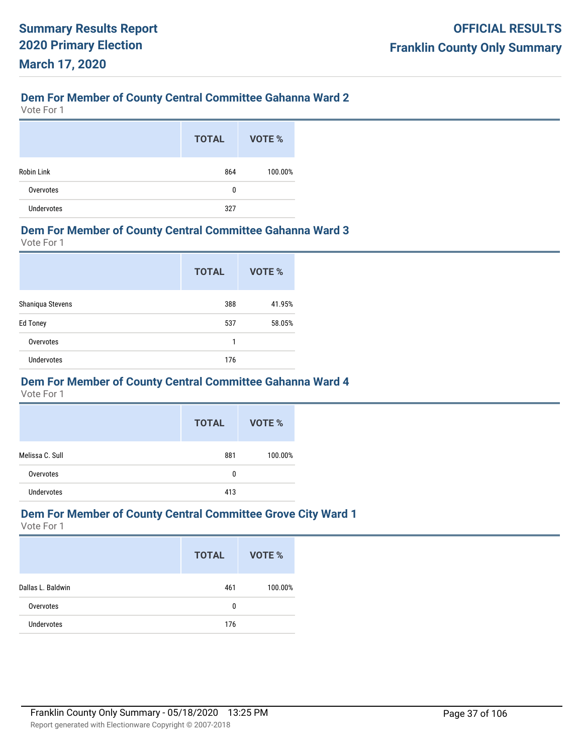## **Dem For Member of County Central Committee Gahanna Ward 2**

Vote For 1

|                   | <b>TOTAL</b> | VOTE %  |
|-------------------|--------------|---------|
| <b>Robin Link</b> | 864          | 100.00% |
| Overvotes         | 0            |         |
| Undervotes        | 327          |         |

#### **Dem For Member of County Central Committee Gahanna Ward 3**

Vote For 1

|                   | <b>TOTAL</b> | VOTE % |
|-------------------|--------------|--------|
| Shaniqua Stevens  | 388          | 41.95% |
| <b>Ed Toney</b>   | 537          | 58.05% |
| Overvotes         | 1            |        |
| <b>Undervotes</b> | 176          |        |

## **Dem For Member of County Central Committee Gahanna Ward 4**

Vote For 1

|                 | <b>TOTAL</b> | VOTE %  |
|-----------------|--------------|---------|
| Melissa C. Sull | 881          | 100.00% |
| Overvotes       | 0            |         |
| Undervotes      | 413          |         |

### **Dem For Member of County Central Committee Grove City Ward 1**

|                   | <b>TOTAL</b> | VOTE %  |
|-------------------|--------------|---------|
| Dallas L. Baldwin | 461          | 100.00% |
| Overvotes         | 0            |         |
| <b>Undervotes</b> | 176          |         |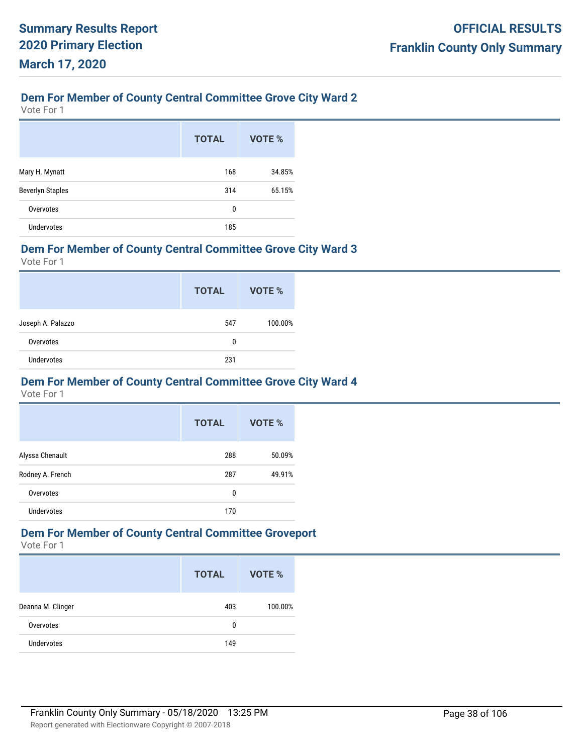# **Dem For Member of County Central Committee Grove City Ward 2**

Vote For 1

|                         | <b>TOTAL</b> | VOTE % |
|-------------------------|--------------|--------|
| Mary H. Mynatt          | 168          | 34.85% |
| <b>Beverlyn Staples</b> | 314          | 65.15% |
| Overvotes               | 0            |        |
| <b>Undervotes</b>       | 185          |        |

### **Dem For Member of County Central Committee Grove City Ward 3**

Vote For 1

|                   | <b>TOTAL</b> | VOTE %  |
|-------------------|--------------|---------|
| Joseph A. Palazzo | 547          | 100.00% |
| Overvotes         | 0            |         |
| <b>Undervotes</b> | 231          |         |

### **Dem For Member of County Central Committee Grove City Ward 4**

Vote For 1

|                   | <b>TOTAL</b> | VOTE % |
|-------------------|--------------|--------|
| Alyssa Chenault   | 288          | 50.09% |
| Rodney A. French  | 287          | 49.91% |
| Overvotes         | 0            |        |
| <b>Undervotes</b> | 170          |        |

# **Dem For Member of County Central Committee Groveport**

|                   | <b>TOTAL</b> | VOTE %  |
|-------------------|--------------|---------|
| Deanna M. Clinger | 403          | 100.00% |
| Overvotes         | 0            |         |
| Undervotes        | 149          |         |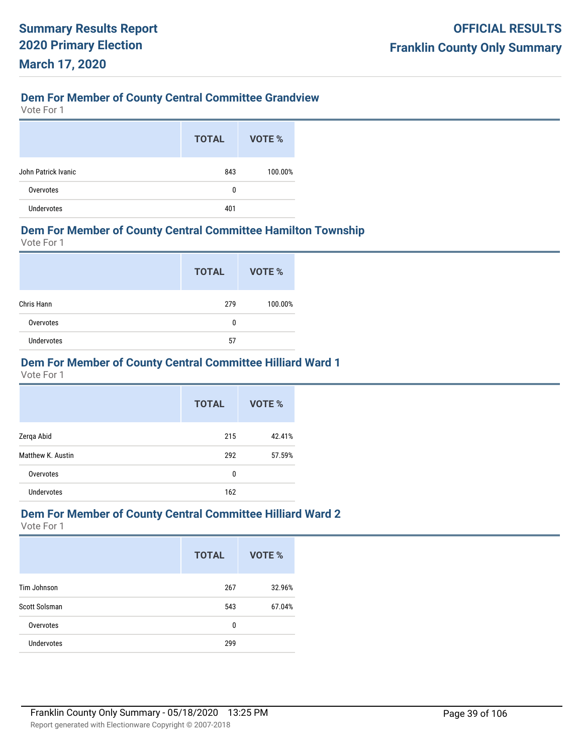# **Dem For Member of County Central Committee Grandview**

Vote For 1

|                     | <b>TOTAL</b> | VOTE %  |
|---------------------|--------------|---------|
| John Patrick Ivanic | 843          | 100.00% |
| Overvotes           | 0            |         |
| <b>Undervotes</b>   | 401          |         |

## **Dem For Member of County Central Committee Hamilton Township**

Vote For 1

|            | <b>TOTAL</b> | VOTE %  |
|------------|--------------|---------|
| Chris Hann | 279          | 100.00% |
| Overvotes  | 0            |         |
| Undervotes | 57           |         |

## **Dem For Member of County Central Committee Hilliard Ward 1**

Vote For 1

|                   | <b>TOTAL</b> | VOTE % |
|-------------------|--------------|--------|
| Zerqa Abid        | 215          | 42.41% |
| Matthew K. Austin | 292          | 57.59% |
| Overvotes         | 0            |        |
| <b>Undervotes</b> | 162          |        |

## **Dem For Member of County Central Committee Hilliard Ward 2**

|                      | <b>TOTAL</b> | <b>VOTE %</b> |
|----------------------|--------------|---------------|
| Tim Johnson          | 267          | 32.96%        |
| <b>Scott Solsman</b> | 543          | 67.04%        |
| Overvotes            | 0            |               |
| <b>Undervotes</b>    | 299          |               |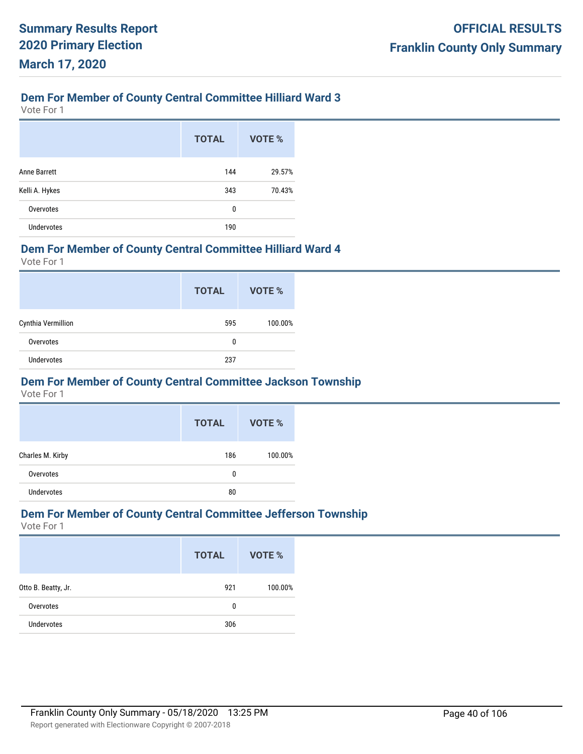# **Dem For Member of County Central Committee Hilliard Ward 3**

Vote For 1

|                   | <b>TOTAL</b> | <b>VOTE %</b> |
|-------------------|--------------|---------------|
| Anne Barrett      | 144          | 29.57%        |
| Kelli A. Hykes    | 343          | 70.43%        |
| Overvotes         | 0            |               |
| <b>Undervotes</b> | 190          |               |

### **Dem For Member of County Central Committee Hilliard Ward 4**

Vote For 1

|                    | <b>TOTAL</b> | VOTE %  |
|--------------------|--------------|---------|
| Cynthia Vermillion | 595          | 100.00% |
| Overvotes          | 0            |         |
| <b>Undervotes</b>  | 237          |         |

## **Dem For Member of County Central Committee Jackson Township**

Vote For 1

|                  | <b>TOTAL</b> | VOTE %  |
|------------------|--------------|---------|
| Charles M. Kirby | 186          | 100.00% |
| Overvotes        | 0            |         |
| Undervotes       | 80           |         |

## **Dem For Member of County Central Committee Jefferson Township**

|                     | <b>TOTAL</b> | VOTE %  |
|---------------------|--------------|---------|
| Otto B. Beatty, Jr. | 921          | 100.00% |
| Overvotes           | 0            |         |
| <b>Undervotes</b>   | 306          |         |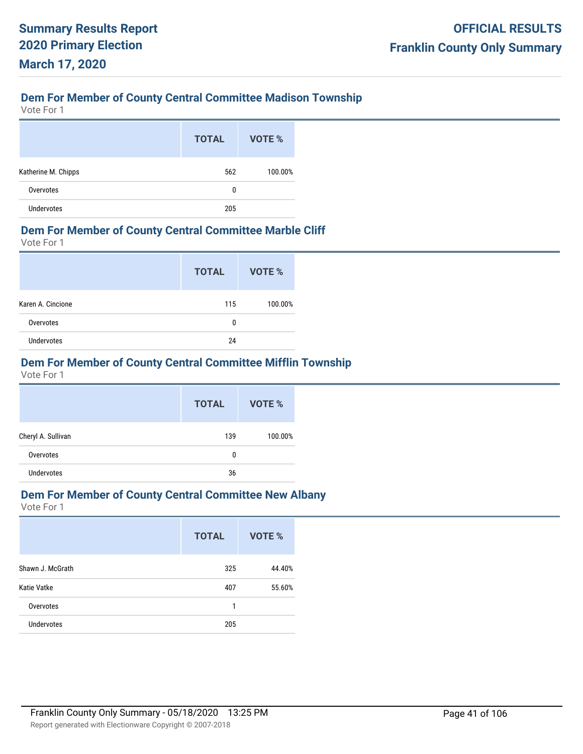# **Dem For Member of County Central Committee Madison Township**

Vote For 1

|                     | <b>TOTAL</b> | VOTE %  |
|---------------------|--------------|---------|
| Katherine M. Chipps | 562          | 100.00% |
| Overvotes           | 0            |         |
| <b>Undervotes</b>   | 205          |         |

### **Dem For Member of County Central Committee Marble Cliff**

Vote For 1

|                   | <b>TOTAL</b> | VOTE %  |
|-------------------|--------------|---------|
| Karen A. Cincione | 115          | 100.00% |
| Overvotes         | 0            |         |
| <b>Undervotes</b> | 24           |         |

# **Dem For Member of County Central Committee Mifflin Township**

Vote For 1

|                    | <b>TOTAL</b> | <b>VOTE %</b> |
|--------------------|--------------|---------------|
| Cheryl A. Sullivan | 139          | 100.00%       |
| Overvotes          | 0            |               |
| <b>Undervotes</b>  | 36           |               |

# **Dem For Member of County Central Committee New Albany**

|                   | <b>TOTAL</b> | VOTE % |
|-------------------|--------------|--------|
| Shawn J. McGrath  | 325          | 44.40% |
| Katie Vatke       | 407          | 55.60% |
| Overvotes         | 1            |        |
| <b>Undervotes</b> | 205          |        |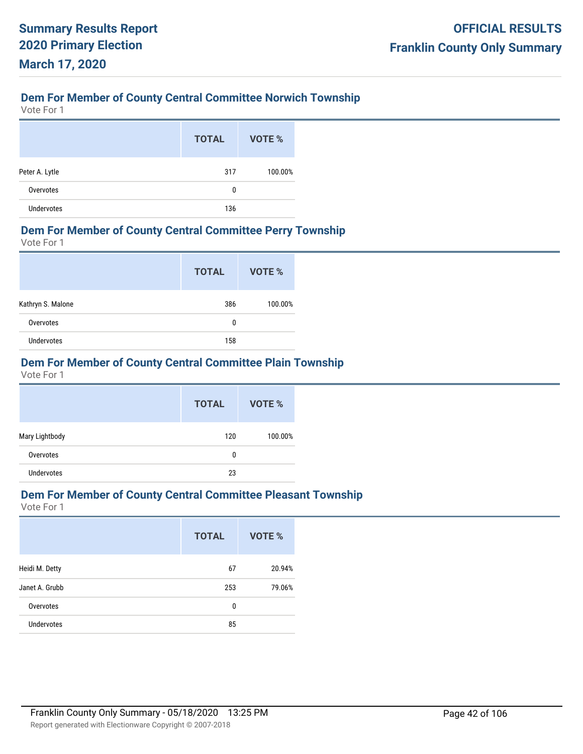# **Dem For Member of County Central Committee Norwich Township**

Vote For 1

|                   | <b>TOTAL</b> | VOTE %  |
|-------------------|--------------|---------|
| Peter A. Lytle    | 317          | 100.00% |
| Overvotes         | 0            |         |
| <b>Undervotes</b> | 136          |         |

#### **Dem For Member of County Central Committee Perry Township**

Vote For 1

|                   | <b>TOTAL</b> | VOTE %  |
|-------------------|--------------|---------|
| Kathryn S. Malone | 386          | 100.00% |
| Overvotes         | 0            |         |
| <b>Undervotes</b> | 158          |         |

## **Dem For Member of County Central Committee Plain Township**

Vote For 1

|                   | <b>TOTAL</b> | VOTE %  |
|-------------------|--------------|---------|
| Mary Lightbody    | 120          | 100.00% |
| Overvotes         | 0            |         |
| <b>Undervotes</b> | 23           |         |

## **Dem For Member of County Central Committee Pleasant Township**

|                   | <b>TOTAL</b> | <b>VOTE %</b> |
|-------------------|--------------|---------------|
| Heidi M. Detty    | 67           | 20.94%        |
| Janet A. Grubb    | 253          | 79.06%        |
| Overvotes         | 0            |               |
| <b>Undervotes</b> | 85           |               |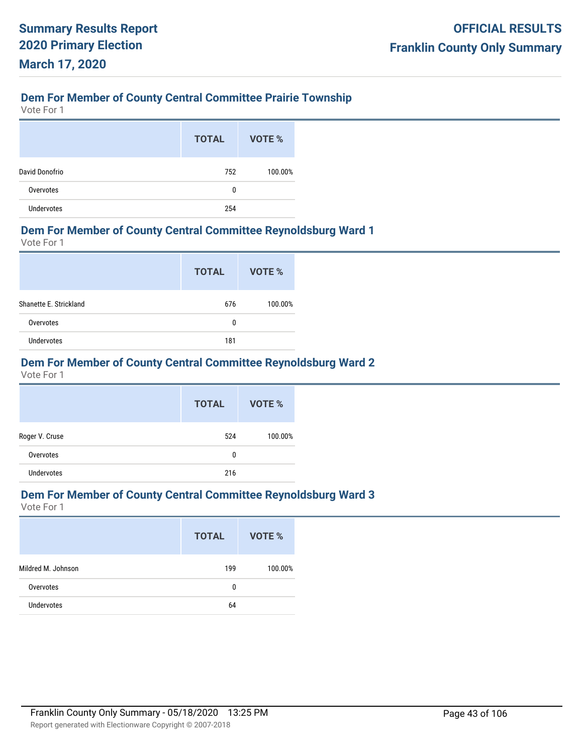# **Dem For Member of County Central Committee Prairie Township**

Vote For 1

|                   | <b>TOTAL</b> | VOTE %  |
|-------------------|--------------|---------|
| David Donofrio    | 752          | 100.00% |
| Overvotes         | 0            |         |
| <b>Undervotes</b> | 254          |         |

## **Dem For Member of County Central Committee Reynoldsburg Ward 1**

Vote For 1

|                        | <b>TOTAL</b> | VOTE %  |
|------------------------|--------------|---------|
| Shanette E. Strickland | 676          | 100.00% |
| Overvotes              | 0            |         |
| <b>Undervotes</b>      | 181          |         |

# **Dem For Member of County Central Committee Reynoldsburg Ward 2**

Vote For 1

|                   | <b>TOTAL</b> | VOTE %  |
|-------------------|--------------|---------|
| Roger V. Cruse    | 524          | 100.00% |
| Overvotes         | 0            |         |
| <b>Undervotes</b> | 216          |         |

# **Dem For Member of County Central Committee Reynoldsburg Ward 3**

|                    | <b>TOTAL</b> | VOTE %  |
|--------------------|--------------|---------|
| Mildred M. Johnson | 199          | 100.00% |
| Overvotes          | 0            |         |
| <b>Undervotes</b>  | 64           |         |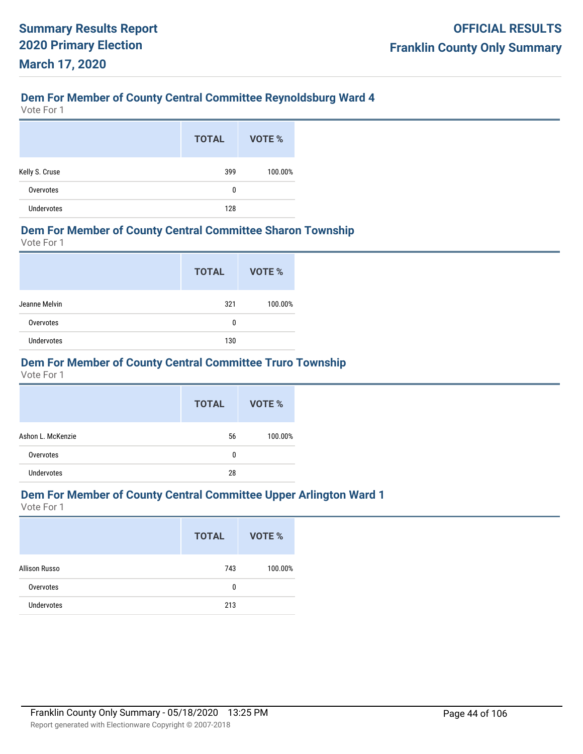# **Dem For Member of County Central Committee Reynoldsburg Ward 4**

Vote For 1

|                   | <b>TOTAL</b> | VOTE %  |
|-------------------|--------------|---------|
| Kelly S. Cruse    | 399          | 100.00% |
| Overvotes         | 0            |         |
| <b>Undervotes</b> | 128          |         |

### **Dem For Member of County Central Committee Sharon Township**

Vote For 1

|                   | <b>TOTAL</b> | VOTE %  |
|-------------------|--------------|---------|
| Jeanne Melvin     | 321          | 100.00% |
| Overvotes         | 0            |         |
| <b>Undervotes</b> | 130          |         |

# **Dem For Member of County Central Committee Truro Township**

Vote For 1

|                   | <b>TOTAL</b> | VOTE %  |
|-------------------|--------------|---------|
| Ashon L. McKenzie | 56           | 100.00% |
| Overvotes         | 0            |         |
| <b>Undervotes</b> | 28           |         |

# **Dem For Member of County Central Committee Upper Arlington Ward 1**

|                   | <b>TOTAL</b> | VOTE %  |
|-------------------|--------------|---------|
| Allison Russo     | 743          | 100.00% |
| Overvotes         | 0            |         |
| <b>Undervotes</b> | 213          |         |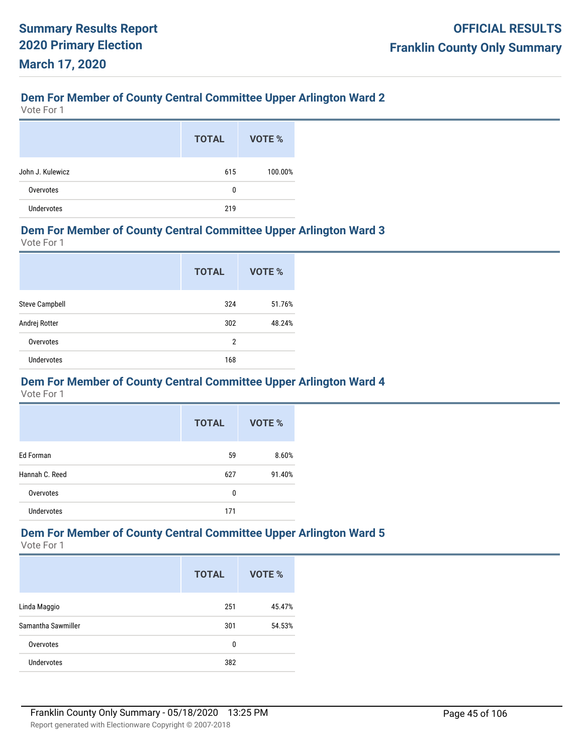## **Dem For Member of County Central Committee Upper Arlington Ward 2**

Vote For 1

|                   | <b>TOTAL</b> | VOTE %  |
|-------------------|--------------|---------|
| John J. Kulewicz  | 615          | 100.00% |
| Overvotes         | 0            |         |
| <b>Undervotes</b> | 219          |         |

## **Dem For Member of County Central Committee Upper Arlington Ward 3**

Vote For 1

|                       | <b>TOTAL</b>   | VOTE % |
|-----------------------|----------------|--------|
| <b>Steve Campbell</b> | 324            | 51.76% |
| Andrej Rotter         | 302            | 48.24% |
| Overvotes             | $\overline{2}$ |        |
| <b>Undervotes</b>     | 168            |        |

## **Dem For Member of County Central Committee Upper Arlington Ward 4**

Vote For 1

|                   | <b>TOTAL</b> | <b>VOTE %</b> |
|-------------------|--------------|---------------|
| Ed Forman         | 59           | 8.60%         |
| Hannah C. Reed    | 627          | 91.40%        |
| Overvotes         | 0            |               |
| <b>Undervotes</b> | 171          |               |

# **Dem For Member of County Central Committee Upper Arlington Ward 5**

|                    | <b>TOTAL</b> | VOTE % |
|--------------------|--------------|--------|
| Linda Maggio       | 251          | 45.47% |
| Samantha Sawmiller | 301          | 54.53% |
| Overvotes          | 0            |        |
| <b>Undervotes</b>  | 382          |        |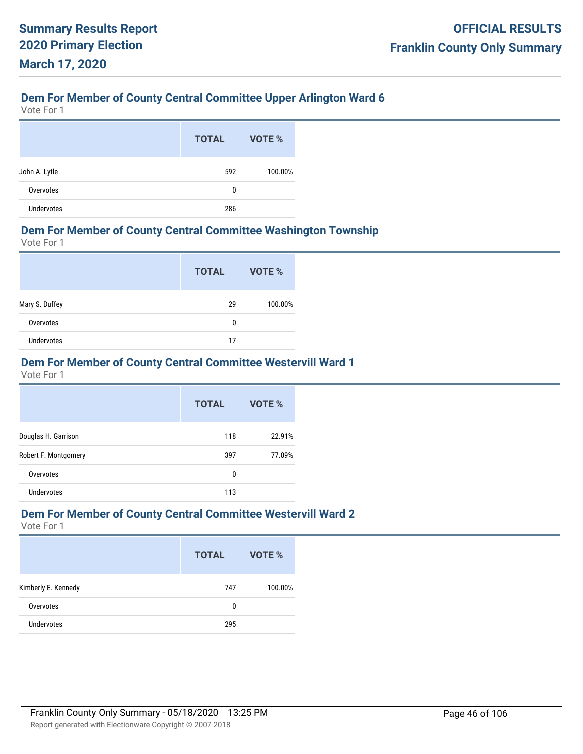# **Dem For Member of County Central Committee Upper Arlington Ward 6**

Vote For 1

|                   | <b>TOTAL</b> | VOTE %  |
|-------------------|--------------|---------|
| John A. Lytle     | 592          | 100.00% |
| Overvotes         | 0            |         |
| <b>Undervotes</b> | 286          |         |

## **Dem For Member of County Central Committee Washington Township**

Vote For 1

|                   | <b>TOTAL</b> | VOTE %  |
|-------------------|--------------|---------|
| Mary S. Duffey    | 29           | 100.00% |
| Overvotes         | 0            |         |
| <b>Undervotes</b> | 17           |         |

## **Dem For Member of County Central Committee Westervill Ward 1**

Vote For 1

|                      | <b>TOTAL</b> | VOTE % |
|----------------------|--------------|--------|
| Douglas H. Garrison  | 118          | 22.91% |
| Robert F. Montgomery | 397          | 77.09% |
| Overvotes            | 0            |        |
| Undervotes           | 113          |        |

### **Dem For Member of County Central Committee Westervill Ward 2**

|                     | <b>TOTAL</b> | VOTE %  |
|---------------------|--------------|---------|
| Kimberly E. Kennedy | 747          | 100.00% |
| Overvotes           | 0            |         |
| <b>Undervotes</b>   | 295          |         |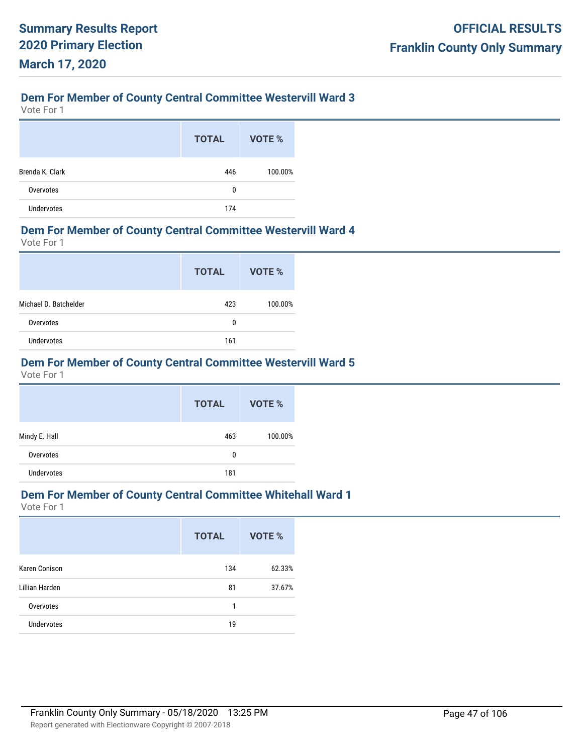## **Dem For Member of County Central Committee Westervill Ward 3**

Vote For 1

|                   | <b>TOTAL</b> | VOTE %  |
|-------------------|--------------|---------|
| Brenda K. Clark   | 446          | 100.00% |
| Overvotes         | 0            |         |
| <b>Undervotes</b> | 174          |         |

#### **Dem For Member of County Central Committee Westervill Ward 4**

Vote For 1

|                       | <b>TOTAL</b> | VOTE %  |
|-----------------------|--------------|---------|
| Michael D. Batchelder | 423          | 100.00% |
| Overvotes             | 0            |         |
| <b>Undervotes</b>     | 161          |         |

# **Dem For Member of County Central Committee Westervill Ward 5**

Vote For 1

|               | <b>TOTAL</b> | VOTE %  |
|---------------|--------------|---------|
| Mindy E. Hall | 463          | 100.00% |
| Overvotes     | 0            |         |
| Undervotes    | 181          |         |

# **Dem For Member of County Central Committee Whitehall Ward 1**

|                   | <b>TOTAL</b> | <b>VOTE %</b> |
|-------------------|--------------|---------------|
| Karen Conison     | 134          | 62.33%        |
| Lillian Harden    | 81           | 37.67%        |
| Overvotes         | 1            |               |
| <b>Undervotes</b> | 19           |               |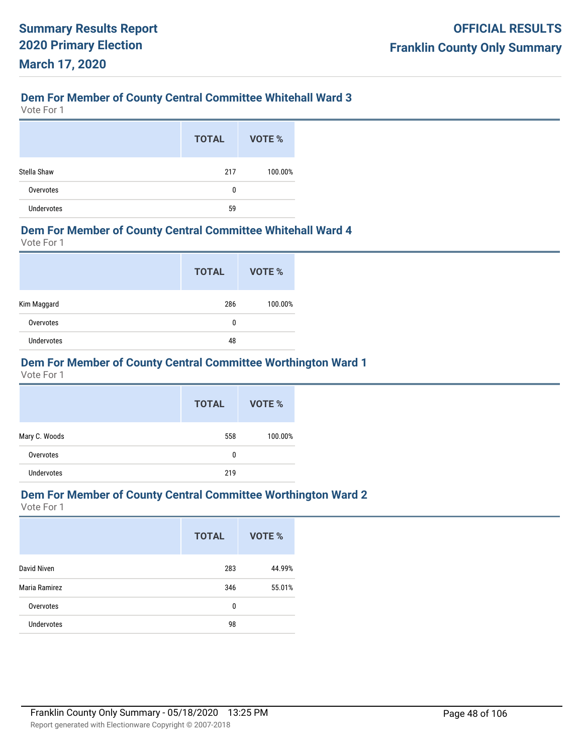## **Dem For Member of County Central Committee Whitehall Ward 3**

Vote For 1

|                   | <b>TOTAL</b> | VOTE %  |
|-------------------|--------------|---------|
| Stella Shaw       | 217          | 100.00% |
| Overvotes         | 0            |         |
| <b>Undervotes</b> | 59           |         |

### **Dem For Member of County Central Committee Whitehall Ward 4**

Vote For 1

|                   | <b>TOTAL</b> | VOTE %  |
|-------------------|--------------|---------|
| Kim Maggard       | 286          | 100.00% |
| Overvotes         | 0            |         |
| <b>Undervotes</b> | 48           |         |

# **Dem For Member of County Central Committee Worthington Ward 1**

Vote For 1

|                   | <b>TOTAL</b> | <b>VOTE %</b> |
|-------------------|--------------|---------------|
| Mary C. Woods     | 558          | 100.00%       |
| Overvotes         | 0            |               |
| <b>Undervotes</b> | 219          |               |

# **Dem For Member of County Central Committee Worthington Ward 2**

|                   | <b>TOTAL</b> | VOTE % |
|-------------------|--------------|--------|
| David Niven       | 283          | 44.99% |
| Maria Ramirez     | 346          | 55.01% |
| Overvotes         | 0            |        |
| <b>Undervotes</b> | 98           |        |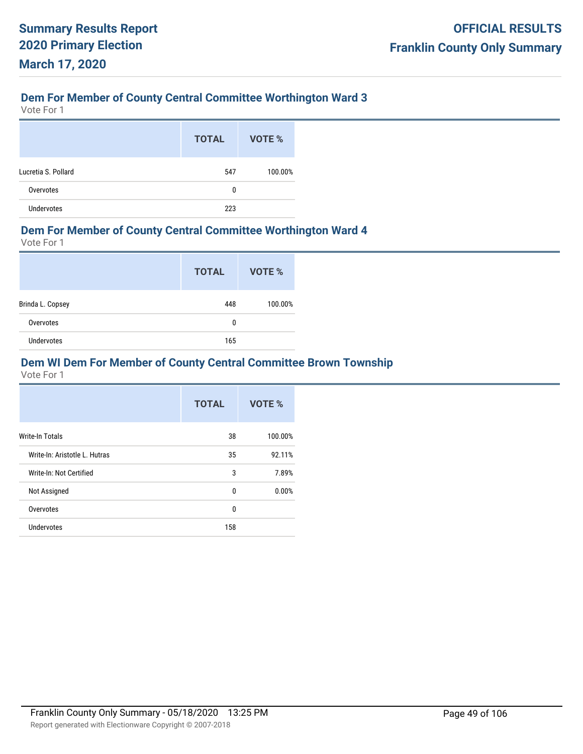# **Dem For Member of County Central Committee Worthington Ward 3**

Vote For 1

|                     | <b>TOTAL</b> | VOTE %  |
|---------------------|--------------|---------|
| Lucretia S. Pollard | 547          | 100.00% |
| Overvotes           | 0            |         |
| <b>Undervotes</b>   | 223          |         |

### **Dem For Member of County Central Committee Worthington Ward 4**

Vote For 1

|                   | <b>TOTAL</b> | VOTE %  |
|-------------------|--------------|---------|
| Brinda L. Copsey  | 448          | 100.00% |
| Overvotes         | 0            |         |
| <b>Undervotes</b> | 165          |         |

## **Dem WI Dem For Member of County Central Committee Brown Township**

|                               | <b>TOTAL</b> | VOTE %  |
|-------------------------------|--------------|---------|
| <b>Write-In Totals</b>        | 38           | 100.00% |
| Write-In: Aristotle L. Hutras | 35           | 92.11%  |
| Write-In: Not Certified       | 3            | 7.89%   |
| Not Assigned                  | 0            | 0.00%   |
| Overvotes                     | $\Omega$     |         |
| Undervotes                    | 158          |         |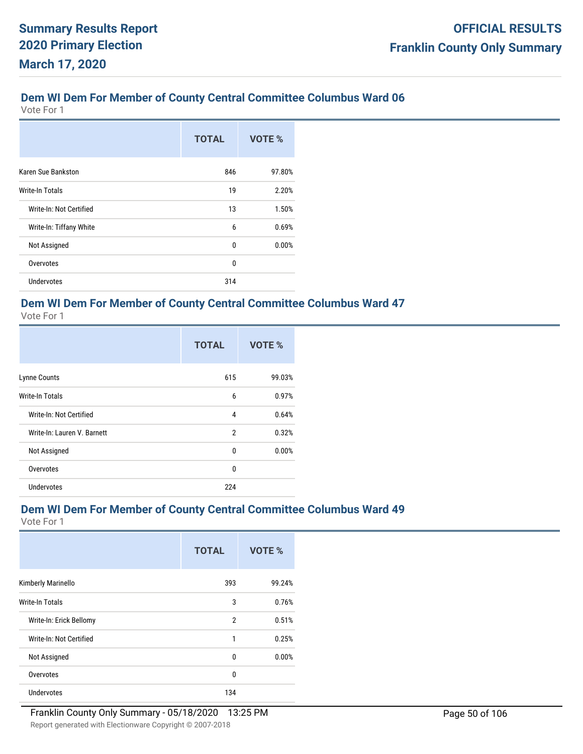Vote For 1

|                         | <b>TOTAL</b> | VOTE % |
|-------------------------|--------------|--------|
| Karen Sue Bankston      | 846          | 97.80% |
| Write-In Totals         | 19           | 2.20%  |
| Write-In: Not Certified | 13           | 1.50%  |
| Write-In: Tiffany White | 6            | 0.69%  |
| Not Assigned            | 0            | 0.00%  |
| Overvotes               | 0            |        |
| Undervotes              | 314          |        |

# **Dem WI Dem For Member of County Central Committee Columbus Ward 47**

Vote For 1

|                             | <b>TOTAL</b>   | VOTE % |
|-----------------------------|----------------|--------|
| Lynne Counts                | 615            | 99.03% |
| <b>Write-In Totals</b>      | 6              | 0.97%  |
| Write-In: Not Certified     | 4              | 0.64%  |
| Write-In: Lauren V. Barnett | $\overline{2}$ | 0.32%  |
| Not Assigned                | 0              | 0.00%  |
| Overvotes                   | 0              |        |
| Undervotes                  | 224            |        |

# **Dem WI Dem For Member of County Central Committee Columbus Ward 49**

|                         | <b>TOTAL</b>   | VOTE % |
|-------------------------|----------------|--------|
| Kimberly Marinello      | 393            | 99.24% |
| <b>Write-In Totals</b>  | 3              | 0.76%  |
| Write-In: Erick Bellomy | $\overline{2}$ | 0.51%  |
| Write-In: Not Certified | 1              | 0.25%  |
| Not Assigned            | 0              | 0.00%  |
| Overvotes               | $\mathbf{0}$   |        |
| Undervotes              | 134            |        |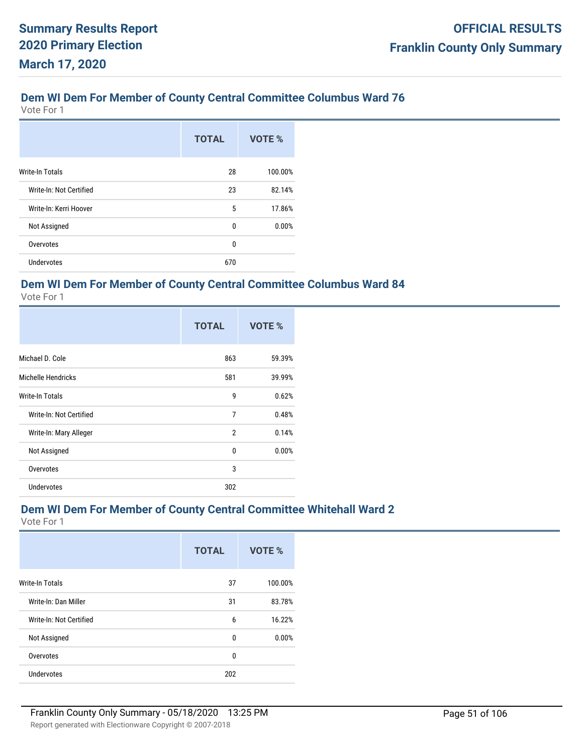Vote For 1

|                         | <b>TOTAL</b> | VOTE %  |
|-------------------------|--------------|---------|
| <b>Write-In Totals</b>  | 28           | 100.00% |
| Write-In: Not Certified | 23           | 82.14%  |
| Write-In: Kerri Hoover  | 5            | 17.86%  |
| Not Assigned            | 0            | 0.00%   |
| Overvotes               | 0            |         |
| <b>Undervotes</b>       | 670          |         |

## **Dem WI Dem For Member of County Central Committee Columbus Ward 84**

Vote For 1

|                           | <b>TOTAL</b>   | VOTE % |
|---------------------------|----------------|--------|
| Michael D. Cole           | 863            | 59.39% |
| <b>Michelle Hendricks</b> | 581            | 39.99% |
| <b>Write-In Totals</b>    | 9              | 0.62%  |
| Write-In: Not Certified   | $\overline{7}$ | 0.48%  |
| Write-In: Mary Alleger    | $\mathfrak{p}$ | 0.14%  |
| Not Assigned              | 0              | 0.00%  |
| Overvotes                 | 3              |        |
| <b>Undervotes</b>         | 302            |        |

## **Dem WI Dem For Member of County Central Committee Whitehall Ward 2**

|                         | <b>TOTAL</b> | VOTE %  |
|-------------------------|--------------|---------|
| <b>Write-In Totals</b>  | 37           | 100.00% |
| Write-In: Dan Miller    | 31           | 83.78%  |
| Write-In: Not Certified | 6            | 16.22%  |
| Not Assigned            | $\mathbf{0}$ | 0.00%   |
| Overvotes               | 0            |         |
| <b>Undervotes</b>       | 202          |         |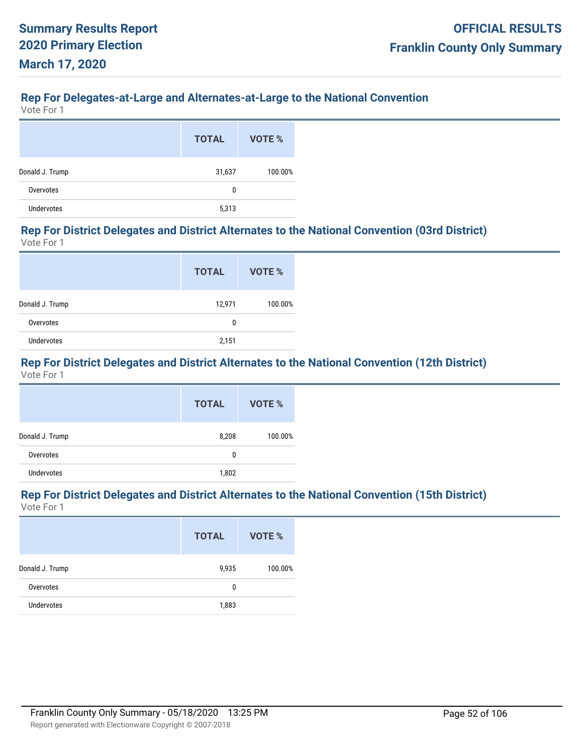#### **Rep For Delegates-at-Large and Alternates-at-Large to the National Convention**

Vote For 1

|                 | <b>TOTAL</b> | VOTE %  |
|-----------------|--------------|---------|
| Donald J. Trump | 31,637       | 100.00% |
| Overvotes       | 0            |         |
| Undervotes      | 5,313        |         |

#### **Rep For District Delegates and District Alternates to the National Convention (03rd District)** Vote For 1

|                 | <b>TOTAL</b> | VOTE %  |
|-----------------|--------------|---------|
| Donald J. Trump | 12,971       | 100.00% |
| Overvotes       | 0            |         |
| Undervotes      | 2,151        |         |

# **Rep For District Delegates and District Alternates to the National Convention (12th District)**

Vote For 1

|                   | <b>TOTAL</b> | VOTE %  |
|-------------------|--------------|---------|
| Donald J. Trump   | 8,208        | 100.00% |
| Overvotes         | 0            |         |
| <b>Undervotes</b> | 1,802        |         |

#### **Rep For District Delegates and District Alternates to the National Convention (15th District)** Vote For 1

|                   | <b>TOTAL</b> | VOTE %  |
|-------------------|--------------|---------|
| Donald J. Trump   | 9,935        | 100.00% |
| Overvotes         | 0            |         |
| <b>Undervotes</b> | 1,883        |         |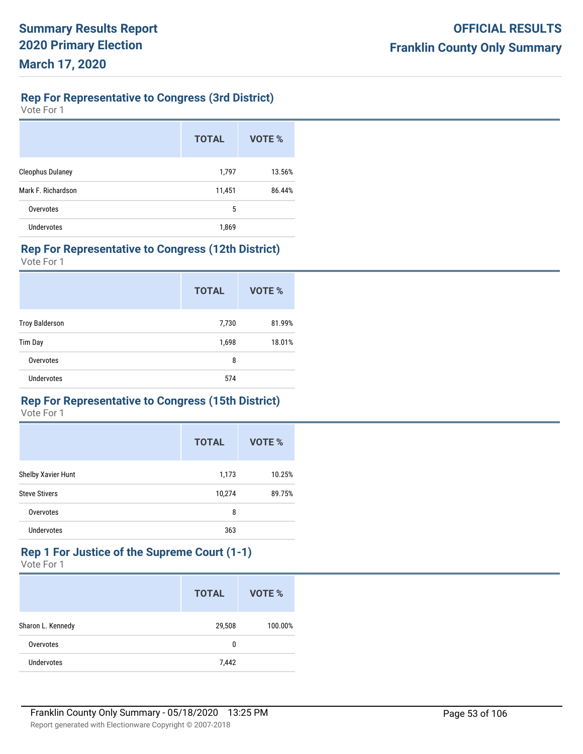# **Rep For Representative to Congress (3rd District)**

Vote For 1

|                         | <b>TOTAL</b> | VOTE % |
|-------------------------|--------------|--------|
| <b>Cleophus Dulaney</b> | 1,797        | 13.56% |
| Mark F. Richardson      | 11,451       | 86.44% |
| Overvotes               | 5            |        |
| Undervotes              | 1,869        |        |

## **Rep For Representative to Congress (12th District)**

Vote For 1

|                       | <b>TOTAL</b> | VOTE % |
|-----------------------|--------------|--------|
| <b>Troy Balderson</b> | 7,730        | 81.99% |
| Tim Day               | 1,698        | 18.01% |
| Overvotes             | 8            |        |
| <b>Undervotes</b>     | 574          |        |

### **Rep For Representative to Congress (15th District)**

Vote For 1

|                      | <b>TOTAL</b> | VOTE % |
|----------------------|--------------|--------|
| Shelby Xavier Hunt   | 1,173        | 10.25% |
| <b>Steve Stivers</b> | 10,274       | 89.75% |
| Overvotes            | 8            |        |
| <b>Undervotes</b>    | 363          |        |

#### **Rep 1 For Justice of the Supreme Court (1-1)** Vote For 1

|                   | <b>TOTAL</b> | VOTE %  |
|-------------------|--------------|---------|
| Sharon L. Kennedy | 29,508       | 100.00% |
| Overvotes         | 0            |         |
| <b>Undervotes</b> | 7,442        |         |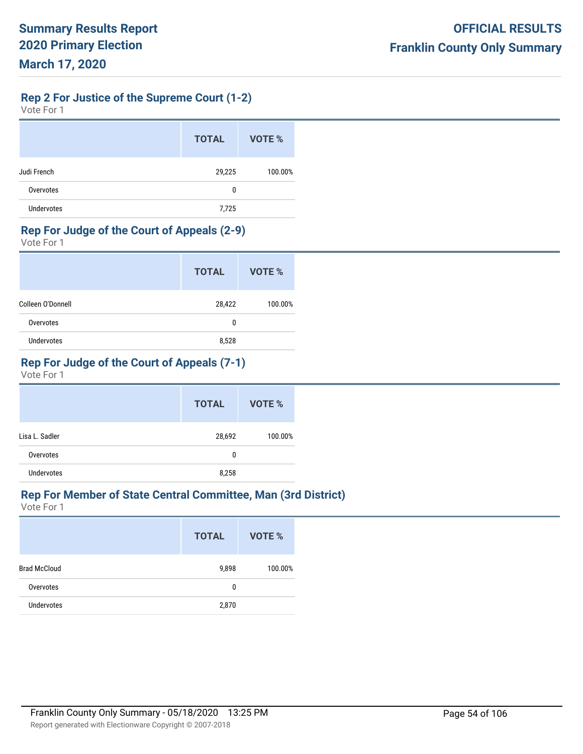**Rep 2 For Justice of the Supreme Court (1-2)**

| Vote For 1 |  |  |
|------------|--|--|
|------------|--|--|

|             | <b>TOTAL</b> | VOTE %  |
|-------------|--------------|---------|
| Judi French | 29,225       | 100.00% |
| Overvotes   | 0            |         |
| Undervotes  | 7,725        |         |

## **Rep For Judge of the Court of Appeals (2-9)**

Vote For 1

|                   | <b>TOTAL</b> | VOTE %  |
|-------------------|--------------|---------|
| Colleen O'Donnell | 28,422       | 100.00% |
| Overvotes         | 0            |         |
| Undervotes        | 8,528        |         |

# **Rep For Judge of the Court of Appeals (7-1)**

Vote For 1

|                   | <b>TOTAL</b> | VOTE %  |
|-------------------|--------------|---------|
| Lisa L. Sadler    | 28,692       | 100.00% |
| Overvotes         | 0            |         |
| <b>Undervotes</b> | 8,258        |         |

## **Rep For Member of State Central Committee, Man (3rd District)**

|                     | <b>TOTAL</b> | VOTE %  |
|---------------------|--------------|---------|
| <b>Brad McCloud</b> | 9,898        | 100.00% |
| Overvotes           | 0            |         |
| <b>Undervotes</b>   | 2,870        |         |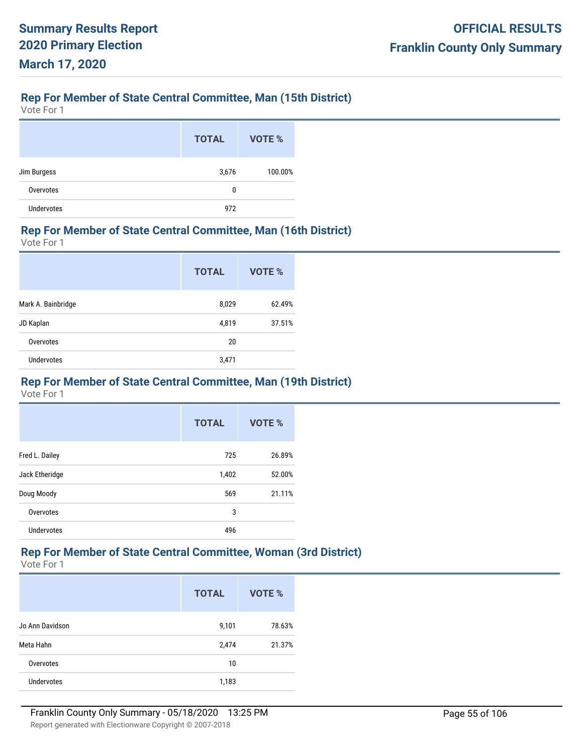# **Rep For Member of State Central Committee, Man (15th District)**

Vote For 1

|                   | <b>TOTAL</b> | VOTE %  |
|-------------------|--------------|---------|
| Jim Burgess       | 3,676        | 100.00% |
| Overvotes         | 0            |         |
| <b>Undervotes</b> | 972          |         |

## **Rep For Member of State Central Committee, Man (16th District)**

Vote For 1

|                    | <b>TOTAL</b> | VOTE % |
|--------------------|--------------|--------|
| Mark A. Bainbridge | 8,029        | 62.49% |
| JD Kaplan          | 4,819        | 37.51% |
| Overvotes          | 20           |        |
| <b>Undervotes</b>  | 3,471        |        |

### **Rep For Member of State Central Committee, Man (19th District)**

Vote For 1

|                   | <b>TOTAL</b> | VOTE % |
|-------------------|--------------|--------|
| Fred L. Dailey    | 725          | 26.89% |
| Jack Etheridge    | 1,402        | 52.00% |
| Doug Moody        | 569          | 21.11% |
| Overvotes         | 3            |        |
| <b>Undervotes</b> | 496          |        |

# **Rep For Member of State Central Committee, Woman (3rd District)**

|                   | <b>TOTAL</b> | <b>VOTE %</b> |
|-------------------|--------------|---------------|
| Jo Ann Davidson   | 9,101        | 78.63%        |
| Meta Hahn         | 2,474        | 21.37%        |
| Overvotes         | 10           |               |
| <b>Undervotes</b> | 1,183        |               |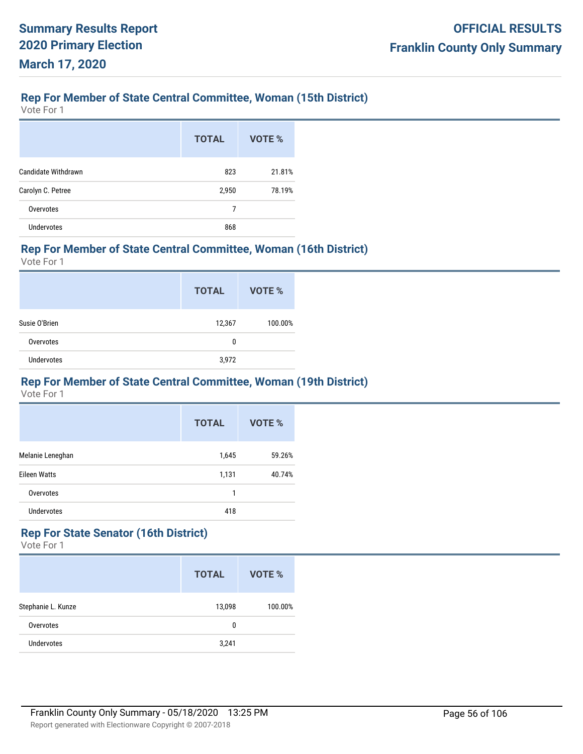# **Rep For Member of State Central Committee, Woman (15th District)**

Vote For 1

|                     | <b>TOTAL</b> | VOTE % |
|---------------------|--------------|--------|
| Candidate Withdrawn | 823          | 21.81% |
| Carolyn C. Petree   | 2,950        | 78.19% |
| Overvotes           | 7            |        |
| <b>Undervotes</b>   | 868          |        |

## **Rep For Member of State Central Committee, Woman (16th District)**

Vote For 1

|               | <b>TOTAL</b> | VOTE %  |
|---------------|--------------|---------|
| Susie O'Brien | 12,367       | 100.00% |
| Overvotes     | 0            |         |
| Undervotes    | 3,972        |         |

### **Rep For Member of State Central Committee, Woman (19th District)**

Vote For 1

|                     | <b>TOTAL</b> | VOTE % |
|---------------------|--------------|--------|
| Melanie Leneghan    | 1,645        | 59.26% |
| <b>Eileen Watts</b> | 1,131        | 40.74% |
| Overvotes           | 1            |        |
| <b>Undervotes</b>   | 418          |        |

# **Rep For State Senator (16th District)**

|                    | <b>TOTAL</b> | VOTE %  |
|--------------------|--------------|---------|
| Stephanie L. Kunze | 13,098       | 100.00% |
| Overvotes          | 0            |         |
| <b>Undervotes</b>  | 3,241        |         |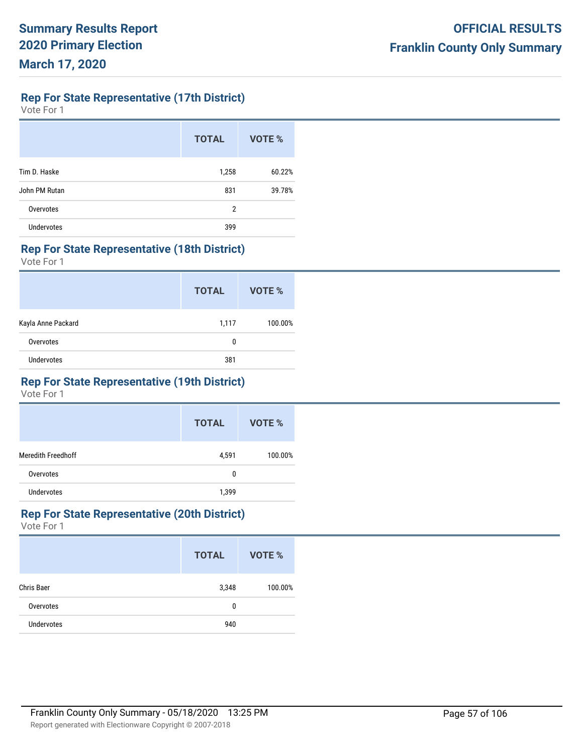**Rep For State Representative (17th District)**

Vote For 1

|                   | <b>TOTAL</b> | VOTE % |
|-------------------|--------------|--------|
| Tim D. Haske      | 1,258        | 60.22% |
| John PM Rutan     | 831          | 39.78% |
| Overvotes         | 2            |        |
| <b>Undervotes</b> | 399          |        |

### **Rep For State Representative (18th District)**

Vote For 1

|                    | <b>TOTAL</b> | VOTE %  |
|--------------------|--------------|---------|
| Kayla Anne Packard | 1,117        | 100.00% |
| Overvotes          | 0            |         |
| <b>Undervotes</b>  | 381          |         |

# **Rep For State Representative (19th District)**

Vote For 1

|                    | <b>TOTAL</b> | VOTE %  |
|--------------------|--------------|---------|
| Meredith Freedhoff | 4,591        | 100.00% |
| Overvotes          | 0            |         |
| <b>Undervotes</b>  | 1,399        |         |

## **Rep For State Representative (20th District)**

|                   | <b>TOTAL</b> | VOTE %  |
|-------------------|--------------|---------|
| Chris Baer        | 3,348        | 100.00% |
| Overvotes         | 0            |         |
| <b>Undervotes</b> | 940          |         |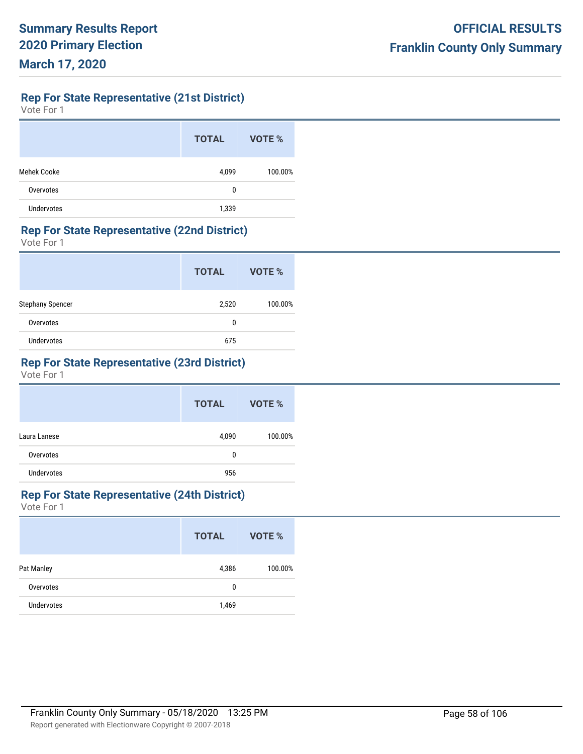**Rep For State Representative (21st District)**

Vote For 1

|                    | <b>TOTAL</b> | <b>VOTE %</b> |
|--------------------|--------------|---------------|
| <b>Mehek Cooke</b> | 4,099        | 100.00%       |
| Overvotes          | 0            |               |
| <b>Undervotes</b>  | 1,339        |               |

## **Rep For State Representative (22nd District)**

Vote For 1

|                   | <b>TOTAL</b> | VOTE %  |
|-------------------|--------------|---------|
| Stephany Spencer  | 2,520        | 100.00% |
| Overvotes         | 0            |         |
| <b>Undervotes</b> | 675          |         |

# **Rep For State Representative (23rd District)**

Vote For 1

|                   | <b>TOTAL</b> | VOTE %  |
|-------------------|--------------|---------|
| Laura Lanese      | 4,090        | 100.00% |
| Overvotes         | 0            |         |
| <b>Undervotes</b> | 956          |         |

# **Rep For State Representative (24th District)**

|            | <b>TOTAL</b> | VOTE %  |
|------------|--------------|---------|
| Pat Manley | 4,386        | 100.00% |
| Overvotes  | 0            |         |
| Undervotes | 1,469        |         |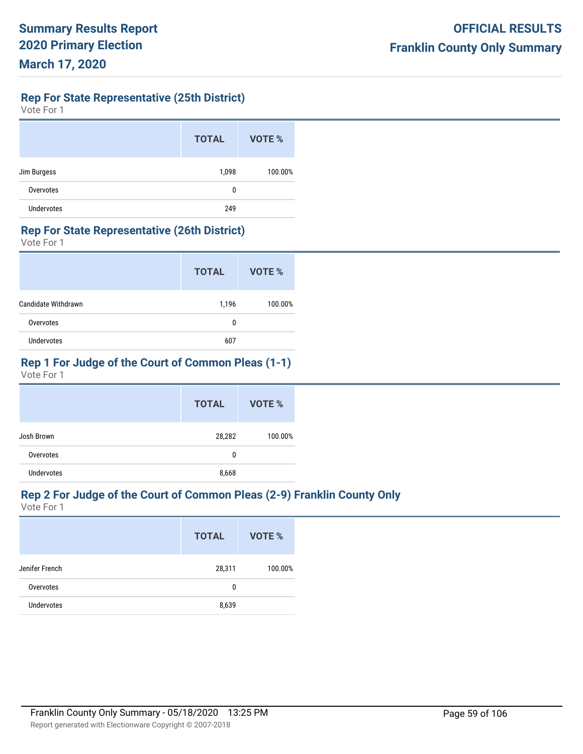**Rep For State Representative (25th District)**

Vote For 1

|                   | <b>TOTAL</b> | VOTE %  |
|-------------------|--------------|---------|
| Jim Burgess       | 1,098        | 100.00% |
| Overvotes         | 0            |         |
| <b>Undervotes</b> | 249          |         |

## **Rep For State Representative (26th District)**

Vote For 1

|                     | <b>TOTAL</b> | VOTE %  |
|---------------------|--------------|---------|
| Candidate Withdrawn | 1,196        | 100.00% |
| Overvotes           | 0            |         |
| <b>Undervotes</b>   | 607          |         |

# **Rep 1 For Judge of the Court of Common Pleas (1-1)**

Vote For 1

|                   | <b>TOTAL</b> | VOTE %  |
|-------------------|--------------|---------|
| Josh Brown        | 28,282       | 100.00% |
| Overvotes         | 0            |         |
| <b>Undervotes</b> | 8,668        |         |

# **Rep 2 For Judge of the Court of Common Pleas (2-9) Franklin County Only**

|                   | <b>TOTAL</b> | VOTE %  |
|-------------------|--------------|---------|
| Jenifer French    | 28,311       | 100.00% |
| Overvotes         | 0            |         |
| <b>Undervotes</b> | 8,639        |         |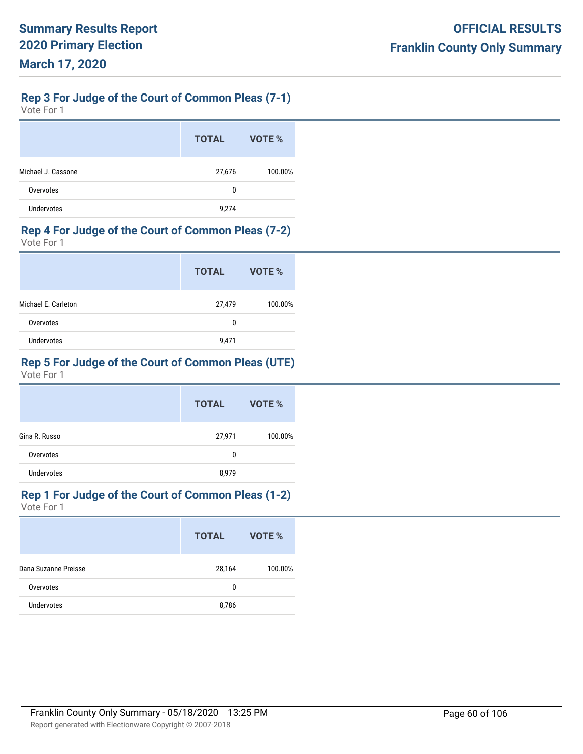# **Rep 3 For Judge of the Court of Common Pleas (7-1)**

Vote For 1

|                    | <b>TOTAL</b> | VOTE %  |
|--------------------|--------------|---------|
| Michael J. Cassone | 27,676       | 100.00% |
| Overvotes          | 0            |         |
| Undervotes         | 9,274        |         |

## **Rep 4 For Judge of the Court of Common Pleas (7-2)**

Vote For 1

|                     | <b>TOTAL</b> | VOTE %  |
|---------------------|--------------|---------|
| Michael E. Carleton | 27,479       | 100.00% |
| Overvotes           | 0            |         |
| Undervotes          | 9,471        |         |

# **Rep 5 For Judge of the Court of Common Pleas (UTE)**

Vote For 1

|                   | <b>TOTAL</b> | VOTE %  |
|-------------------|--------------|---------|
| Gina R. Russo     | 27,971       | 100.00% |
| Overvotes         | 0            |         |
| <b>Undervotes</b> | 8,979        |         |

# **Rep 1 For Judge of the Court of Common Pleas (1-2)**

|                      | <b>TOTAL</b> | VOTE %  |
|----------------------|--------------|---------|
| Dana Suzanne Preisse | 28,164       | 100.00% |
| Overvotes            | 0            |         |
| <b>Undervotes</b>    | 8,786        |         |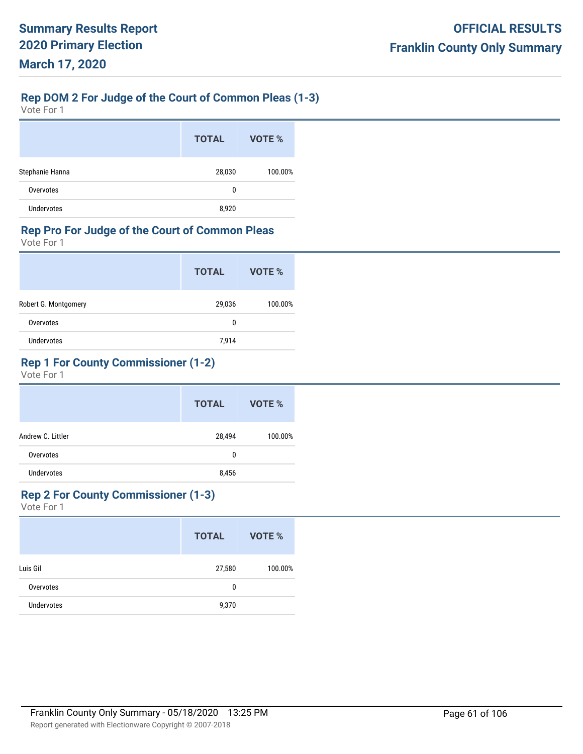# **Rep DOM 2 For Judge of the Court of Common Pleas (1-3)**

Vote For 1

|                   | <b>TOTAL</b> | VOTE %  |
|-------------------|--------------|---------|
| Stephanie Hanna   | 28,030       | 100.00% |
| Overvotes         | 0            |         |
| <b>Undervotes</b> | 8,920        |         |

# **Rep Pro For Judge of the Court of Common Pleas**

Vote For 1

|                      | <b>TOTAL</b> | VOTE %  |
|----------------------|--------------|---------|
| Robert G. Montgomery | 29,036       | 100.00% |
| Overvotes            | 0            |         |
| <b>Undervotes</b>    | 7,914        |         |

# **Rep 1 For County Commissioner (1-2)**

Vote For 1

|                   | <b>TOTAL</b> | VOTE %  |
|-------------------|--------------|---------|
| Andrew C. Littler | 28,494       | 100.00% |
| Overvotes         | 0            |         |
| <b>Undervotes</b> | 8,456        |         |

## **Rep 2 For County Commissioner (1-3)**

|                   | <b>TOTAL</b> | VOTE %  |
|-------------------|--------------|---------|
| Luis Gil          | 27,580       | 100.00% |
| Overvotes         | 0            |         |
| <b>Undervotes</b> | 9,370        |         |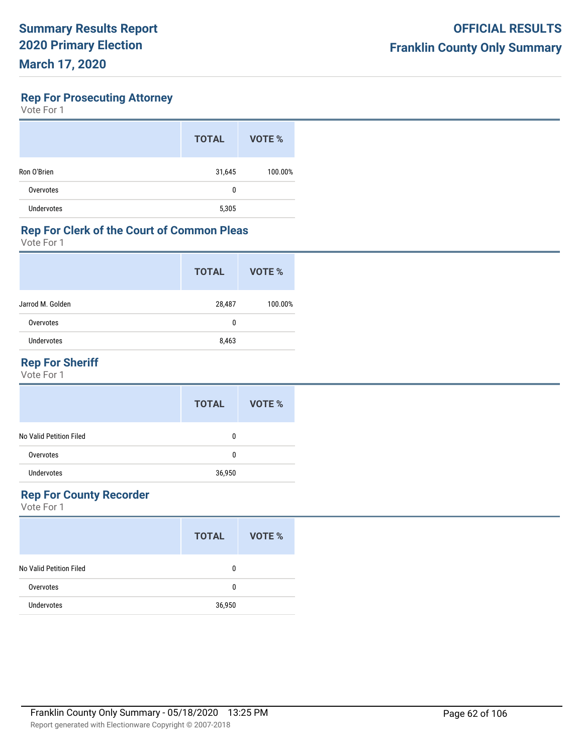## **Rep For Prosecuting Attorney**

Vote For 1

|                   | <b>TOTAL</b> | VOTE %  |
|-------------------|--------------|---------|
| Ron O'Brien       | 31,645       | 100.00% |
| Overvotes         | 0            |         |
| <b>Undervotes</b> | 5,305        |         |

## **Rep For Clerk of the Court of Common Pleas**

Vote For 1

| <b>TOTAL</b> | VOTE %  |
|--------------|---------|
| 28,487       | 100.00% |
| 0            |         |
| 8,463        |         |
|              |         |

# **Rep For Sheriff**

Vote For 1

|                         | <b>TOTAL</b> | VOTE % |
|-------------------------|--------------|--------|
| No Valid Petition Filed | 0            |        |
| Overvotes               | 0            |        |
| <b>Undervotes</b>       | 36,950       |        |

# **Rep For County Recorder**

|                         | <b>TOTAL</b> | VOTE % |
|-------------------------|--------------|--------|
| No Valid Petition Filed | 0            |        |
| Overvotes               | 0            |        |
| <b>Undervotes</b>       | 36,950       |        |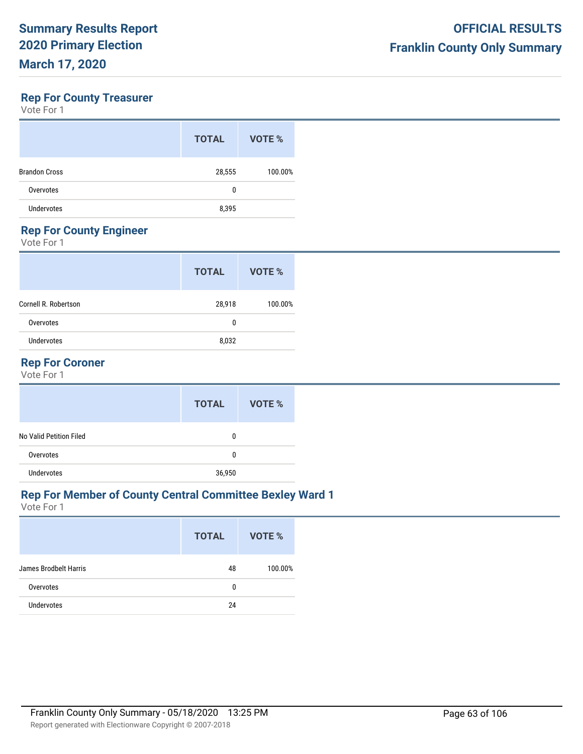## **Rep For County Treasurer**

Vote For 1

| <b>TOTAL</b> | VOTE %  |
|--------------|---------|
| 28,555       | 100.00% |
| 0            |         |
| 8,395        |         |
|              |         |

# **Rep For County Engineer**

Vote For 1

| <b>TOTAL</b> | VOTE %  |
|--------------|---------|
| 28,918       | 100.00% |
| 0            |         |
| 8,032        |         |
|              |         |

## **Rep For Coroner**

Vote For 1

|                         | <b>TOTAL</b> | VOTE % |
|-------------------------|--------------|--------|
| No Valid Petition Filed | 0            |        |
| Overvotes               | 0            |        |
| <b>Undervotes</b>       | 36,950       |        |

## **Rep For Member of County Central Committee Bexley Ward 1**

|                              | <b>TOTAL</b> | VOTE %  |
|------------------------------|--------------|---------|
| <b>James Brodbelt Harris</b> | 48           | 100.00% |
| Overvotes                    | 0            |         |
| <b>Undervotes</b>            | 24           |         |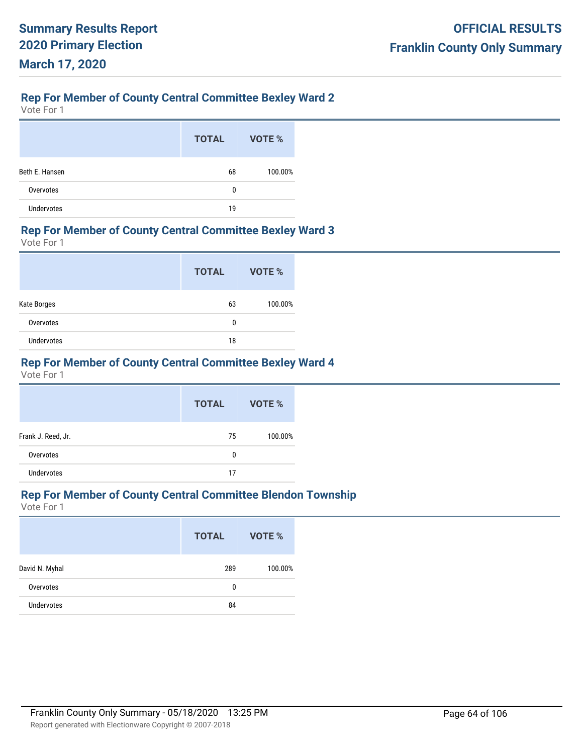# **Rep For Member of County Central Committee Bexley Ward 2**

Vote For 1

|                   | <b>TOTAL</b> | <b>VOTE %</b> |
|-------------------|--------------|---------------|
| Beth E. Hansen    | 68           | 100.00%       |
| Overvotes         | 0            |               |
| <b>Undervotes</b> | 19           |               |

#### **Rep For Member of County Central Committee Bexley Ward 3**

Vote For 1

|             | <b>TOTAL</b> | VOTE %  |
|-------------|--------------|---------|
| Kate Borges | 63           | 100.00% |
| Overvotes   | 0            |         |
| Undervotes  | 18           |         |

## **Rep For Member of County Central Committee Bexley Ward 4**

Vote For 1

|                    | <b>TOTAL</b> | VOTE %  |
|--------------------|--------------|---------|
| Frank J. Reed, Jr. | 75           | 100.00% |
| Overvotes          | 0            |         |
| <b>Undervotes</b>  | 17           |         |

## **Rep For Member of County Central Committee Blendon Township**

|                   | <b>TOTAL</b> | VOTE %  |
|-------------------|--------------|---------|
| David N. Myhal    | 289          | 100.00% |
| Overvotes         | 0            |         |
| <b>Undervotes</b> | 84           |         |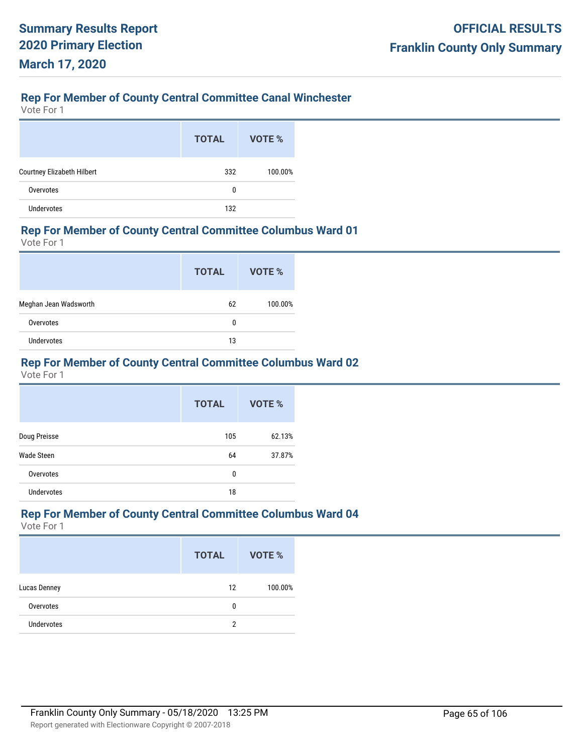## **Rep For Member of County Central Committee Canal Winchester**

Vote For 1

|                            | <b>TOTAL</b> | VOTE %  |
|----------------------------|--------------|---------|
| Courtney Elizabeth Hilbert | 332          | 100.00% |
| Overvotes                  | 0            |         |
| <b>Undervotes</b>          | 132          |         |

### **Rep For Member of County Central Committee Columbus Ward 01**

Vote For 1

|                       | <b>TOTAL</b> | VOTE %  |
|-----------------------|--------------|---------|
| Meghan Jean Wadsworth | 62           | 100.00% |
| Overvotes             | 0            |         |
| <b>Undervotes</b>     | 13           |         |

# **Rep For Member of County Central Committee Columbus Ward 02**

Vote For 1

|                   | <b>TOTAL</b> | VOTE % |
|-------------------|--------------|--------|
| Doug Preisse      | 105          | 62.13% |
| Wade Steen        | 64           | 37.87% |
| Overvotes         | 0            |        |
| <b>Undervotes</b> | 18           |        |

## **Rep For Member of County Central Committee Columbus Ward 04**

|                   | <b>TOTAL</b> | <b>VOTE %</b> |
|-------------------|--------------|---------------|
| Lucas Denney      | 12           | 100.00%       |
| Overvotes         | 0            |               |
| <b>Undervotes</b> | 2            |               |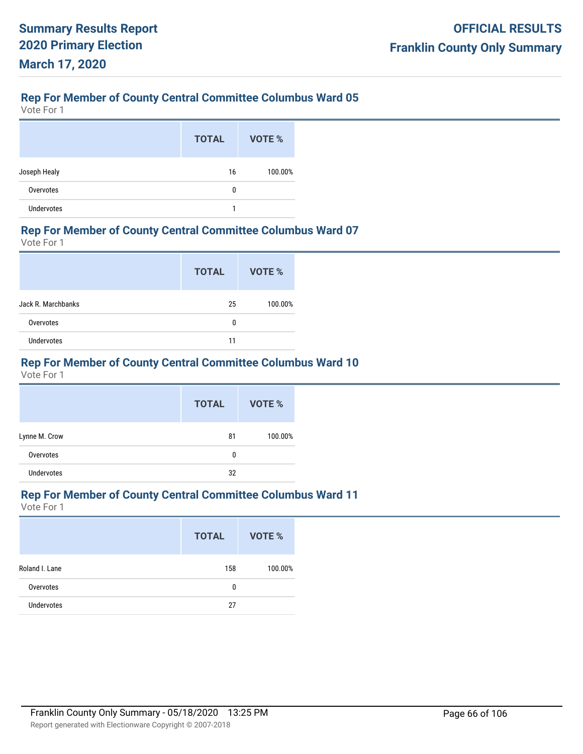Vote For 1

|                   | <b>TOTAL</b> | VOTE %  |
|-------------------|--------------|---------|
| Joseph Healy      | 16           | 100.00% |
| Overvotes         | 0            |         |
| <b>Undervotes</b> | 1            |         |

### **Rep For Member of County Central Committee Columbus Ward 07**

Vote For 1

|                    | <b>TOTAL</b> | VOTE %  |
|--------------------|--------------|---------|
| Jack R. Marchbanks | 25           | 100.00% |
| Overvotes          | 0            |         |
| <b>Undervotes</b>  | 11           |         |

# **Rep For Member of County Central Committee Columbus Ward 10**

Vote For 1

|                   | <b>TOTAL</b> | <b>VOTE %</b> |
|-------------------|--------------|---------------|
| Lynne M. Crow     | 81           | 100.00%       |
| Overvotes         | 0            |               |
| <b>Undervotes</b> | 32           |               |

## **Rep For Member of County Central Committee Columbus Ward 11**

|                   | <b>TOTAL</b> | VOTE %  |
|-------------------|--------------|---------|
| Roland I. Lane    | 158          | 100.00% |
| Overvotes         | 0            |         |
| <b>Undervotes</b> | 27           |         |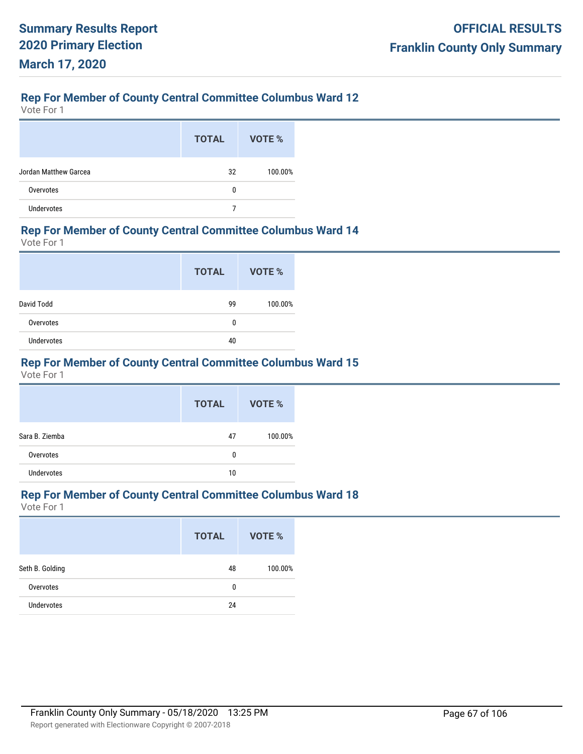Vote For 1

|                       | <b>TOTAL</b> | VOTE %  |
|-----------------------|--------------|---------|
| Jordan Matthew Garcea | 32           | 100.00% |
| Overvotes             | 0            |         |
| <b>Undervotes</b>     |              |         |

#### **Rep For Member of County Central Committee Columbus Ward 14**

Vote For 1

|            | <b>TOTAL</b> | <b>VOTE %</b> |
|------------|--------------|---------------|
| David Todd | 99           | 100.00%       |
| Overvotes  | 0            |               |
| Undervotes | 40           |               |

# **Rep For Member of County Central Committee Columbus Ward 15**

Vote For 1

|                   | <b>TOTAL</b> | <b>VOTE %</b> |
|-------------------|--------------|---------------|
| Sara B. Ziemba    | 47           | 100.00%       |
| Overvotes         | 0            |               |
| <b>Undervotes</b> | 10           |               |

## **Rep For Member of County Central Committee Columbus Ward 18**

|                 | <b>TOTAL</b> | VOTE %  |
|-----------------|--------------|---------|
| Seth B. Golding | 48           | 100.00% |
| Overvotes       | 0            |         |
| Undervotes      | 24           |         |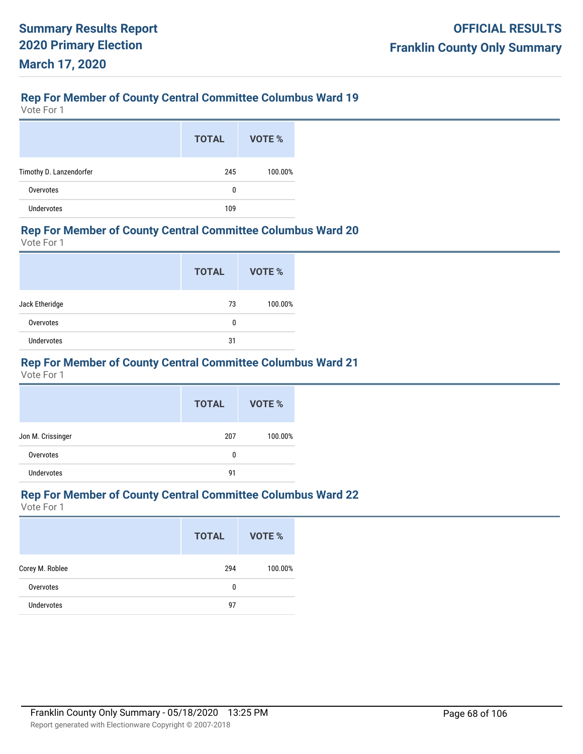Vote For 1

|                         | <b>TOTAL</b> | VOTE %  |
|-------------------------|--------------|---------|
| Timothy D. Lanzendorfer | 245          | 100.00% |
| Overvotes               | 0            |         |
| <b>Undervotes</b>       | 109          |         |

#### **Rep For Member of County Central Committee Columbus Ward 20**

Vote For 1

|                | <b>TOTAL</b> | VOTE %  |
|----------------|--------------|---------|
| Jack Etheridge | 73           | 100.00% |
| Overvotes      | 0            |         |
| Undervotes     | 31           |         |

# **Rep For Member of County Central Committee Columbus Ward 21**

Vote For 1

|                   | <b>TOTAL</b> | VOTE %  |
|-------------------|--------------|---------|
| Jon M. Crissinger | 207          | 100.00% |
| Overvotes         | 0            |         |
| <b>Undervotes</b> | 91           |         |

## **Rep For Member of County Central Committee Columbus Ward 22**

|                 | <b>TOTAL</b> | <b>VOTE %</b> |
|-----------------|--------------|---------------|
| Corey M. Roblee | 294          | 100.00%       |
| Overvotes       | 0            |               |
| Undervotes      | 97           |               |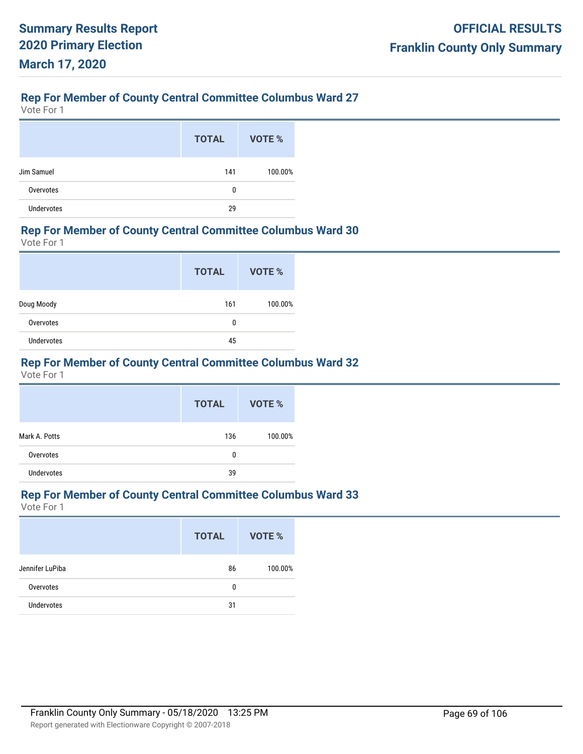Vote For 1

|                   | <b>TOTAL</b> | <b>VOTE %</b> |
|-------------------|--------------|---------------|
| Jim Samuel        | 141          | 100.00%       |
| Overvotes         | 0            |               |
| <b>Undervotes</b> | 29           |               |

#### **Rep For Member of County Central Committee Columbus Ward 30**

Vote For 1

|            | <b>TOTAL</b> | <b>VOTE %</b> |
|------------|--------------|---------------|
| Doug Moody | 161          | 100.00%       |
| Overvotes  | 0            |               |
| Undervotes | 45           |               |

# **Rep For Member of County Central Committee Columbus Ward 32**

Vote For 1

|                   | <b>TOTAL</b> | <b>VOTE %</b> |
|-------------------|--------------|---------------|
| Mark A. Potts     | 136          | 100.00%       |
| Overvotes         | 0            |               |
| <b>Undervotes</b> | 39           |               |

## **Rep For Member of County Central Committee Columbus Ward 33**

|                   | <b>TOTAL</b> | VOTE %  |
|-------------------|--------------|---------|
| Jennifer LuPiba   | 86           | 100.00% |
| Overvotes         | 0            |         |
| <b>Undervotes</b> | 31           |         |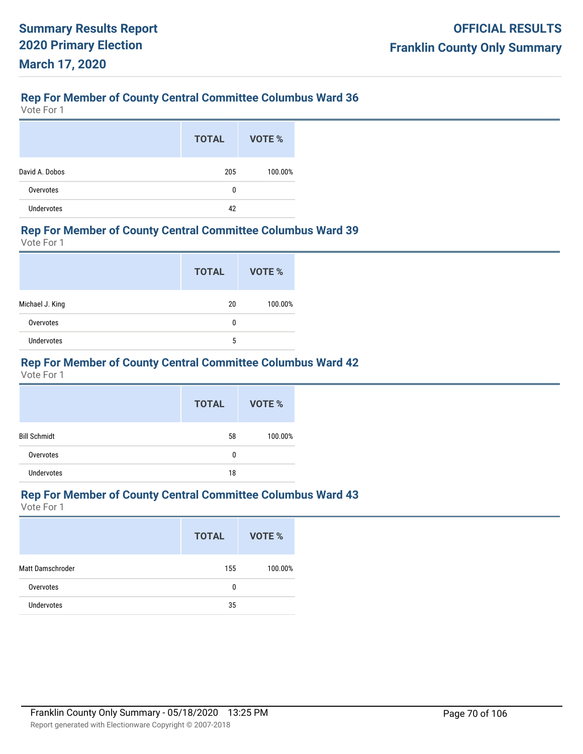Vote For 1

|                   | <b>TOTAL</b> | VOTE %  |
|-------------------|--------------|---------|
| David A. Dobos    | 205          | 100.00% |
| Overvotes         | 0            |         |
| <b>Undervotes</b> | 42           |         |

### **Rep For Member of County Central Committee Columbus Ward 39**

Vote For 1

|                   | <b>TOTAL</b> | VOTE %  |
|-------------------|--------------|---------|
| Michael J. King   | 20           | 100.00% |
| Overvotes         | 0            |         |
| <b>Undervotes</b> | 5            |         |

## **Rep For Member of County Central Committee Columbus Ward 42**

Vote For 1

|                     | <b>TOTAL</b> | <b>VOTE %</b> |
|---------------------|--------------|---------------|
| <b>Bill Schmidt</b> | 58           | 100.00%       |
| Overvotes           | 0            |               |
| <b>Undervotes</b>   | 18           |               |

## **Rep For Member of County Central Committee Columbus Ward 43**

|                  | <b>TOTAL</b> | <b>VOTE %</b> |
|------------------|--------------|---------------|
| Matt Damschroder | 155          | 100.00%       |
| Overvotes        | 0            |               |
| Undervotes       | 35           |               |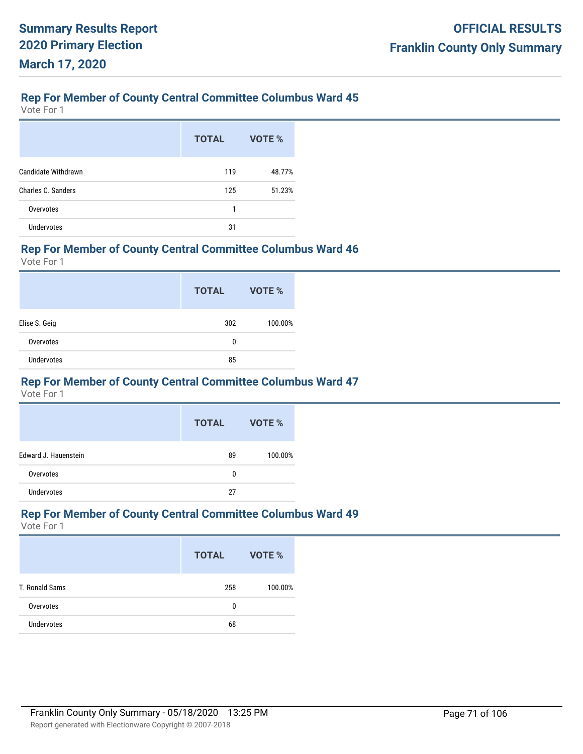Vote For 1

|                           | <b>TOTAL</b> | VOTE % |
|---------------------------|--------------|--------|
| Candidate Withdrawn       | 119          | 48.77% |
| <b>Charles C. Sanders</b> | 125          | 51.23% |
| Overvotes                 | 1            |        |
| <b>Undervotes</b>         | 31           |        |

### **Rep For Member of County Central Committee Columbus Ward 46**

Vote For 1

|                   | <b>TOTAL</b> | VOTE %  |
|-------------------|--------------|---------|
| Elise S. Geig     | 302          | 100.00% |
| Overvotes         | 0            |         |
| <b>Undervotes</b> | 85           |         |

## **Rep For Member of County Central Committee Columbus Ward 47**

Vote For 1

|                      | <b>TOTAL</b> | VOTE %  |
|----------------------|--------------|---------|
| Edward J. Hauenstein | 89           | 100.00% |
| Overvotes            | 0            |         |
| Undervotes           | 27           |         |

### **Rep For Member of County Central Committee Columbus Ward 49**

|                   | <b>TOTAL</b> | VOTE %  |
|-------------------|--------------|---------|
| T. Ronald Sams    | 258          | 100.00% |
| Overvotes         | 0            |         |
| <b>Undervotes</b> | 68           |         |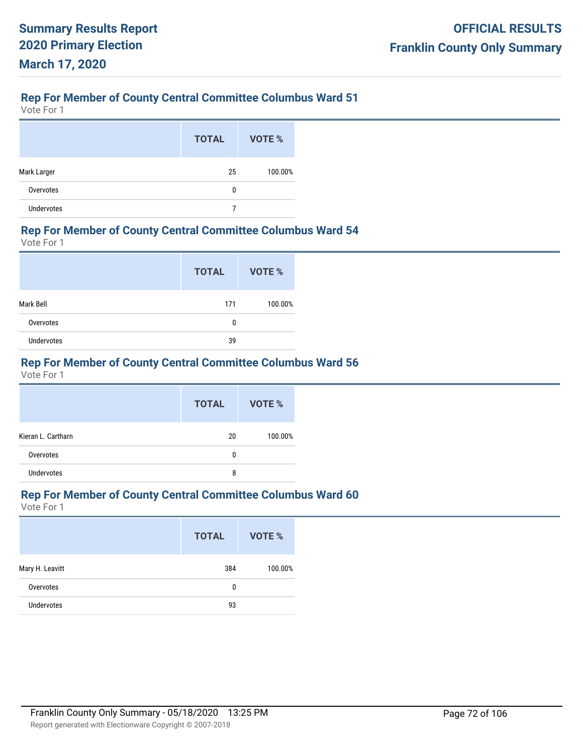Vote For 1

|                   | <b>TOTAL</b> | VOTE %  |
|-------------------|--------------|---------|
| Mark Larger       | 25           | 100.00% |
| Overvotes         | 0            |         |
| <b>Undervotes</b> |              |         |

### **Rep For Member of County Central Committee Columbus Ward 54**

Vote For 1

|            | <b>TOTAL</b> | <b>VOTE %</b> |
|------------|--------------|---------------|
| Mark Bell  | 171          | 100.00%       |
| Overvotes  | 0            |               |
| Undervotes | 39           |               |

# **Rep For Member of County Central Committee Columbus Ward 56**

Vote For 1

|                    | <b>TOTAL</b> | <b>VOTE %</b> |
|--------------------|--------------|---------------|
| Kieran L. Cartharn | 20           | 100.00%       |
| Overvotes          | 0            |               |
| <b>Undervotes</b>  | 8            |               |

## **Rep For Member of County Central Committee Columbus Ward 60**

|                   | <b>TOTAL</b> | VOTE %  |
|-------------------|--------------|---------|
| Mary H. Leavitt   | 384          | 100.00% |
| Overvotes         | 0            |         |
| <b>Undervotes</b> | 93           |         |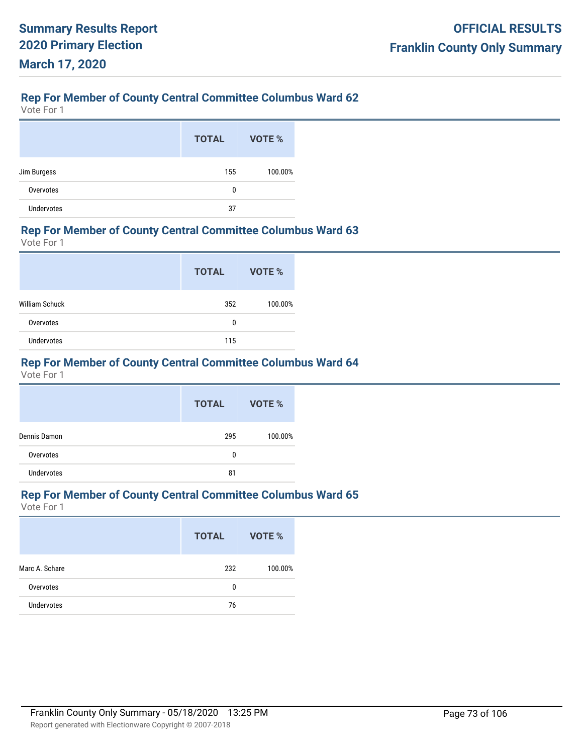Vote For 1

|                   | <b>TOTAL</b> | VOTE %  |
|-------------------|--------------|---------|
| Jim Burgess       | 155          | 100.00% |
| Overvotes         | 0            |         |
| <b>Undervotes</b> | 37           |         |

#### **Rep For Member of County Central Committee Columbus Ward 63**

Vote For 1

|                       | <b>TOTAL</b> | VOTE %  |
|-----------------------|--------------|---------|
| <b>William Schuck</b> | 352          | 100.00% |
| Overvotes             | 0            |         |
| Undervotes            | 115          |         |

# **Rep For Member of County Central Committee Columbus Ward 64**

Vote For 1

|                   | <b>TOTAL</b> | <b>VOTE %</b> |
|-------------------|--------------|---------------|
| Dennis Damon      | 295          | 100.00%       |
| Overvotes         | 0            |               |
| <b>Undervotes</b> | 81           |               |

# **Rep For Member of County Central Committee Columbus Ward 65**

|                   | <b>TOTAL</b> | VOTE %  |
|-------------------|--------------|---------|
| Marc A. Schare    | 232          | 100.00% |
| Overvotes         | 0            |         |
| <b>Undervotes</b> | 76           |         |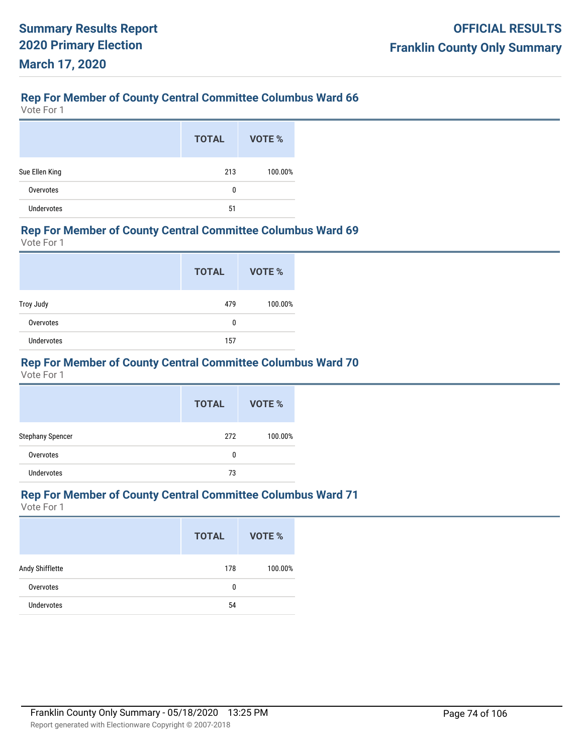Vote For 1

|                   | <b>TOTAL</b> | VOTE %  |
|-------------------|--------------|---------|
| Sue Ellen King    | 213          | 100.00% |
| Overvotes         | 0            |         |
| <b>Undervotes</b> | 51           |         |

#### **Rep For Member of County Central Committee Columbus Ward 69**

Vote For 1

|                   | <b>TOTAL</b> | <b>VOTE %</b> |
|-------------------|--------------|---------------|
| Troy Judy         | 479          | 100.00%       |
| Overvotes         | 0            |               |
| <b>Undervotes</b> | 157          |               |

# **Rep For Member of County Central Committee Columbus Ward 70**

Vote For 1

|                         | <b>TOTAL</b> | VOTE %  |
|-------------------------|--------------|---------|
| <b>Stephany Spencer</b> | 272          | 100.00% |
| Overvotes               | 0            |         |
| <b>Undervotes</b>       | 73           |         |

# **Rep For Member of County Central Committee Columbus Ward 71**

|                   | <b>TOTAL</b> | <b>VOTE %</b> |
|-------------------|--------------|---------------|
| Andy Shifflette   | 178          | 100.00%       |
| Overvotes         | 0            |               |
| <b>Undervotes</b> | 54           |               |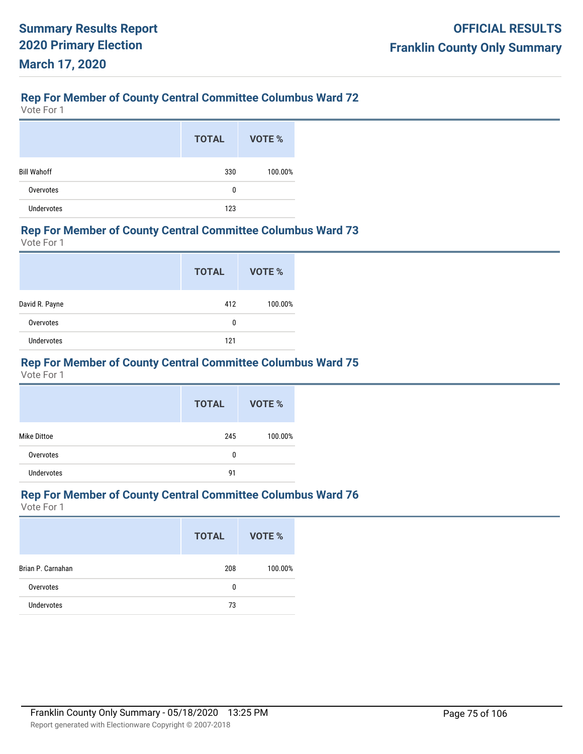Vote For 1

|                    | <b>TOTAL</b> | VOTE %  |
|--------------------|--------------|---------|
| <b>Bill Wahoff</b> | 330          | 100.00% |
| Overvotes          | 0            |         |
| <b>Undervotes</b>  | 123          |         |

#### **Rep For Member of County Central Committee Columbus Ward 73**

Vote For 1

|                   | <b>TOTAL</b> | VOTE %  |
|-------------------|--------------|---------|
| David R. Payne    | 412          | 100.00% |
| Overvotes         | 0            |         |
| <b>Undervotes</b> | 121          |         |

# **Rep For Member of County Central Committee Columbus Ward 75**

Vote For 1

|                    | <b>TOTAL</b> | VOTE %  |
|--------------------|--------------|---------|
| <b>Mike Dittoe</b> | 245          | 100.00% |
| Overvotes          | 0            |         |
| <b>Undervotes</b>  | 91           |         |

# **Rep For Member of County Central Committee Columbus Ward 76**

|                   | <b>TOTAL</b> | VOTE %  |
|-------------------|--------------|---------|
| Brian P. Carnahan | 208          | 100.00% |
| Overvotes         | 0            |         |
| <b>Undervotes</b> | 73           |         |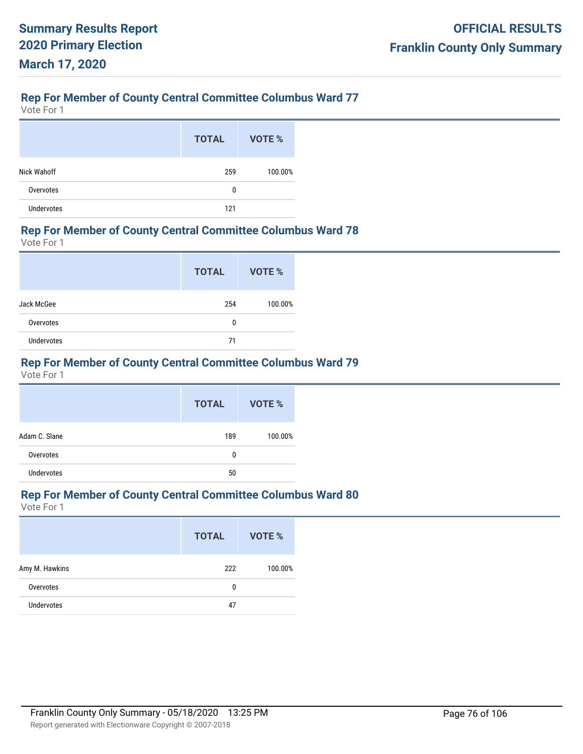Vote For 1

|                   | <b>TOTAL</b> | VOTE %  |
|-------------------|--------------|---------|
| Nick Wahoff       | 259          | 100.00% |
| Overvotes         | 0            |         |
| <b>Undervotes</b> | 121          |         |

#### **Rep For Member of County Central Committee Columbus Ward 78**

Vote For 1

|            | <b>TOTAL</b> | VOTE %  |
|------------|--------------|---------|
| Jack McGee | 254          | 100.00% |
| Overvotes  | 0            |         |
| Undervotes | 71           |         |

# **Rep For Member of County Central Committee Columbus Ward 79**

Vote For 1

|                   | <b>TOTAL</b> | VOTE %  |
|-------------------|--------------|---------|
| Adam C. Slane     | 189          | 100.00% |
| Overvotes         | 0            |         |
| <b>Undervotes</b> | 50           |         |

# **Rep For Member of County Central Committee Columbus Ward 80**

|                   | <b>TOTAL</b> | <b>VOTE %</b> |
|-------------------|--------------|---------------|
| Amy M. Hawkins    | 222          | 100.00%       |
| Overvotes         | 0            |               |
| <b>Undervotes</b> | 47           |               |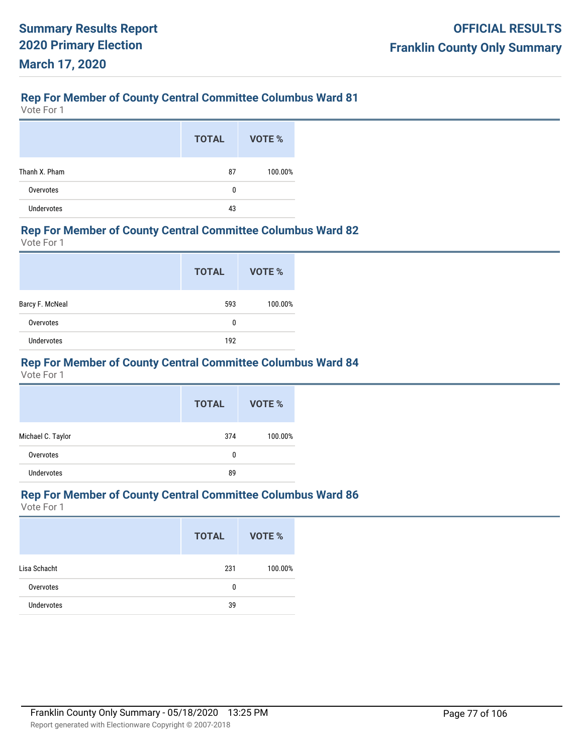Vote For 1

|                   | <b>TOTAL</b> | VOTE %  |
|-------------------|--------------|---------|
| Thanh X. Pham     | 87           | 100.00% |
| Overvotes         | 0            |         |
| <b>Undervotes</b> | 43           |         |

#### **Rep For Member of County Central Committee Columbus Ward 82**

Vote For 1

|                   | <b>TOTAL</b> | VOTE %  |
|-------------------|--------------|---------|
| Barcy F. McNeal   | 593          | 100.00% |
| Overvotes         | 0            |         |
| <b>Undervotes</b> | 192          |         |

# **Rep For Member of County Central Committee Columbus Ward 84**

Vote For 1

|                   | <b>TOTAL</b> | VOTE %  |
|-------------------|--------------|---------|
| Michael C. Taylor | 374          | 100.00% |
| Overvotes         | 0            |         |
| <b>Undervotes</b> | 89           |         |

# **Rep For Member of County Central Committee Columbus Ward 86**

|                   | <b>TOTAL</b> | VOTE %  |
|-------------------|--------------|---------|
| Lisa Schacht      | 231          | 100.00% |
| Overvotes         | 0            |         |
| <b>Undervotes</b> | 39           |         |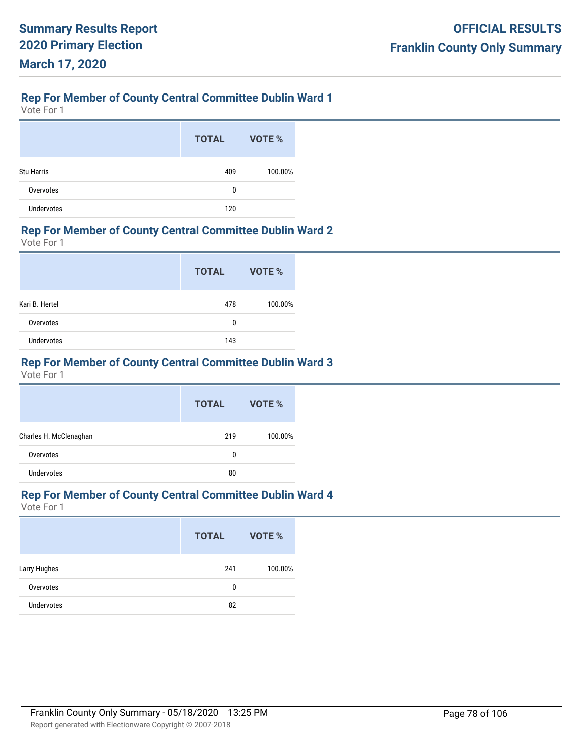Vote For 1

|                   | <b>TOTAL</b> | <b>VOTE %</b> |
|-------------------|--------------|---------------|
| <b>Stu Harris</b> | 409          | 100.00%       |
| Overvotes         | 0            |               |
| <b>Undervotes</b> | 120          |               |

#### **Rep For Member of County Central Committee Dublin Ward 2**

Vote For 1

|                   | <b>TOTAL</b> | VOTE %  |
|-------------------|--------------|---------|
| Kari B. Hertel    | 478          | 100.00% |
| Overvotes         | 0            |         |
| <b>Undervotes</b> | 143          |         |

# **Rep For Member of County Central Committee Dublin Ward 3**

Vote For 1

|                        | <b>TOTAL</b> | VOTE %  |
|------------------------|--------------|---------|
| Charles H. McClenaghan | 219          | 100.00% |
| Overvotes              | 0            |         |
| <b>Undervotes</b>      | 80           |         |

## **Rep For Member of County Central Committee Dublin Ward 4**

|                   | <b>TOTAL</b> | VOTE %  |
|-------------------|--------------|---------|
| Larry Hughes      | 241          | 100.00% |
| Overvotes         | 0            |         |
| <b>Undervotes</b> | 82           |         |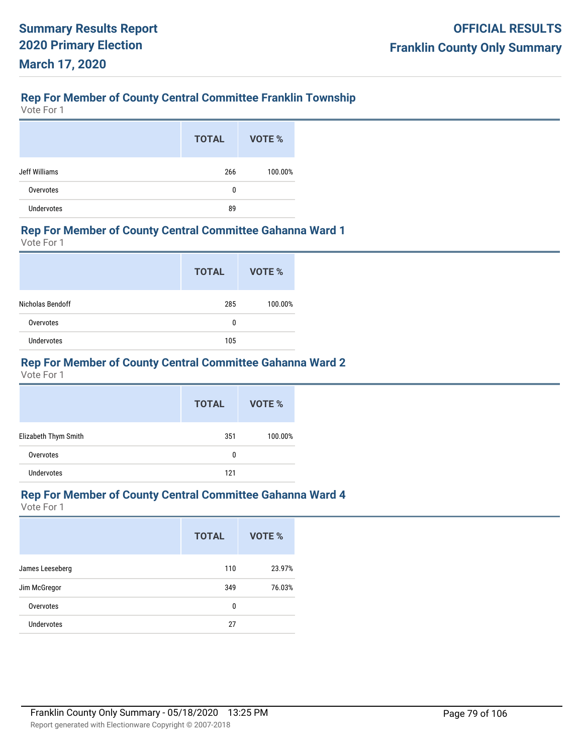# **Rep For Member of County Central Committee Franklin Township**

Vote For 1

|                   | <b>TOTAL</b> | VOTE %  |
|-------------------|--------------|---------|
| Jeff Williams     | 266          | 100.00% |
| Overvotes         | 0            |         |
| <b>Undervotes</b> | 89           |         |

#### **Rep For Member of County Central Committee Gahanna Ward 1**

Vote For 1

|                   | <b>TOTAL</b> | VOTE %  |
|-------------------|--------------|---------|
| Nicholas Bendoff  | 285          | 100.00% |
| Overvotes         | 0            |         |
| <b>Undervotes</b> | 105          |         |

# **Rep For Member of County Central Committee Gahanna Ward 2**

Vote For 1

|                      | <b>TOTAL</b> | VOTE %  |
|----------------------|--------------|---------|
| Elizabeth Thym Smith | 351          | 100.00% |
| Overvotes            | 0            |         |
| <b>Undervotes</b>    | 121          |         |

#### **Rep For Member of County Central Committee Gahanna Ward 4**

|                   | <b>TOTAL</b> | VOTE % |
|-------------------|--------------|--------|
| James Leeseberg   | 110          | 23.97% |
| Jim McGregor      | 349          | 76.03% |
| Overvotes         | 0            |        |
| <b>Undervotes</b> | 27           |        |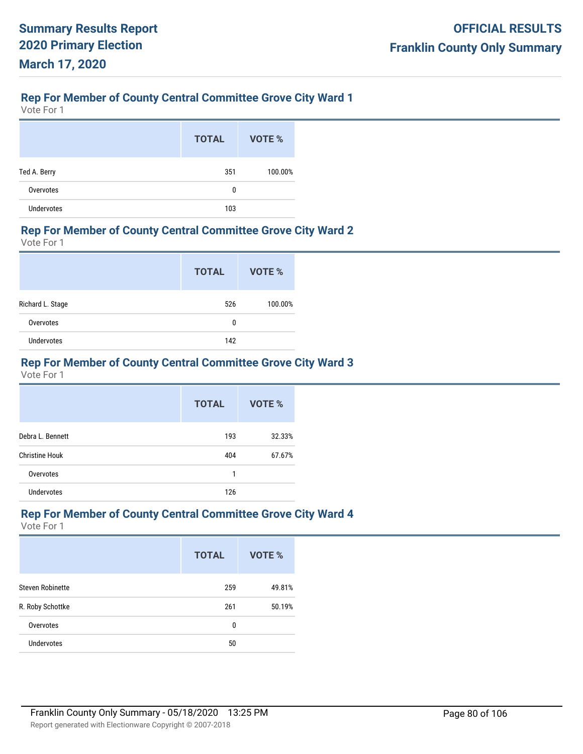# **Rep For Member of County Central Committee Grove City Ward 1**

Vote For 1

|                   | <b>TOTAL</b> | VOTE %  |
|-------------------|--------------|---------|
| Ted A. Berry      | 351          | 100.00% |
| Overvotes         | 0            |         |
| <b>Undervotes</b> | 103          |         |

#### **Rep For Member of County Central Committee Grove City Ward 2**

Vote For 1

|                  | <b>TOTAL</b> | VOTE %  |
|------------------|--------------|---------|
| Richard L. Stage | 526          | 100.00% |
| Overvotes        | 0            |         |
| Undervotes       | 142          |         |

## **Rep For Member of County Central Committee Grove City Ward 3**

Vote For 1

|                       | <b>TOTAL</b> | VOTE % |
|-----------------------|--------------|--------|
| Debra L. Bennett      | 193          | 32.33% |
| <b>Christine Houk</b> | 404          | 67.67% |
| Overvotes             | 1            |        |
| <b>Undervotes</b>     | 126          |        |

#### **Rep For Member of County Central Committee Grove City Ward 4**

|                         | <b>TOTAL</b> | <b>VOTE %</b> |
|-------------------------|--------------|---------------|
| <b>Steven Robinette</b> | 259          | 49.81%        |
| R. Roby Schottke        | 261          | 50.19%        |
| Overvotes               | 0            |               |
| <b>Undervotes</b>       | 50           |               |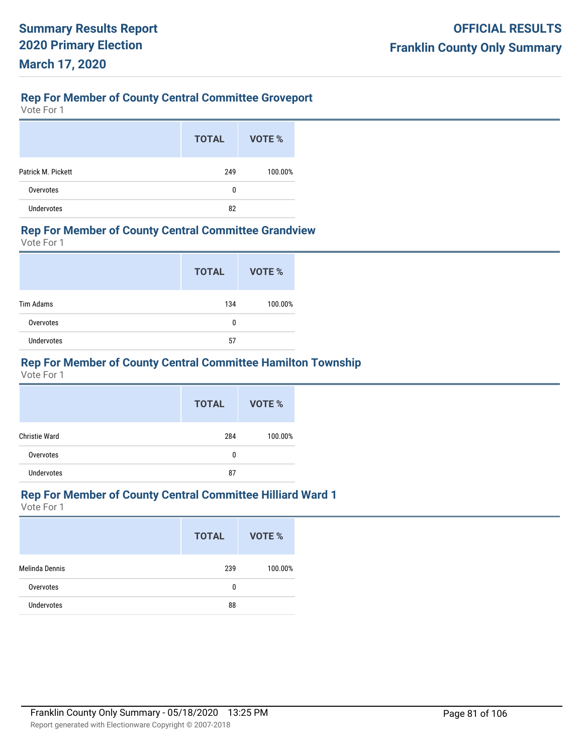# **Rep For Member of County Central Committee Groveport**

Vote For 1

|                    | <b>TOTAL</b> | VOTE %  |
|--------------------|--------------|---------|
| Patrick M. Pickett | 249          | 100.00% |
| Overvotes          | 0            |         |
| <b>Undervotes</b>  | 82           |         |

#### **Rep For Member of County Central Committee Grandview**

Vote For 1

|                   | <b>TOTAL</b> | VOTE %  |
|-------------------|--------------|---------|
| <b>Tim Adams</b>  | 134          | 100.00% |
| Overvotes         | 0            |         |
| <b>Undervotes</b> | 57           |         |

# **Rep For Member of County Central Committee Hamilton Township**

Vote For 1

|                      | <b>TOTAL</b> | VOTE %  |
|----------------------|--------------|---------|
| <b>Christie Ward</b> | 284          | 100.00% |
| Overvotes            | 0            |         |
| <b>Undervotes</b>    | 87           |         |

#### **Rep For Member of County Central Committee Hilliard Ward 1**

|                   | <b>TOTAL</b> | VOTE %  |
|-------------------|--------------|---------|
| Melinda Dennis    | 239          | 100.00% |
| Overvotes         | 0            |         |
| <b>Undervotes</b> | 88           |         |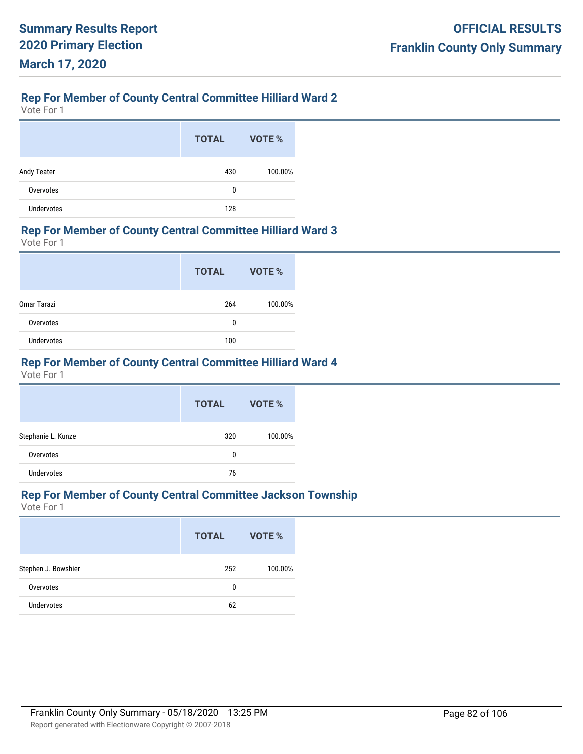# **Rep For Member of County Central Committee Hilliard Ward 2**

Vote For 1

|                   | <b>TOTAL</b> | VOTE %  |
|-------------------|--------------|---------|
| Andy Teater       | 430          | 100.00% |
| Overvotes         | 0            |         |
| <b>Undervotes</b> | 128          |         |

#### **Rep For Member of County Central Committee Hilliard Ward 3**

Vote For 1

|             | <b>TOTAL</b> | <b>VOTE %</b> |
|-------------|--------------|---------------|
| Omar Tarazi | 264          | 100.00%       |
| Overvotes   | 0            |               |
| Undervotes  | 100          |               |

# **Rep For Member of County Central Committee Hilliard Ward 4**

Vote For 1

|                    | <b>TOTAL</b> | VOTE %  |
|--------------------|--------------|---------|
| Stephanie L. Kunze | 320          | 100.00% |
| Overvotes          | 0            |         |
| <b>Undervotes</b>  | 76           |         |

#### **Rep For Member of County Central Committee Jackson Township**

|                     | <b>TOTAL</b> | VOTE %  |
|---------------------|--------------|---------|
| Stephen J. Bowshier | 252          | 100.00% |
| Overvotes           | 0            |         |
| <b>Undervotes</b>   | 62           |         |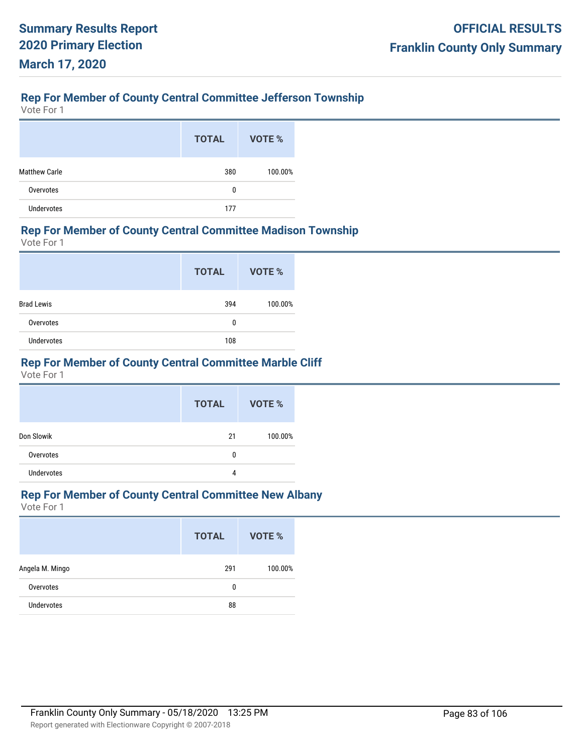# **Rep For Member of County Central Committee Jefferson Township**

Vote For 1

|                      | <b>TOTAL</b> | VOTE %  |
|----------------------|--------------|---------|
| <b>Matthew Carle</b> | 380          | 100.00% |
| Overvotes            | 0            |         |
| <b>Undervotes</b>    | 177          |         |

#### **Rep For Member of County Central Committee Madison Township**

Vote For 1

|                   | <b>TOTAL</b> | <b>VOTE %</b> |
|-------------------|--------------|---------------|
| <b>Brad Lewis</b> | 394          | 100.00%       |
| Overvotes         | 0            |               |
| <b>Undervotes</b> | 108          |               |

## **Rep For Member of County Central Committee Marble Cliff**

Vote For 1

|                   | <b>TOTAL</b> | VOTE %  |
|-------------------|--------------|---------|
| Don Slowik        | 21           | 100.00% |
| Overvotes         | 0            |         |
| <b>Undervotes</b> | 4            |         |

# **Rep For Member of County Central Committee New Albany**

|                   | <b>TOTAL</b> | VOTE %  |
|-------------------|--------------|---------|
| Angela M. Mingo   | 291          | 100.00% |
| Overvotes         | 0            |         |
| <b>Undervotes</b> | 88           |         |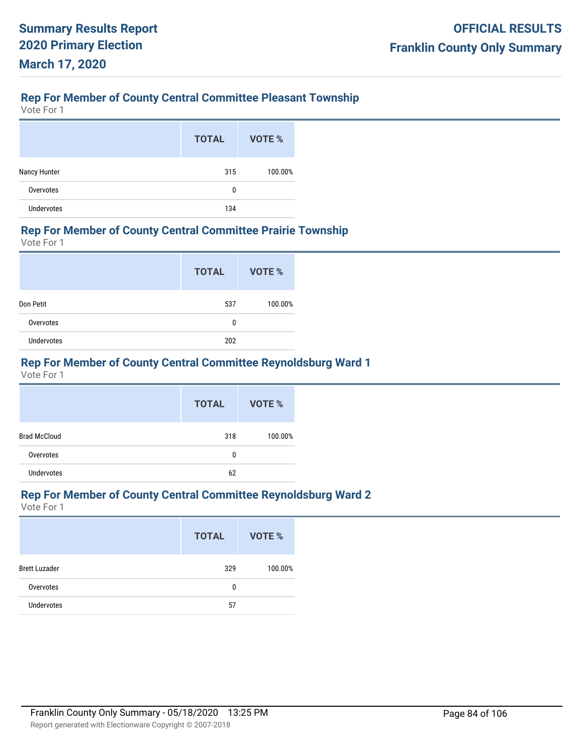# **Rep For Member of County Central Committee Pleasant Township**

Vote For 1

|                   | <b>TOTAL</b> | VOTE %  |
|-------------------|--------------|---------|
| Nancy Hunter      | 315          | 100.00% |
| Overvotes         | 0            |         |
| <b>Undervotes</b> | 134          |         |

#### **Rep For Member of County Central Committee Prairie Township**

Vote For 1

|            | <b>TOTAL</b> | <b>VOTE %</b> |
|------------|--------------|---------------|
| Don Petit  | 537          | 100.00%       |
| Overvotes  | 0            |               |
| Undervotes | 202          |               |

# **Rep For Member of County Central Committee Reynoldsburg Ward 1**

Vote For 1

|                     | <b>TOTAL</b> | VOTE %  |
|---------------------|--------------|---------|
| <b>Brad McCloud</b> | 318          | 100.00% |
| Overvotes           | 0            |         |
| <b>Undervotes</b>   | 62           |         |

#### **Rep For Member of County Central Committee Reynoldsburg Ward 2**

|                      | <b>TOTAL</b> | VOTE %  |
|----------------------|--------------|---------|
| <b>Brett Luzader</b> | 329          | 100.00% |
| Overvotes            | 0            |         |
| <b>Undervotes</b>    | 57           |         |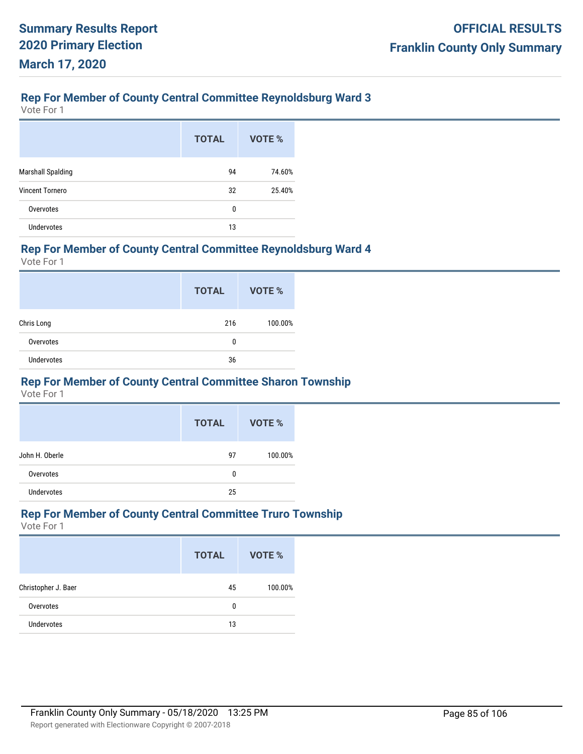# **Rep For Member of County Central Committee Reynoldsburg Ward 3**

Vote For 1

|                          | <b>TOTAL</b> | VOTE % |
|--------------------------|--------------|--------|
| <b>Marshall Spalding</b> | 94           | 74.60% |
| <b>Vincent Tornero</b>   | 32           | 25.40% |
| Overvotes                | 0            |        |
| <b>Undervotes</b>        | 13           |        |

#### **Rep For Member of County Central Committee Reynoldsburg Ward 4**

Vote For 1

|                   | <b>TOTAL</b> | <b>VOTE %</b> |
|-------------------|--------------|---------------|
| Chris Long        | 216          | 100.00%       |
| Overvotes         | 0            |               |
| <b>Undervotes</b> | 36           |               |

#### **Rep For Member of County Central Committee Sharon Township**

Vote For 1

|                   | <b>TOTAL</b> | VOTE %  |
|-------------------|--------------|---------|
| John H. Oberle    | 97           | 100.00% |
| Overvotes         | 0            |         |
| <b>Undervotes</b> | 25           |         |

#### **Rep For Member of County Central Committee Truro Township**

|                     | <b>TOTAL</b> | VOTE %  |
|---------------------|--------------|---------|
| Christopher J. Baer | 45           | 100.00% |
| Overvotes           | 0            |         |
| <b>Undervotes</b>   | 13           |         |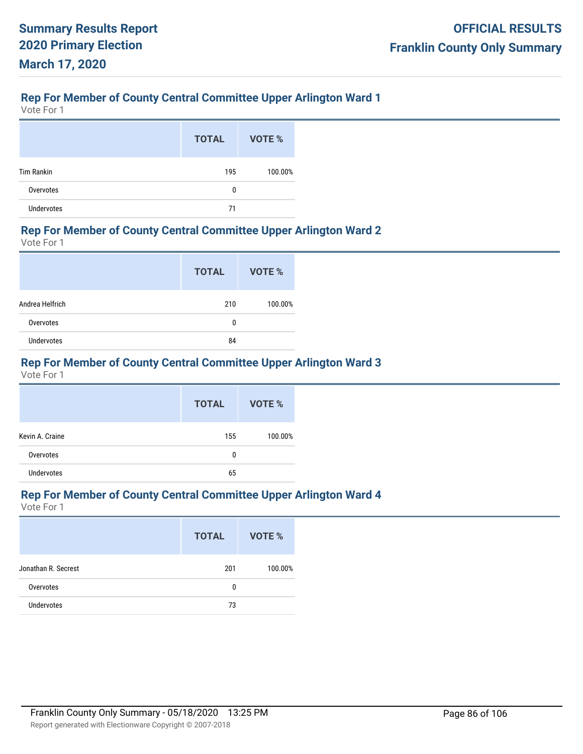# **Rep For Member of County Central Committee Upper Arlington Ward 1**

Vote For 1

|                   | <b>TOTAL</b> | VOTE %  |
|-------------------|--------------|---------|
| <b>Tim Rankin</b> | 195          | 100.00% |
| Overvotes         | 0            |         |
| <b>Undervotes</b> | 71           |         |

#### **Rep For Member of County Central Committee Upper Arlington Ward 2**

Vote For 1

|                 | <b>TOTAL</b> | VOTE %  |
|-----------------|--------------|---------|
| Andrea Helfrich | 210          | 100.00% |
| Overvotes       | 0            |         |
| Undervotes      | 84           |         |

# **Rep For Member of County Central Committee Upper Arlington Ward 3**

Vote For 1

|                   | <b>TOTAL</b> | VOTE %  |
|-------------------|--------------|---------|
| Kevin A. Craine   | 155          | 100.00% |
| Overvotes         | 0            |         |
| <b>Undervotes</b> | 65           |         |

# **Rep For Member of County Central Committee Upper Arlington Ward 4**

|                     | <b>TOTAL</b> | VOTE %  |
|---------------------|--------------|---------|
| Jonathan R. Secrest | 201          | 100.00% |
| Overvotes           | 0            |         |
| <b>Undervotes</b>   | 73           |         |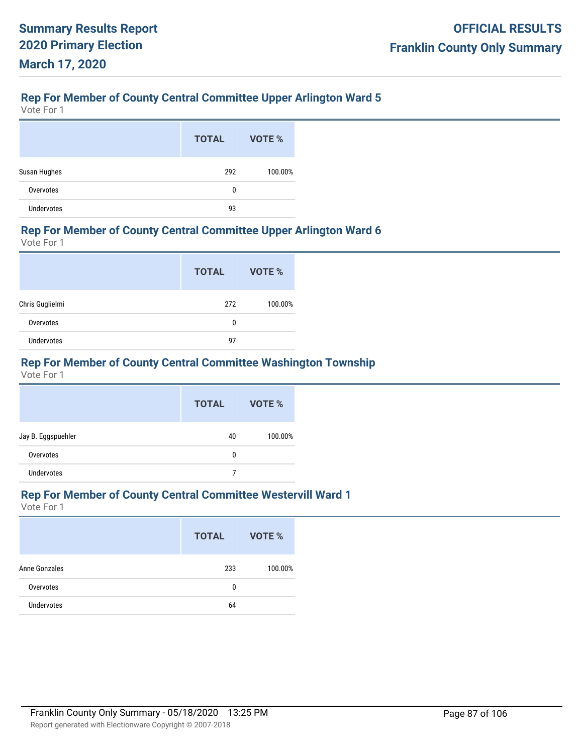# **Rep For Member of County Central Committee Upper Arlington Ward 5**

Vote For 1

|                   | <b>TOTAL</b> | VOTE %  |
|-------------------|--------------|---------|
| Susan Hughes      | 292          | 100.00% |
| Overvotes         | 0            |         |
| <b>Undervotes</b> | 93           |         |

#### **Rep For Member of County Central Committee Upper Arlington Ward 6**

Vote For 1

|                 | <b>TOTAL</b> | VOTE %  |
|-----------------|--------------|---------|
| Chris Guglielmi | 272          | 100.00% |
| Overvotes       | 0            |         |
| Undervotes      | 97           |         |

# **Rep For Member of County Central Committee Washington Township**

Vote For 1

|                    | <b>TOTAL</b> | VOTE %  |
|--------------------|--------------|---------|
| Jay B. Eggspuehler | 40           | 100.00% |
| Overvotes          | 0            |         |
| <b>Undervotes</b>  |              |         |

#### **Rep For Member of County Central Committee Westervill Ward 1**

|                   | <b>TOTAL</b> | <b>VOTE %</b> |
|-------------------|--------------|---------------|
| Anne Gonzales     | 233          | 100.00%       |
| Overvotes         | 0            |               |
| <b>Undervotes</b> | 64           |               |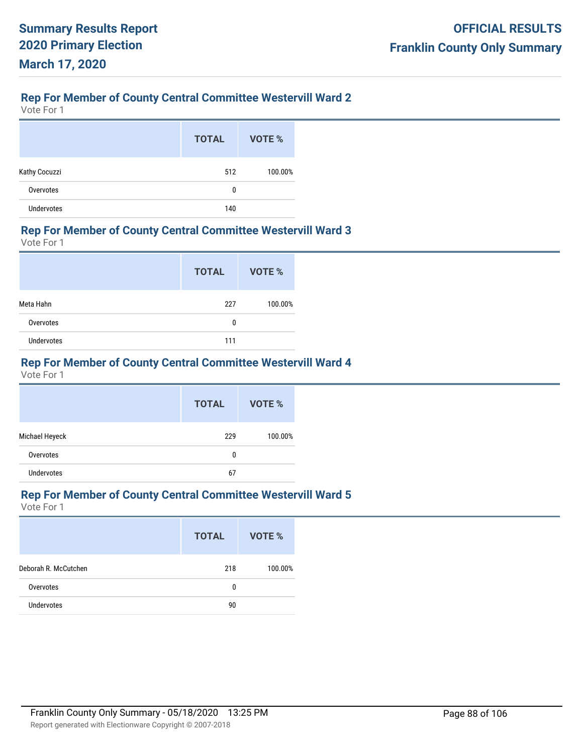# **Rep For Member of County Central Committee Westervill Ward 2**

Vote For 1

|                   | <b>TOTAL</b> | VOTE %  |
|-------------------|--------------|---------|
| Kathy Cocuzzi     | 512          | 100.00% |
| Overvotes         | 0            |         |
| <b>Undervotes</b> | 140          |         |

#### **Rep For Member of County Central Committee Westervill Ward 3**

Vote For 1

|            | <b>TOTAL</b> | VOTE %  |
|------------|--------------|---------|
| Meta Hahn  | 227          | 100.00% |
| Overvotes  | 0            |         |
| Undervotes | 111          |         |

## **Rep For Member of County Central Committee Westervill Ward 4**

Vote For 1

|                   | <b>TOTAL</b> | <b>VOTE %</b> |
|-------------------|--------------|---------------|
| Michael Heyeck    | 229          | 100.00%       |
| Overvotes         | 0            |               |
| <b>Undervotes</b> | 67           |               |

# **Rep For Member of County Central Committee Westervill Ward 5**

|                      | <b>TOTAL</b> | VOTE %  |
|----------------------|--------------|---------|
| Deborah R. McCutchen | 218          | 100.00% |
| Overvotes            | 0            |         |
| <b>Undervotes</b>    | 90           |         |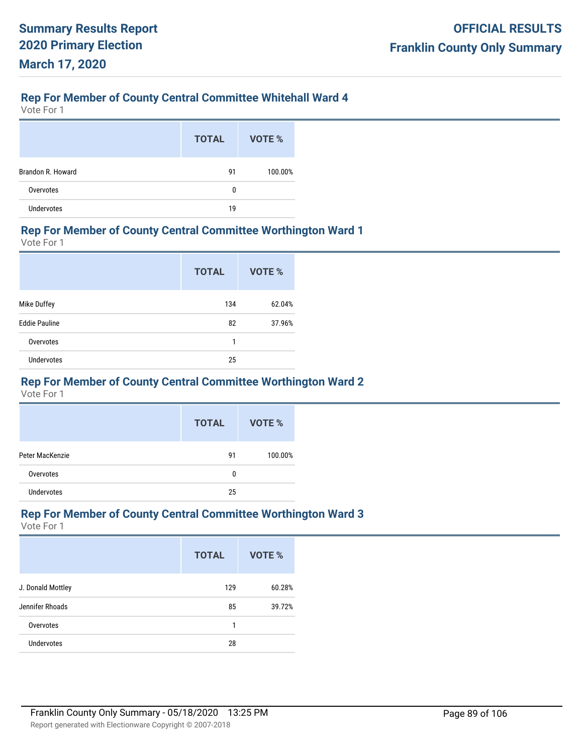# **Rep For Member of County Central Committee Whitehall Ward 4**

Vote For 1

|                   | <b>TOTAL</b> | VOTE %  |
|-------------------|--------------|---------|
| Brandon R. Howard | 91           | 100.00% |
| Overvotes         | 0            |         |
| <b>Undervotes</b> | 19           |         |

#### **Rep For Member of County Central Committee Worthington Ward 1**

Vote For 1

|                      | <b>TOTAL</b> | <b>VOTE %</b> |
|----------------------|--------------|---------------|
| Mike Duffey          | 134          | 62.04%        |
| <b>Eddie Pauline</b> | 82           | 37.96%        |
| Overvotes            | 1            |               |
| <b>Undervotes</b>    | 25           |               |

#### **Rep For Member of County Central Committee Worthington Ward 2**

Vote For 1

|                 | <b>TOTAL</b> | VOTE %  |
|-----------------|--------------|---------|
| Peter MacKenzie | 91           | 100.00% |
| Overvotes       | 0            |         |
| Undervotes      | 25           |         |

#### **Rep For Member of County Central Committee Worthington Ward 3**

|                   | <b>TOTAL</b> | VOTE % |
|-------------------|--------------|--------|
| J. Donald Mottley | 129          | 60.28% |
| Jennifer Rhoads   | 85           | 39.72% |
| Overvotes         | 1            |        |
| <b>Undervotes</b> | 28           |        |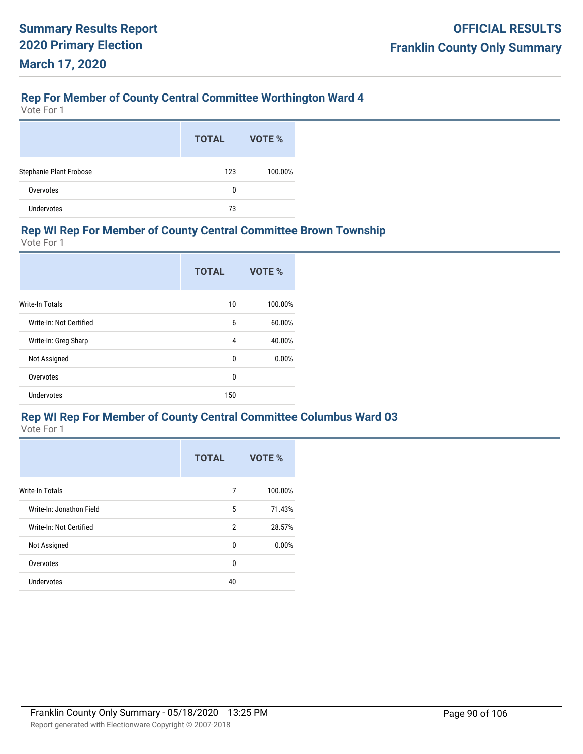# **Rep For Member of County Central Committee Worthington Ward 4**

Vote For 1

|                         | <b>TOTAL</b> | VOTE %  |
|-------------------------|--------------|---------|
| Stephanie Plant Frobose | 123          | 100.00% |
| Overvotes               | 0            |         |
| <b>Undervotes</b>       | 73           |         |

#### **Rep WI Rep For Member of County Central Committee Brown Township**

Vote For 1

|                         | <b>TOTAL</b> | VOTE %  |
|-------------------------|--------------|---------|
| <b>Write-In Totals</b>  | 10           | 100.00% |
| Write-In: Not Certified | 6            | 60.00%  |
| Write-In: Greg Sharp    | 4            | 40.00%  |
| Not Assigned            | 0            | 0.00%   |
| Overvotes               | $\mathbf{0}$ |         |
| <b>Undervotes</b>       | 150          |         |

## **Rep WI Rep For Member of County Central Committee Columbus Ward 03**

|                          | <b>TOTAL</b> | VOTE %  |
|--------------------------|--------------|---------|
| <b>Write-In Totals</b>   | 7            | 100.00% |
| Write-In: Jonathon Field | 5            | 71.43%  |
| Write-In: Not Certified  | 2            | 28.57%  |
| Not Assigned             | 0            | 0.00%   |
| Overvotes                | $\mathbf{0}$ |         |
| <b>Undervotes</b>        | 40           |         |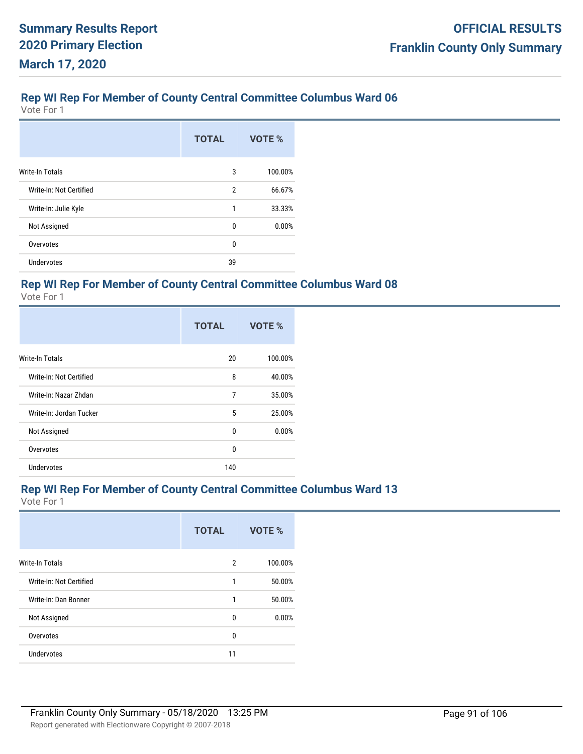Vote For 1

|                         | <b>TOTAL</b> | VOTE %  |
|-------------------------|--------------|---------|
| <b>Write-In Totals</b>  | 3            | 100.00% |
| Write-In: Not Certified | 2            | 66.67%  |
| Write-In: Julie Kyle    | 1            | 33.33%  |
| Not Assigned            | 0            | 0.00%   |
| Overvotes               | 0            |         |
| <b>Undervotes</b>       | 39           |         |

## **Rep WI Rep For Member of County Central Committee Columbus Ward 08**

Vote For 1

|                         | <b>TOTAL</b> | VOTE %  |
|-------------------------|--------------|---------|
| <b>Write-In Totals</b>  | 20           | 100.00% |
| Write-In: Not Certified | 8            | 40.00%  |
| Write-In: Nazar Zhdan   | 7            | 35.00%  |
| Write-In: Jordan Tucker | 5            | 25.00%  |
| Not Assigned            | 0            | 0.00%   |
| Overvotes               | 0            |         |
| Undervotes              | 140          |         |

## **Rep WI Rep For Member of County Central Committee Columbus Ward 13**

|                         | <b>TOTAL</b>   | VOTE %  |
|-------------------------|----------------|---------|
| <b>Write-In Totals</b>  | $\overline{2}$ | 100.00% |
| Write-In: Not Certified | 1              | 50.00%  |
| Write-In: Dan Bonner    | 1              | 50.00%  |
| Not Assigned            | 0              | 0.00%   |
| Overvotes               | 0              |         |
| Undervotes              | 11             |         |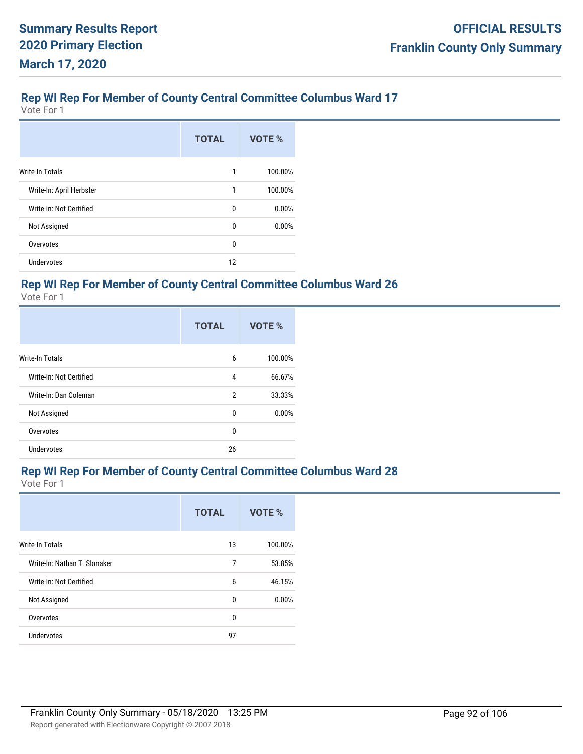Vote For 1

|                          | <b>TOTAL</b> | VOTE %  |
|--------------------------|--------------|---------|
| <b>Write-In Totals</b>   | 1            | 100.00% |
| Write-In: April Herbster | 1            | 100.00% |
| Write-In: Not Certified  | 0            | 0.00%   |
| Not Assigned             | 0            | 0.00%   |
| Overvotes                | 0            |         |
| <b>Undervotes</b>        | 12           |         |

## **Rep WI Rep For Member of County Central Committee Columbus Ward 26**

Vote For 1

|                         | <b>TOTAL</b> | VOTE %  |
|-------------------------|--------------|---------|
| <b>Write-In Totals</b>  | 6            | 100.00% |
| Write-In: Not Certified | 4            | 66.67%  |
| Write-In: Dan Coleman   | 2            | 33.33%  |
| Not Assigned            | 0            | 0.00%   |
| Overvotes               | 0            |         |
| <b>Undervotes</b>       | 26           |         |

#### **Rep WI Rep For Member of County Central Committee Columbus Ward 28**

|                              | <b>TOTAL</b> | VOTE %  |
|------------------------------|--------------|---------|
| <b>Write-In Totals</b>       | 13           | 100.00% |
| Write-In: Nathan T. Slonaker | 7            | 53.85%  |
| Write-In: Not Certified      | 6            | 46.15%  |
| Not Assigned                 | 0            | 0.00%   |
| Overvotes                    | 0            |         |
| Undervotes                   | 97           |         |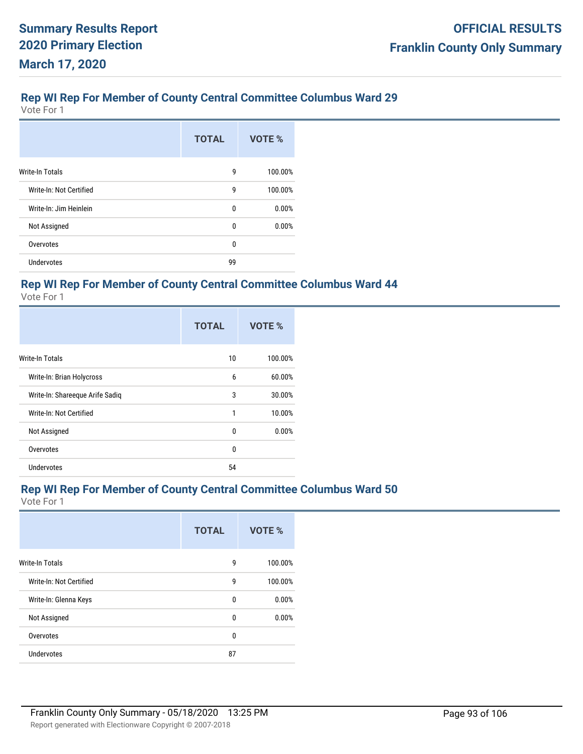Vote For 1

|                         | <b>TOTAL</b> | VOTE %  |
|-------------------------|--------------|---------|
| <b>Write-In Totals</b>  | 9            | 100.00% |
| Write-In: Not Certified | 9            | 100.00% |
| Write-In: Jim Heinlein  | 0            | 0.00%   |
| Not Assigned            | 0            | 0.00%   |
| Overvotes               | 0            |         |
| <b>Undervotes</b>       | 99           |         |

## **Rep WI Rep For Member of County Central Committee Columbus Ward 44**

Vote For 1

|                                 | <b>TOTAL</b> | VOTE %  |
|---------------------------------|--------------|---------|
| <b>Write-In Totals</b>          | 10           | 100.00% |
| Write-In: Brian Holycross       | 6            | 60.00%  |
| Write-In: Shareeque Arife Sadiq | 3            | 30.00%  |
| Write-In: Not Certified         | 1            | 10.00%  |
| Not Assigned                    | 0            | 0.00%   |
| Overvotes                       | $\mathbf{0}$ |         |
| <b>Undervotes</b>               | 54           |         |

## **Rep WI Rep For Member of County Central Committee Columbus Ward 50**

|                         | <b>TOTAL</b> | VOTE %  |
|-------------------------|--------------|---------|
| Write-In Totals         | 9            | 100.00% |
| Write-In: Not Certified | 9            | 100.00% |
| Write-In: Glenna Keys   | 0            | 0.00%   |
| Not Assigned            | 0            | 0.00%   |
| Overvotes               | 0            |         |
| <b>Undervotes</b>       | 87           |         |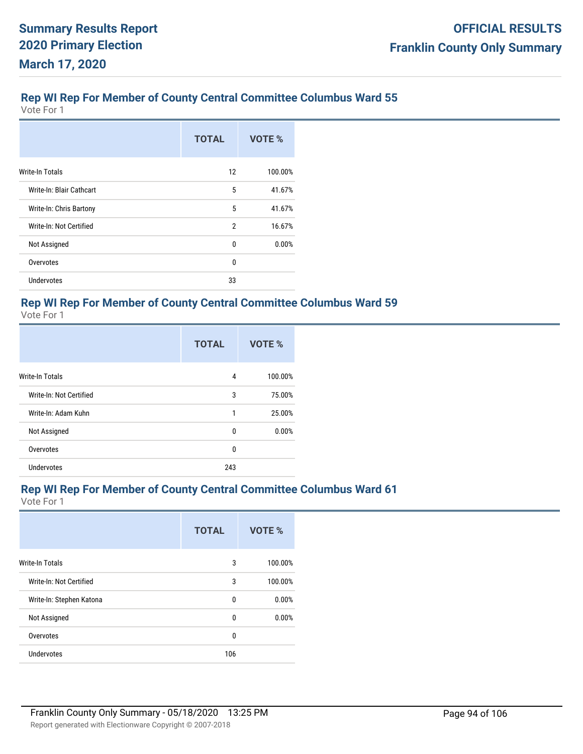Vote For 1

|                          | <b>TOTAL</b>   | VOTE %  |
|--------------------------|----------------|---------|
| Write-In Totals          | 12             | 100.00% |
| Write-In: Blair Cathcart | 5              | 41.67%  |
| Write-In: Chris Bartony  | 5              | 41.67%  |
| Write-In: Not Certified  | $\overline{2}$ | 16.67%  |
| Not Assigned             | 0              | 0.00%   |
| Overvotes                | 0              |         |
| Undervotes               | 33             |         |

# **Rep WI Rep For Member of County Central Committee Columbus Ward 59**

Vote For 1

|                         | <b>TOTAL</b> | VOTE %  |
|-------------------------|--------------|---------|
| <b>Write-In Totals</b>  | 4            | 100.00% |
| Write-In: Not Certified | 3            | 75.00%  |
| Write-In: Adam Kuhn     | 1            | 25.00%  |
| Not Assigned            | 0            | 0.00%   |
| Overvotes               | $\mathbf{0}$ |         |
| Undervotes              | 243          |         |

## **Rep WI Rep For Member of County Central Committee Columbus Ward 61**

|                          | <b>TOTAL</b> | VOTE %  |
|--------------------------|--------------|---------|
| <b>Write-In Totals</b>   | 3            | 100.00% |
| Write-In: Not Certified  | 3            | 100.00% |
| Write-In: Stephen Katona | 0            | 0.00%   |
| Not Assigned             | $\mathbf{0}$ | 0.00%   |
| Overvotes                | 0            |         |
| <b>Undervotes</b>        | 106          |         |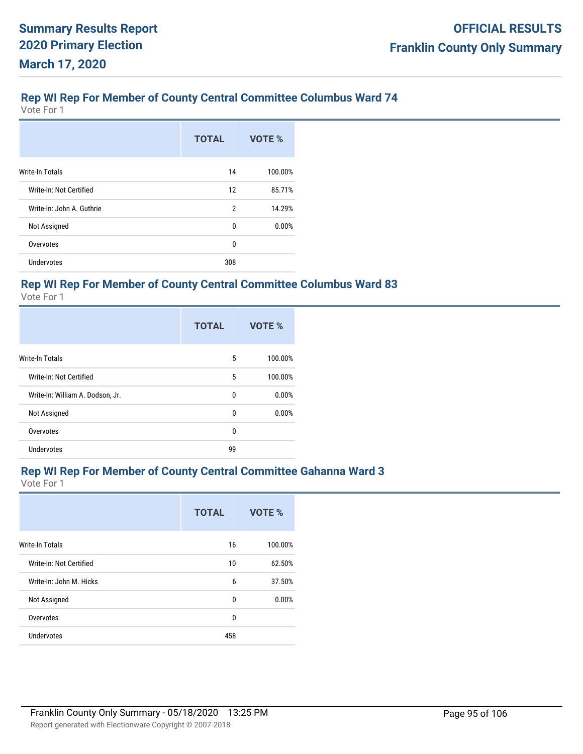Vote For 1

|                           | <b>TOTAL</b>   | VOTE %  |
|---------------------------|----------------|---------|
| <b>Write-In Totals</b>    | 14             | 100.00% |
| Write-In: Not Certified   | 12             | 85.71%  |
| Write-In: John A. Guthrie | $\overline{2}$ | 14.29%  |
| Not Assigned              | 0              | 0.00%   |
| Overvotes                 | 0              |         |
| <b>Undervotes</b>         | 308            |         |

#### **Rep WI Rep For Member of County Central Committee Columbus Ward 83**

Vote For 1

|                                  | <b>TOTAL</b> | VOTE %  |
|----------------------------------|--------------|---------|
| <b>Write-In Totals</b>           | 5            | 100.00% |
| Write-In: Not Certified          | 5            | 100.00% |
| Write-In: William A. Dodson, Jr. | 0            | 0.00%   |
| Not Assigned                     | 0            | 0.00%   |
| Overvotes                        | 0            |         |
| <b>Undervotes</b>                | 99           |         |

#### **Rep WI Rep For Member of County Central Committee Gahanna Ward 3**

|                         | <b>TOTAL</b> | VOTE %  |
|-------------------------|--------------|---------|
| <b>Write-In Totals</b>  | 16           | 100.00% |
| Write-In: Not Certified | 10           | 62.50%  |
| Write-In: John M. Hicks | 6            | 37.50%  |
| Not Assigned            | 0            | 0.00%   |
| Overvotes               | 0            |         |
| <b>Undervotes</b>       | 458          |         |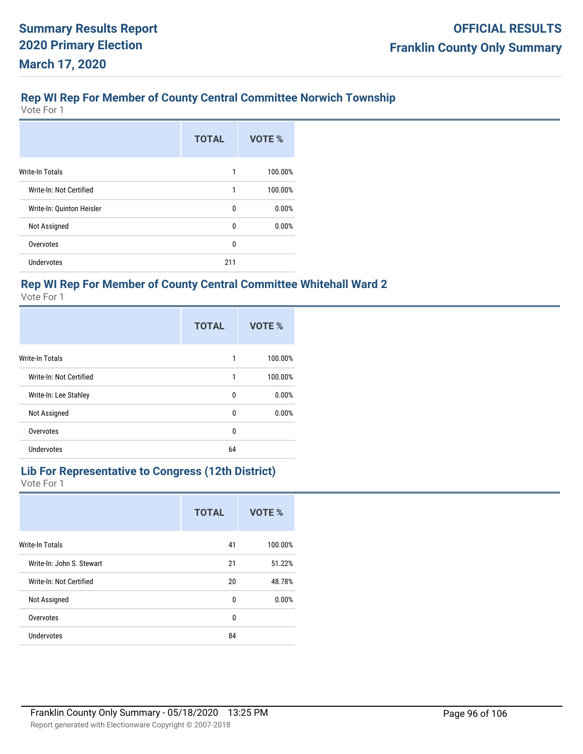# **Rep WI Rep For Member of County Central Committee Norwich Township**

Vote For 1

|                           | <b>TOTAL</b> | VOTE %  |
|---------------------------|--------------|---------|
| <b>Write-In Totals</b>    | 1            | 100.00% |
| Write-In: Not Certified   | 1            | 100.00% |
| Write-In: Quinton Heisler | 0            | 0.00%   |
| Not Assigned              | 0            | 0.00%   |
| Overvotes                 | 0            |         |
| <b>Undervotes</b>         | 211          |         |

## **Rep WI Rep For Member of County Central Committee Whitehall Ward 2**

Vote For 1

|                         | <b>TOTAL</b> | VOTE %  |
|-------------------------|--------------|---------|
| <b>Write-In Totals</b>  | 1            | 100.00% |
| Write-In: Not Certified | 1            | 100.00% |
| Write-In: Lee Stahley   | 0            | 0.00%   |
| Not Assigned            | 0            | 0.00%   |
| Overvotes               | $\mathbf{0}$ |         |
| <b>Undervotes</b>       | 64           |         |

#### **Lib For Representative to Congress (12th District)** Vote For 1

|                           | <b>TOTAL</b> | VOTE %  |
|---------------------------|--------------|---------|
| <b>Write-In Totals</b>    | 41           | 100.00% |
| Write-In: John S. Stewart | 21           | 51.22%  |
| Write-In: Not Certified   | 20           | 48.78%  |
| Not Assigned              | 0            | 0.00%   |
| Overvotes                 | 0            |         |
| <b>Undervotes</b>         | 84           |         |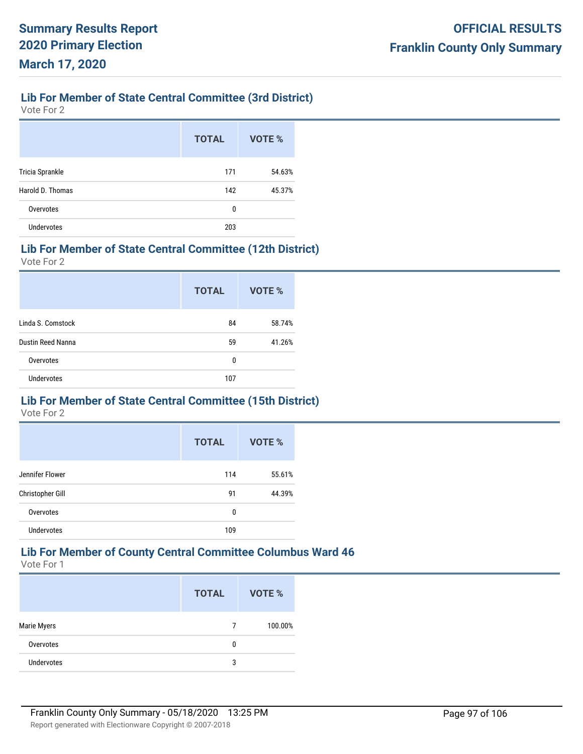# **Lib For Member of State Central Committee (3rd District)**

Vote For 2

|                   | <b>TOTAL</b> | <b>VOTE %</b> |
|-------------------|--------------|---------------|
| Tricia Sprankle   | 171          | 54.63%        |
| Harold D. Thomas  | 142          | 45.37%        |
| Overvotes         | 0            |               |
| <b>Undervotes</b> | 203          |               |

#### **Lib For Member of State Central Committee (12th District)**

Vote For 2

|                   | <b>TOTAL</b> | VOTE % |
|-------------------|--------------|--------|
| Linda S. Comstock | 84           | 58.74% |
| Dustin Reed Nanna | 59           | 41.26% |
| Overvotes         | 0            |        |
| <b>Undervotes</b> | 107          |        |

# **Lib For Member of State Central Committee (15th District)**

Vote For 2

|                   | <b>TOTAL</b> | VOTE % |
|-------------------|--------------|--------|
| Jennifer Flower   | 114          | 55.61% |
| Christopher Gill  | 91           | 44.39% |
| Overvotes         | 0            |        |
| <b>Undervotes</b> | 109          |        |

# **Lib For Member of County Central Committee Columbus Ward 46**

|                    | <b>TOTAL</b> | VOTE %  |
|--------------------|--------------|---------|
| <b>Marie Myers</b> | 7            | 100.00% |
| Overvotes          | 0            |         |
| <b>Undervotes</b>  | 3            |         |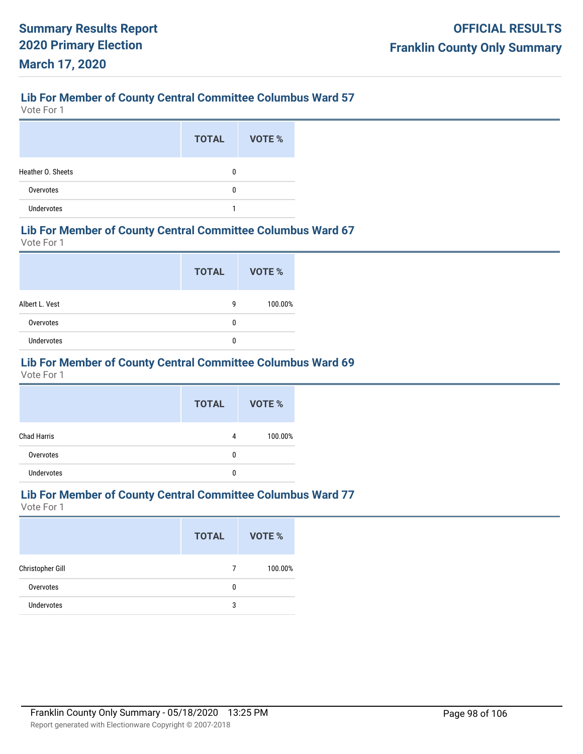Vote For 1

|                   | <b>TOTAL</b> | VOTE % |
|-------------------|--------------|--------|
| Heather O. Sheets | 0            |        |
| Overvotes         | 0            |        |
| Undervotes        |              |        |

#### **Lib For Member of County Central Committee Columbus Ward 67**

Vote For 1

|                | <b>TOTAL</b> | <b>VOTE %</b> |
|----------------|--------------|---------------|
| Albert L. Vest | 9            | 100.00%       |
| Overvotes      | 0            |               |
| Undervotes     | 0            |               |

# **Lib For Member of County Central Committee Columbus Ward 69**

Vote For 1

|                    | <b>TOTAL</b> | VOTE %  |
|--------------------|--------------|---------|
| <b>Chad Harris</b> | 4            | 100.00% |
| Overvotes          | 0            |         |
| <b>Undervotes</b>  | 0            |         |

# **Lib For Member of County Central Committee Columbus Ward 77**

|                  | <b>TOTAL</b> | VOTE %  |
|------------------|--------------|---------|
| Christopher Gill | 7            | 100.00% |
| Overvotes        | 0            |         |
| Undervotes       | 3            |         |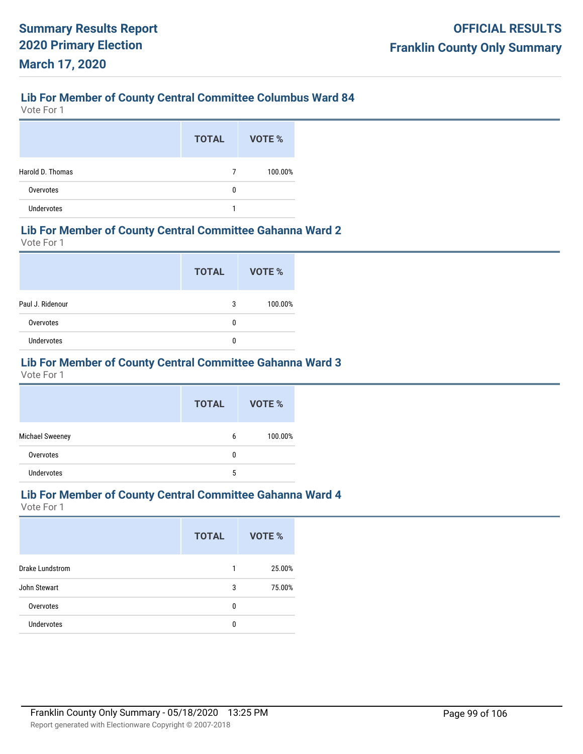Vote For 1

|                   | <b>TOTAL</b> | VOTE %  |
|-------------------|--------------|---------|
| Harold D. Thomas  | 7            | 100.00% |
| Overvotes         | 0            |         |
| <b>Undervotes</b> |              |         |

#### **Lib For Member of County Central Committee Gahanna Ward 2**

Vote For 1

|                  | <b>TOTAL</b> | VOTE %  |
|------------------|--------------|---------|
| Paul J. Ridenour | 3            | 100.00% |
| Overvotes        | 0            |         |
| Undervotes       | 0            |         |

# **Lib For Member of County Central Committee Gahanna Ward 3**

Vote For 1

|                   | <b>TOTAL</b> | <b>VOTE %</b> |
|-------------------|--------------|---------------|
| Michael Sweeney   | 6            | 100.00%       |
| Overvotes         | 0            |               |
| <b>Undervotes</b> | 5            |               |

#### **Lib For Member of County Central Committee Gahanna Ward 4**

|                        | <b>TOTAL</b> | VOTE % |
|------------------------|--------------|--------|
| <b>Drake Lundstrom</b> | 1            | 25.00% |
| John Stewart           | 3            | 75.00% |
| Overvotes              | 0            |        |
| <b>Undervotes</b>      | 0            |        |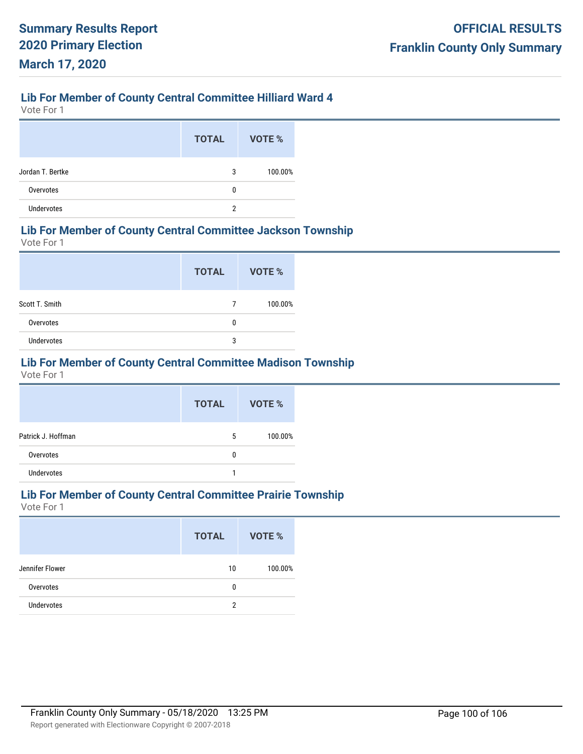# **Lib For Member of County Central Committee Hilliard Ward 4**

Vote For 1

|                  | <b>TOTAL</b> | <b>VOTE %</b> |
|------------------|--------------|---------------|
| Jordan T. Bertke | 3            | 100.00%       |
| Overvotes        | 0            |               |
| Undervotes       | 2            |               |

#### **Lib For Member of County Central Committee Jackson Township**

Vote For 1

|                   | <b>TOTAL</b> | VOTE %  |
|-------------------|--------------|---------|
| Scott T. Smith    | 7            | 100.00% |
| Overvotes         | 0            |         |
| <b>Undervotes</b> | 3            |         |

# **Lib For Member of County Central Committee Madison Township**

Vote For 1

|                    | <b>TOTAL</b> | VOTE %  |
|--------------------|--------------|---------|
| Patrick J. Hoffman | 5            | 100.00% |
| Overvotes          | 0            |         |
| <b>Undervotes</b>  |              |         |

#### **Lib For Member of County Central Committee Prairie Township**

|                 | <b>TOTAL</b> | <b>VOTE %</b> |
|-----------------|--------------|---------------|
| Jennifer Flower | 10           | 100.00%       |
| Overvotes       | 0            |               |
| Undervotes      | 2            |               |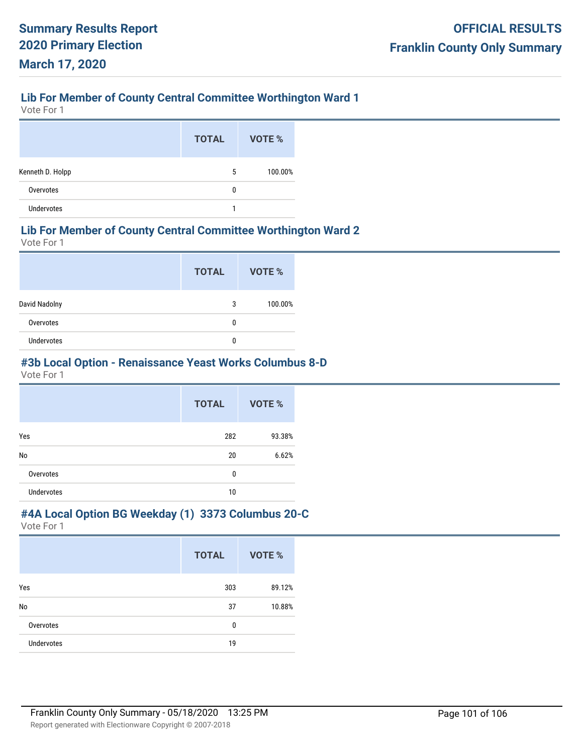## **Lib For Member of County Central Committee Worthington Ward 1**

Vote For 1

|                  | <b>TOTAL</b> | VOTE %  |
|------------------|--------------|---------|
| Kenneth D. Holpp | 5            | 100.00% |
| Overvotes        | 0            |         |
| Undervotes       |              |         |

#### **Lib For Member of County Central Committee Worthington Ward 2**

Vote For 1

|                   | <b>TOTAL</b> | VOTE %  |
|-------------------|--------------|---------|
| David Nadolny     | 3            | 100.00% |
| Overvotes         | 0            |         |
| <b>Undervotes</b> | 0            |         |

## **#3b Local Option - Renaissance Yeast Works Columbus 8-D**

Vote For 1

|                   | <b>TOTAL</b> | VOTE % |
|-------------------|--------------|--------|
| Yes               | 282          | 93.38% |
| No                | 20           | 6.62%  |
| Overvotes         | 0            |        |
| <b>Undervotes</b> | 10           |        |

#### **#4A Local Option BG Weekday (1) 3373 Columbus 20-C**

|                   | <b>TOTAL</b> | VOTE % |
|-------------------|--------------|--------|
| Yes               | 303          | 89.12% |
| <b>No</b>         | 37           | 10.88% |
| Overvotes         | 0            |        |
| <b>Undervotes</b> | 19           |        |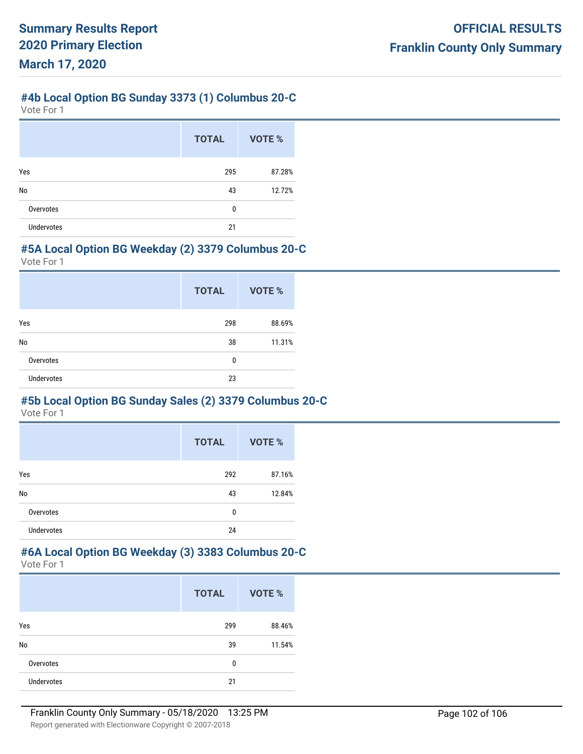#### **#4b Local Option BG Sunday 3373 (1) Columbus 20-C**

Vote For 1

|                   | <b>TOTAL</b> | VOTE % |
|-------------------|--------------|--------|
| Yes               | 295          | 87.28% |
| No                | 43           | 12.72% |
| Overvotes         | 0            |        |
| <b>Undervotes</b> | 21           |        |

#### **#5A Local Option BG Weekday (2) 3379 Columbus 20-C**

Vote For 1

|                   | <b>TOTAL</b> | VOTE % |
|-------------------|--------------|--------|
| Yes               | 298          | 88.69% |
| No                | 38           | 11.31% |
| Overvotes         | 0            |        |
| <b>Undervotes</b> | 23           |        |

# **#5b Local Option BG Sunday Sales (2) 3379 Columbus 20-C**

Vote For 1

|                   | <b>TOTAL</b> | VOTE % |
|-------------------|--------------|--------|
| Yes               | 292          | 87.16% |
| No                | 43           | 12.84% |
| Overvotes         | $\mathbf{0}$ |        |
| <b>Undervotes</b> | 24           |        |

#### **#6A Local Option BG Weekday (3) 3383 Columbus 20-C** Vote For 1

|                   | <b>TOTAL</b> | VOTE % |
|-------------------|--------------|--------|
| Yes               | 299          | 88.46% |
| No                | 39           | 11.54% |
| Overvotes         | 0            |        |
| <b>Undervotes</b> | 21           |        |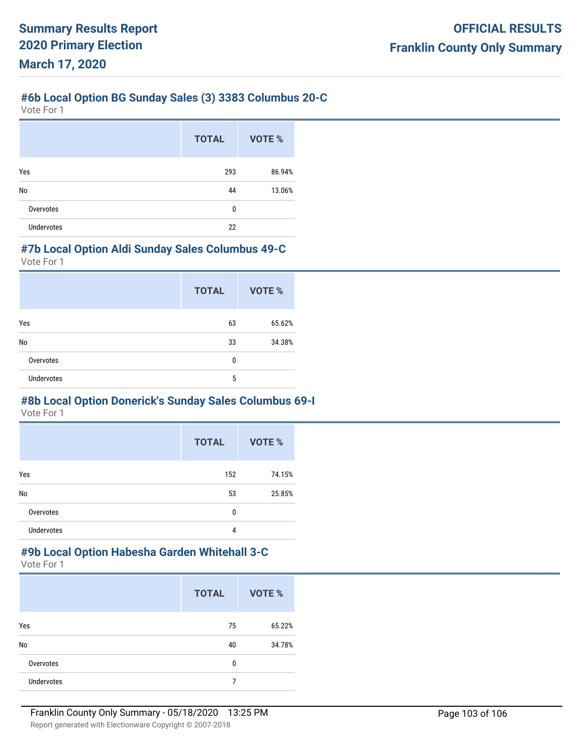#### **#6b Local Option BG Sunday Sales (3) 3383 Columbus 20-C**

Vote For 1

|                   | <b>TOTAL</b> | VOTE % |
|-------------------|--------------|--------|
| Yes               | 293          | 86.94% |
| No                | 44           | 13.06% |
| Overvotes         | 0            |        |
| <b>Undervotes</b> | 22           |        |

#### **#7b Local Option Aldi Sunday Sales Columbus 49-C**

Vote For 1

|                   | <b>TOTAL</b> | VOTE % |
|-------------------|--------------|--------|
| Yes               | 63           | 65.62% |
| No                | 33           | 34.38% |
| Overvotes         | 0            |        |
| <b>Undervotes</b> | 5            |        |

# **#8b Local Option Donerick's Sunday Sales Columbus 69-I**

Vote For 1

|                   | <b>TOTAL</b> | VOTE % |
|-------------------|--------------|--------|
| Yes               | 152          | 74.15% |
| No                | 53           | 25.85% |
| Overvotes         | $\mathbf{0}$ |        |
| <b>Undervotes</b> | 4            |        |

#### **#9b Local Option Habesha Garden Whitehall 3-C** Vote For 1

|                   | <b>TOTAL</b> | VOTE % |
|-------------------|--------------|--------|
| Yes               | 75           | 65.22% |
| No                | 40           | 34.78% |
| Overvotes         | 0            |        |
| <b>Undervotes</b> | 7            |        |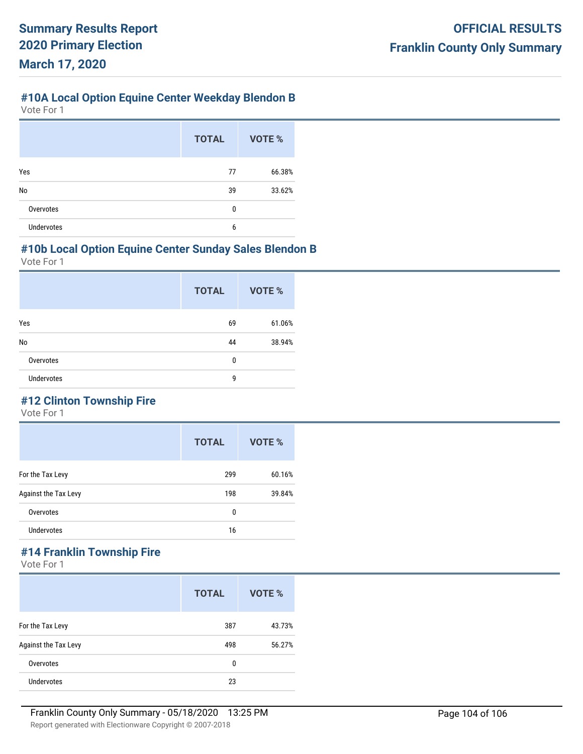# **#10A Local Option Equine Center Weekday Blendon B**

Vote For 1

|                   | <b>TOTAL</b> | VOTE % |
|-------------------|--------------|--------|
| Yes               | 77           | 66.38% |
| No                | 39           | 33.62% |
| Overvotes         | $\mathbf{0}$ |        |
| <b>Undervotes</b> | 6            |        |

#### **#10b Local Option Equine Center Sunday Sales Blendon B**

Vote For 1

|                   | <b>TOTAL</b> | VOTE % |
|-------------------|--------------|--------|
| Yes               | 69           | 61.06% |
| No                | 44           | 38.94% |
| Overvotes         | 0            |        |
| <b>Undervotes</b> | 9            |        |
|                   |              |        |

# **#12 Clinton Township Fire**

Vote For 1

|                      | <b>TOTAL</b> | VOTE % |
|----------------------|--------------|--------|
| For the Tax Levy     | 299          | 60.16% |
| Against the Tax Levy | 198          | 39.84% |
| Overvotes            | 0            |        |
| <b>Undervotes</b>    | 16           |        |

# **#14 Franklin Township Fire**

|                      | <b>TOTAL</b> | VOTE % |
|----------------------|--------------|--------|
| For the Tax Levy     | 387          | 43.73% |
| Against the Tax Levy | 498          | 56.27% |
| Overvotes            | 0            |        |
| <b>Undervotes</b>    | 23           |        |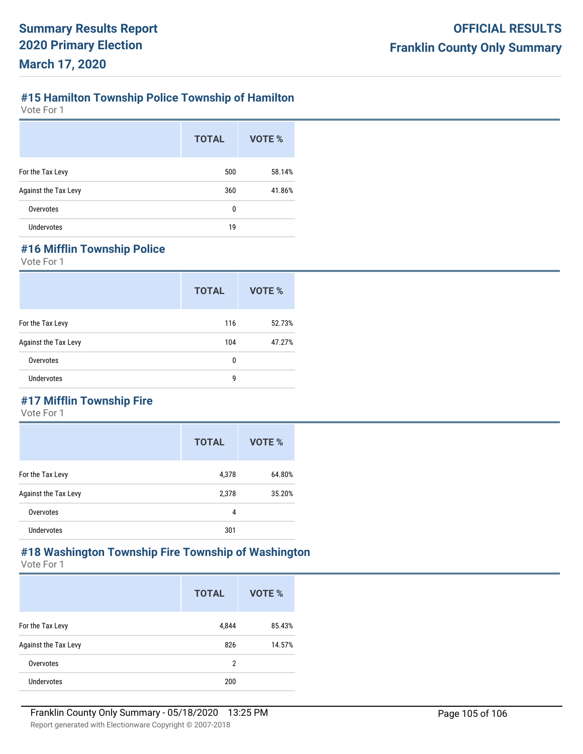# **#15 Hamilton Township Police Township of Hamilton**

Vote For 1

|                      | <b>TOTAL</b> | VOTE % |
|----------------------|--------------|--------|
| For the Tax Levy     | 500          | 58.14% |
| Against the Tax Levy | 360          | 41.86% |
| Overvotes            | 0            |        |
| <b>Undervotes</b>    | 19           |        |

# **#16 Mifflin Township Police**

Vote For 1

|                      | <b>TOTAL</b> | VOTE % |
|----------------------|--------------|--------|
| For the Tax Levy     | 116          | 52.73% |
| Against the Tax Levy | 104          | 47.27% |
| Overvotes            | 0            |        |
| <b>Undervotes</b>    | 9            |        |

# **#17 Mifflin Township Fire**

Vote For 1

|                      | <b>TOTAL</b> | VOTE % |
|----------------------|--------------|--------|
| For the Tax Levy     | 4,378        | 64.80% |
| Against the Tax Levy | 2,378        | 35.20% |
| Overvotes            | 4            |        |
| <b>Undervotes</b>    | 301          |        |

#### **#18 Washington Township Fire Township of Washington** Vote For 1

|                      | <b>TOTAL</b> | VOTE % |
|----------------------|--------------|--------|
| For the Tax Levy     | 4,844        | 85.43% |
| Against the Tax Levy | 826          | 14.57% |
| Overvotes            | 2            |        |
| <b>Undervotes</b>    | 200          |        |